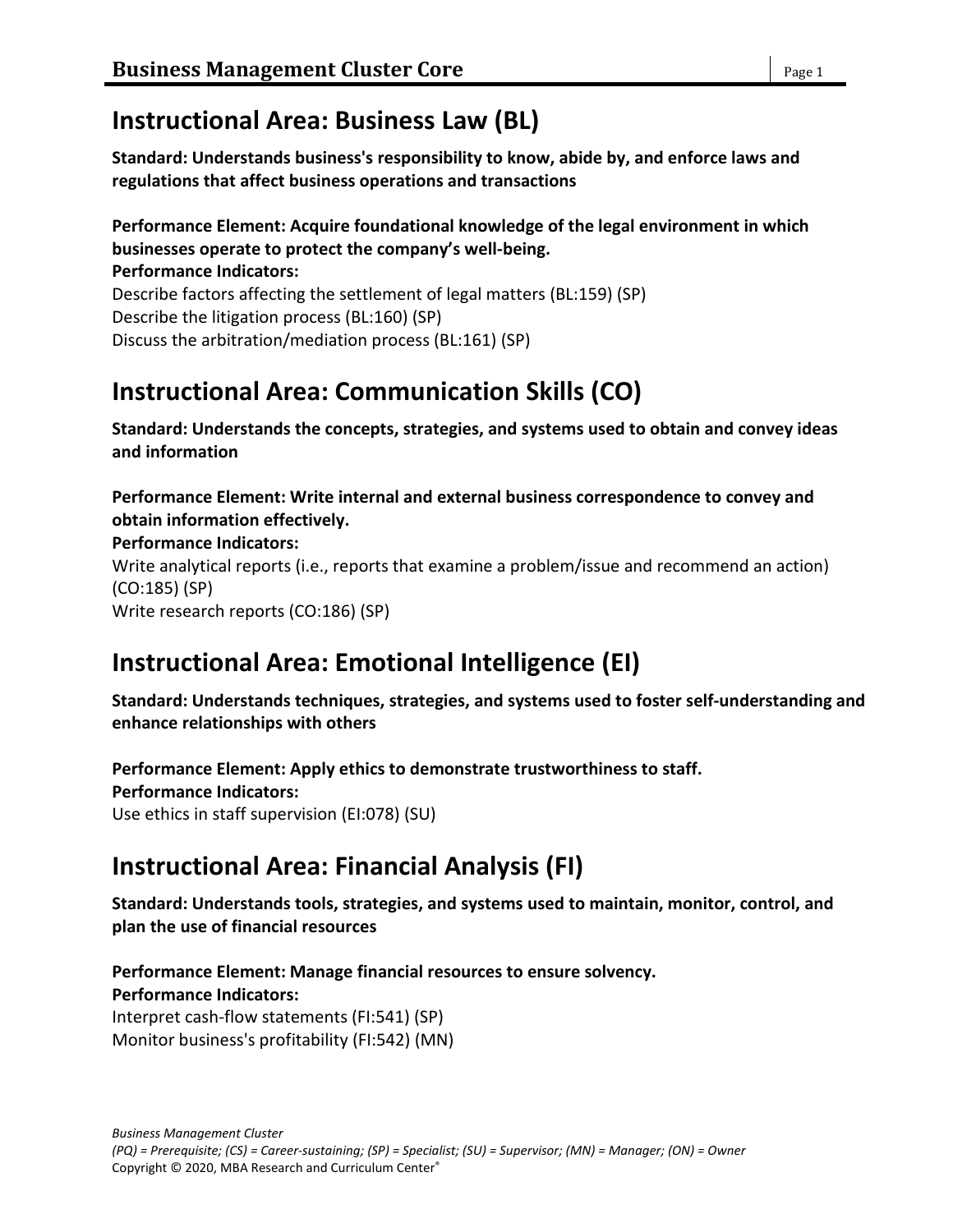# **Instructional Area: Business Law (BL)**

**Standard: Understands business's responsibility to know, abide by, and enforce laws and regulations that affect business operations and transactions**

#### **Performance Element: Acquire foundational knowledge of the legal environment in which businesses operate to protect the company's well-being.**

**Performance Indicators:** Describe factors affecting the settlement of legal matters (BL:159) (SP) Describe the litigation process (BL:160) (SP) Discuss the arbitration/mediation process (BL:161) (SP)

# **Instructional Area: Communication Skills (CO)**

**Standard: Understands the concepts, strategies, and systems used to obtain and convey ideas and information**

**Performance Element: Write internal and external business correspondence to convey and obtain information effectively.**

**Performance Indicators:**

Write analytical reports (i.e., reports that examine a problem/issue and recommend an action) (CO:185) (SP) Write research reports (CO:186) (SP)

# **Instructional Area: Emotional Intelligence (EI)**

**Standard: Understands techniques, strategies, and systems used to foster self-understanding and enhance relationships with others**

**Performance Element: Apply ethics to demonstrate trustworthiness to staff. Performance Indicators:** Use ethics in staff supervision (EI:078) (SU)

# **Instructional Area: Financial Analysis (FI)**

**Standard: Understands tools, strategies, and systems used to maintain, monitor, control, and plan the use of financial resources**

**Performance Element: Manage financial resources to ensure solvency. Performance Indicators:** Interpret cash-flow statements (FI:541) (SP) Monitor business's profitability (FI:542) (MN)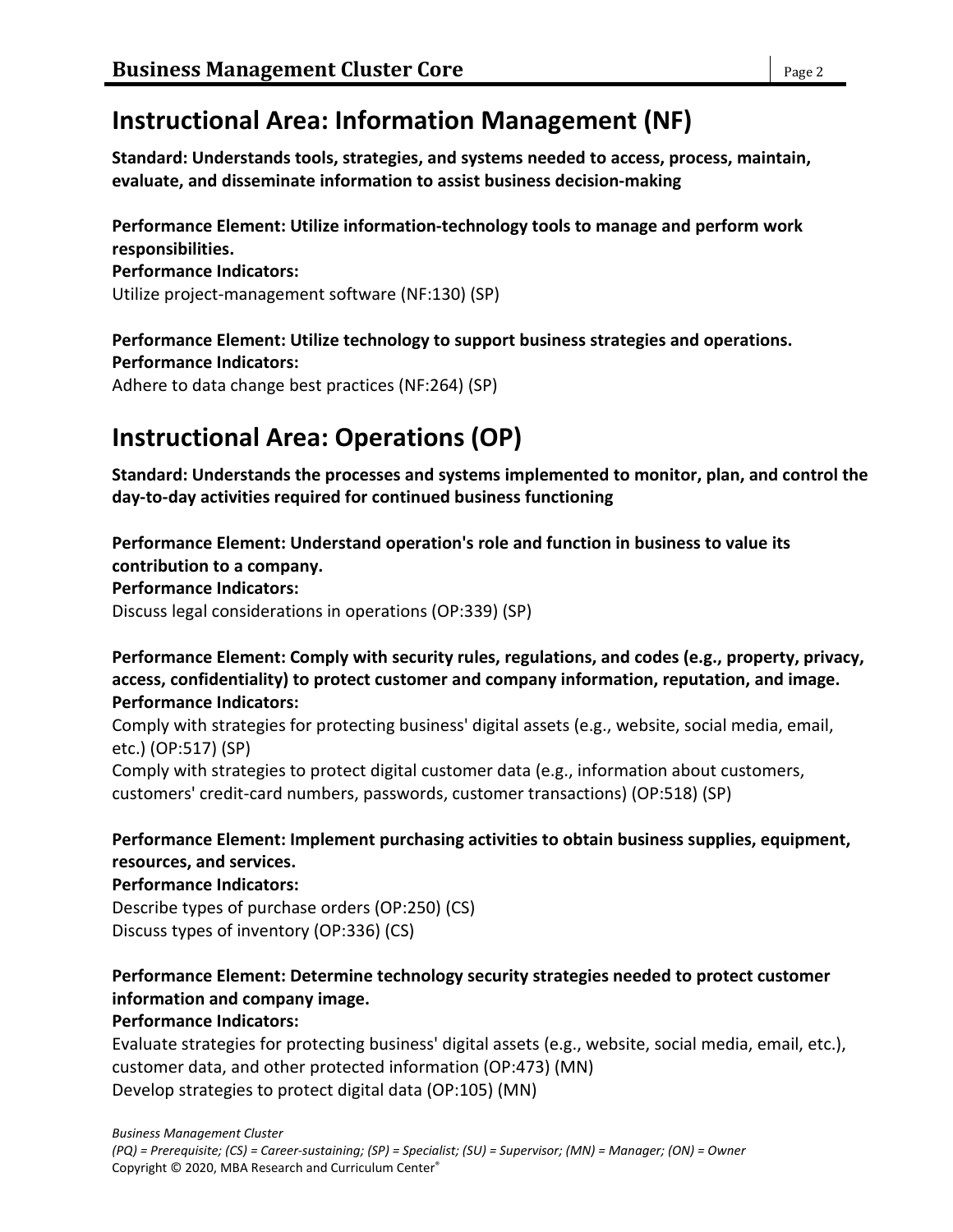# **Instructional Area: Information Management (NF)**

**Standard: Understands tools, strategies, and systems needed to access, process, maintain, evaluate, and disseminate information to assist business decision-making**

**Performance Element: Utilize information-technology tools to manage and perform work responsibilities.**

**Performance Indicators:** Utilize project-management software (NF:130) (SP)

#### **Performance Element: Utilize technology to support business strategies and operations. Performance Indicators:**

Adhere to data change best practices (NF:264) (SP)

# **Instructional Area: Operations (OP)**

**Standard: Understands the processes and systems implemented to monitor, plan, and control the day-to-day activities required for continued business functioning**

**Performance Element: Understand operation's role and function in business to value its contribution to a company.**

**Performance Indicators:**

Discuss legal considerations in operations (OP:339) (SP)

**Performance Element: Comply with security rules, regulations, and codes (e.g., property, privacy, access, confidentiality) to protect customer and company information, reputation, and image. Performance Indicators:**

Comply with strategies for protecting business' digital assets (e.g., website, social media, email, etc.) (OP:517) (SP)

Comply with strategies to protect digital customer data (e.g., information about customers, customers' credit-card numbers, passwords, customer transactions) (OP:518) (SP)

### **Performance Element: Implement purchasing activities to obtain business supplies, equipment, resources, and services.**

### **Performance Indicators:**

Describe types of purchase orders (OP:250) (CS) Discuss types of inventory (OP:336) (CS)

### **Performance Element: Determine technology security strategies needed to protect customer information and company image.**

### **Performance Indicators:**

Evaluate strategies for protecting business' digital assets (e.g., website, social media, email, etc.), customer data, and other protected information (OP:473) (MN) Develop strategies to protect digital data (OP:105) (MN)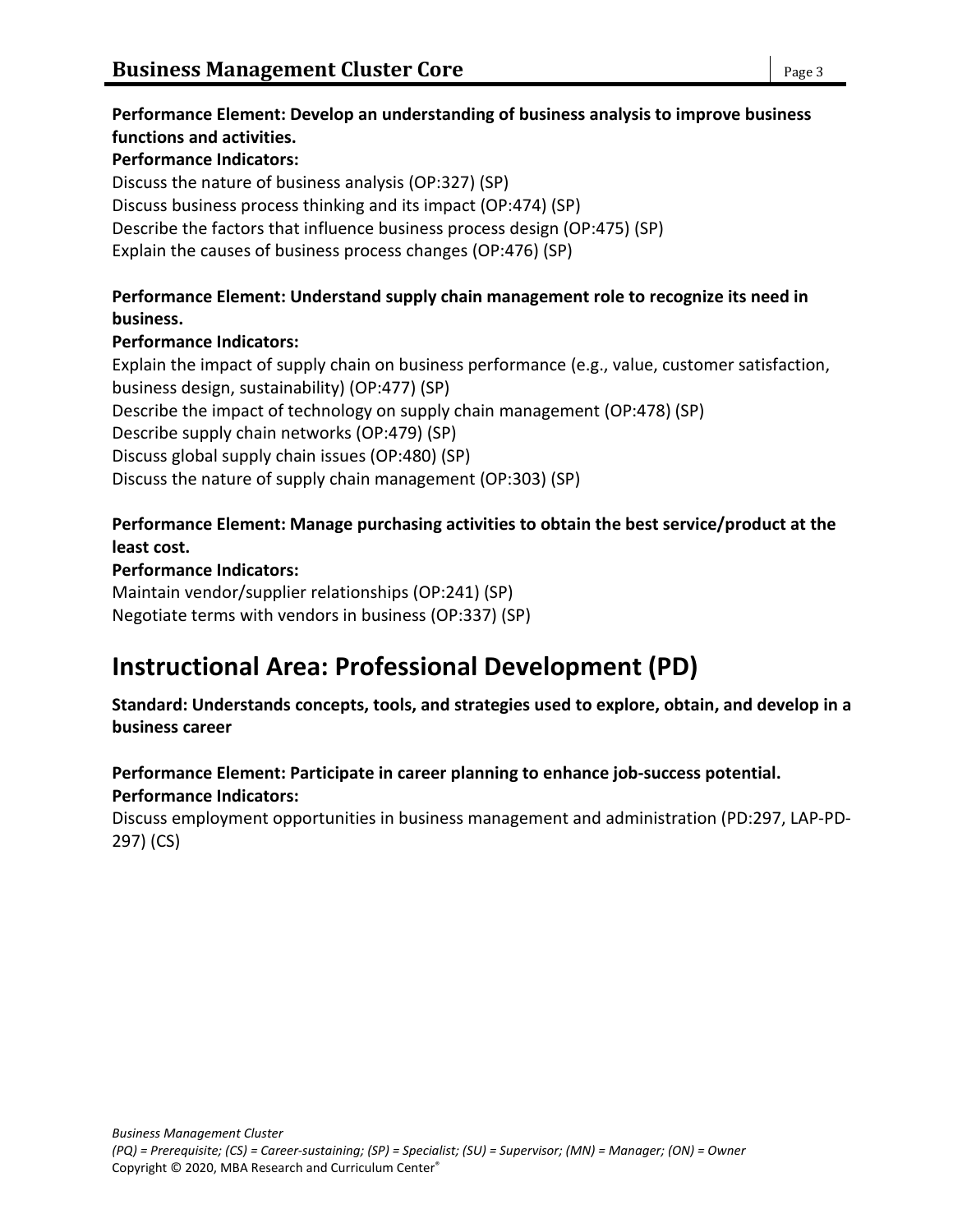# **Performance Element: Develop an understanding of business analysis to improve business functions and activities.**

#### **Performance Indicators:**

Discuss the nature of business analysis (OP:327) (SP) Discuss business process thinking and its impact (OP:474) (SP) Describe the factors that influence business process design (OP:475) (SP) Explain the causes of business process changes (OP:476) (SP)

### **Performance Element: Understand supply chain management role to recognize its need in business.**

### **Performance Indicators:**

Explain the impact of supply chain on business performance (e.g., value, customer satisfaction, business design, sustainability) (OP:477) (SP) Describe the impact of technology on supply chain management (OP:478) (SP) Describe supply chain networks (OP:479) (SP) Discuss global supply chain issues (OP:480) (SP) Discuss the nature of supply chain management (OP:303) (SP)

### **Performance Element: Manage purchasing activities to obtain the best service/product at the least cost.**

#### **Performance Indicators:**

Maintain vendor/supplier relationships (OP:241) (SP) Negotiate terms with vendors in business (OP:337) (SP)

# **Instructional Area: Professional Development (PD)**

**Standard: Understands concepts, tools, and strategies used to explore, obtain, and develop in a business career**

#### **Performance Element: Participate in career planning to enhance job-success potential. Performance Indicators:**

Discuss employment opportunities in business management and administration (PD:297, LAP-PD-297) (CS)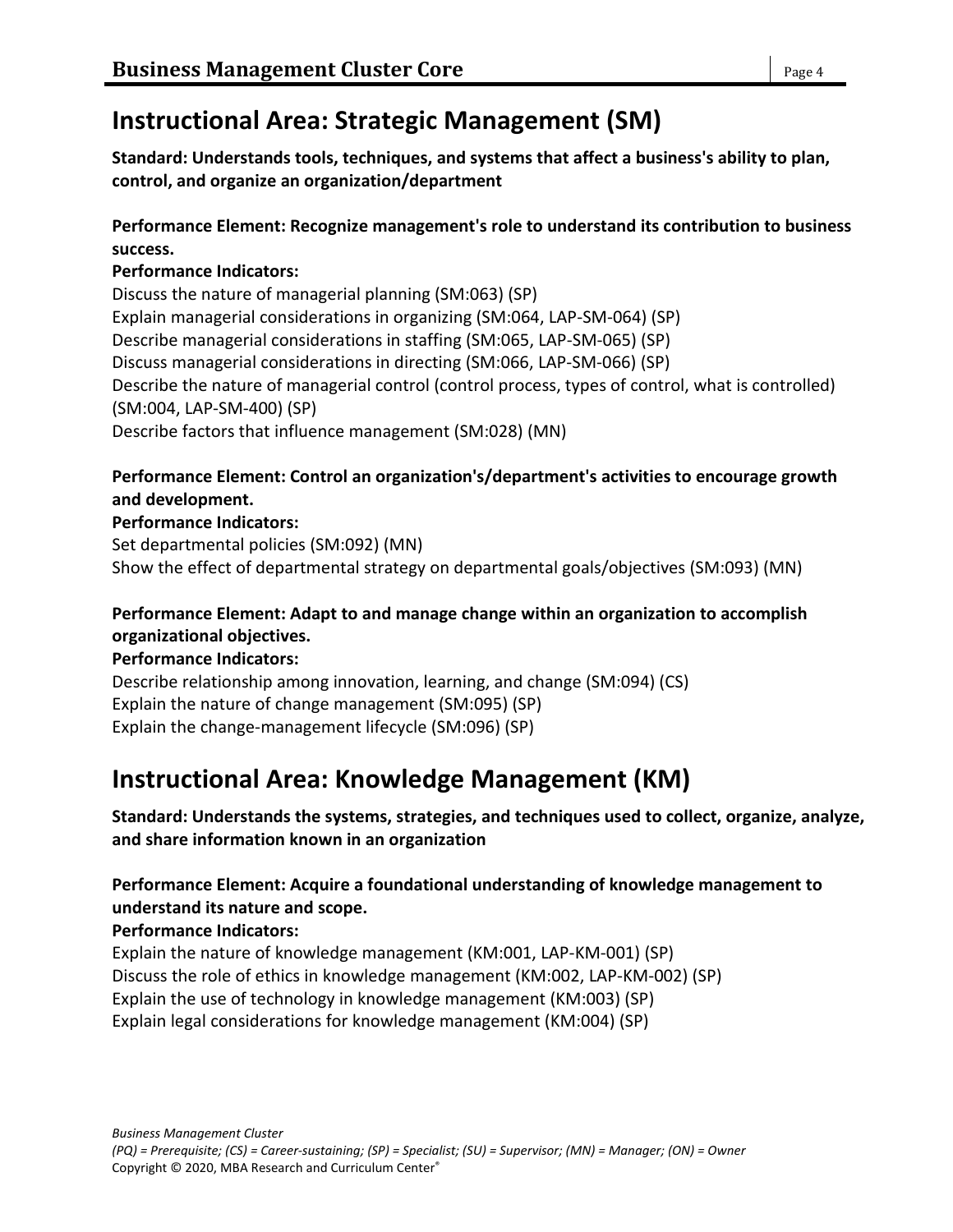# **Instructional Area: Strategic Management (SM)**

**Standard: Understands tools, techniques, and systems that affect a business's ability to plan, control, and organize an organization/department**

#### **Performance Element: Recognize management's role to understand its contribution to business success.**

#### **Performance Indicators:**

Discuss the nature of managerial planning (SM:063) (SP) Explain managerial considerations in organizing (SM:064, LAP-SM-064) (SP) Describe managerial considerations in staffing (SM:065, LAP-SM-065) (SP) Discuss managerial considerations in directing (SM:066, LAP-SM-066) (SP) Describe the nature of managerial control (control process, types of control, what is controlled) (SM:004, LAP-SM-400) (SP) Describe factors that influence management (SM:028) (MN)

### **Performance Element: Control an organization's/department's activities to encourage growth and development.**

#### **Performance Indicators:**

Set departmental policies (SM:092) (MN) Show the effect of departmental strategy on departmental goals/objectives (SM:093) (MN)

### **Performance Element: Adapt to and manage change within an organization to accomplish organizational objectives.**

#### **Performance Indicators:**

Describe relationship among innovation, learning, and change (SM:094) (CS) Explain the nature of change management (SM:095) (SP) Explain the change-management lifecycle (SM:096) (SP)

# **Instructional Area: Knowledge Management (KM)**

#### **Standard: Understands the systems, strategies, and techniques used to collect, organize, analyze, and share information known in an organization**

### **Performance Element: Acquire a foundational understanding of knowledge management to understand its nature and scope.**

#### **Performance Indicators:**

Explain the nature of knowledge management (KM:001, LAP-KM-001) (SP) Discuss the role of ethics in knowledge management (KM:002, LAP-KM-002) (SP) Explain the use of technology in knowledge management (KM:003) (SP) Explain legal considerations for knowledge management (KM:004) (SP)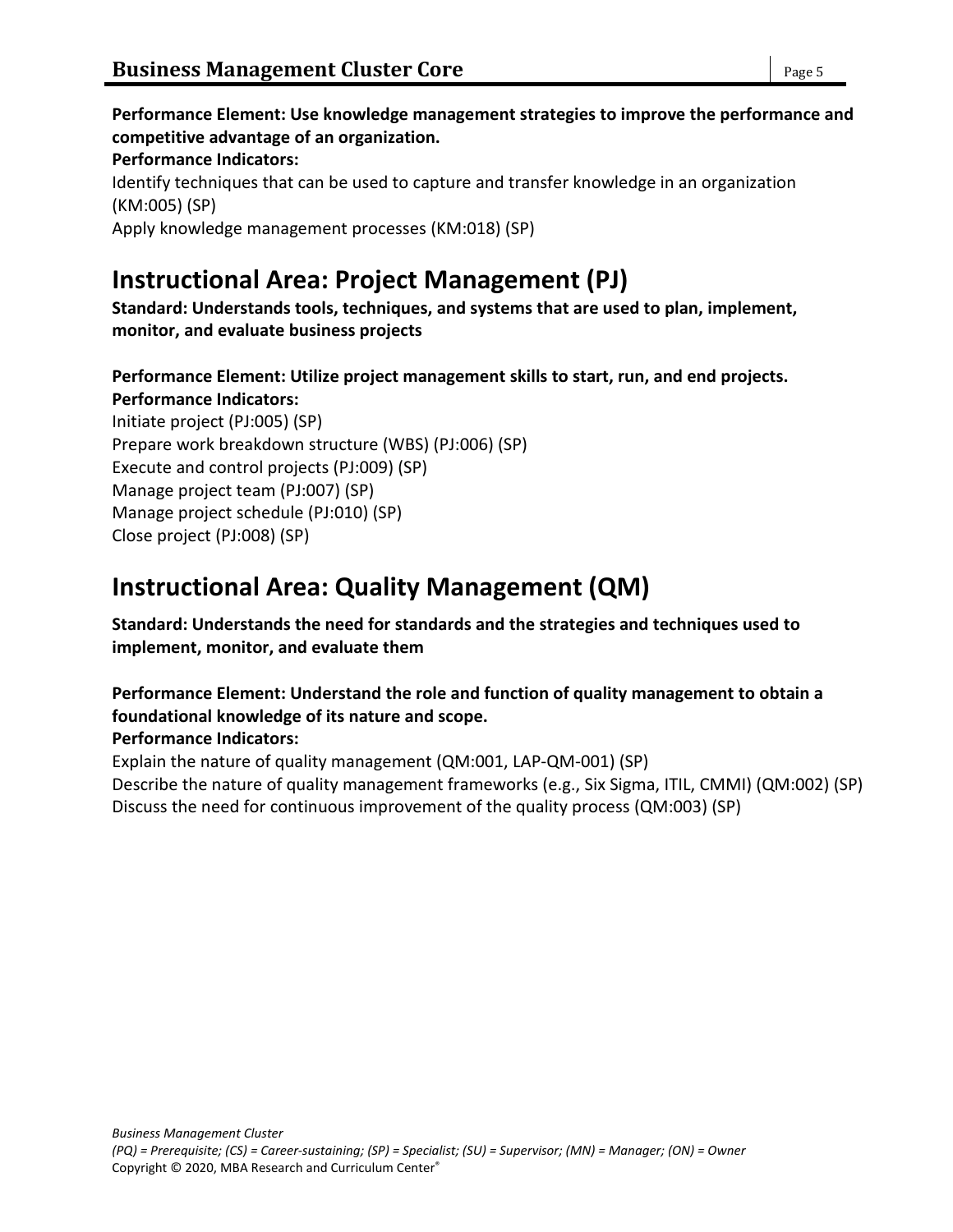# **Instructional Area: Project Management (PJ)**

**Standard: Understands tools, techniques, and systems that are used to plan, implement, monitor, and evaluate business projects**

**Performance Element: Utilize project management skills to start, run, and end projects. Performance Indicators:**

Initiate project (PJ:005) (SP) Prepare work breakdown structure (WBS) (PJ:006) (SP) Execute and control projects (PJ:009) (SP) Manage project team (PJ:007) (SP) Manage project schedule (PJ:010) (SP) Close project (PJ:008) (SP)

# **Instructional Area: Quality Management (QM)**

**Standard: Understands the need for standards and the strategies and techniques used to implement, monitor, and evaluate them**

# **Performance Element: Understand the role and function of quality management to obtain a foundational knowledge of its nature and scope.**

# **Performance Indicators:**

Explain the nature of quality management (QM:001, LAP-QM-001) (SP) Describe the nature of quality management frameworks (e.g., Six Sigma, ITIL, CMMI) (QM:002) (SP) Discuss the need for continuous improvement of the quality process (QM:003) (SP)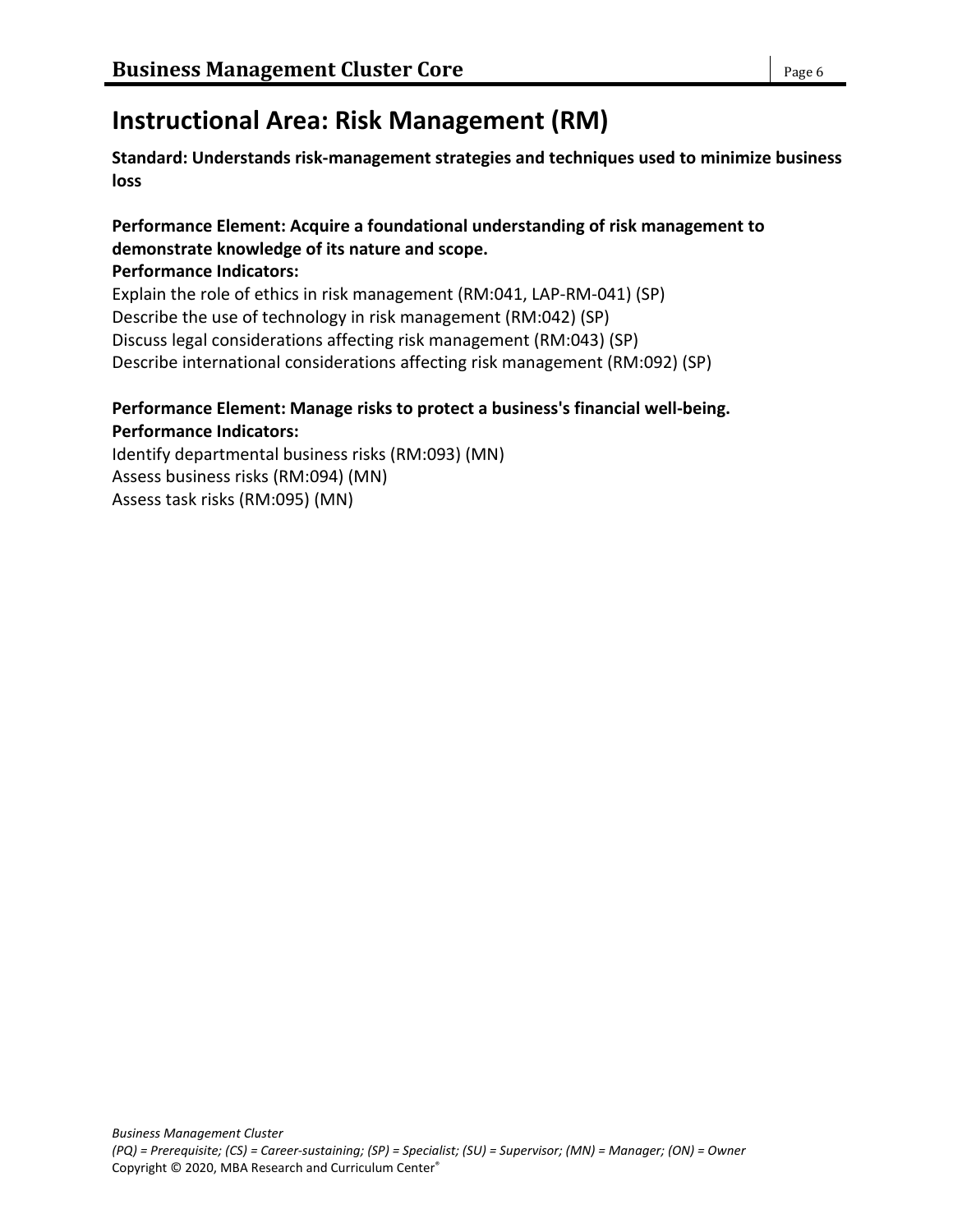# **Instructional Area: Risk Management (RM)**

**Standard: Understands risk-management strategies and techniques used to minimize business loss**

### **Performance Element: Acquire a foundational understanding of risk management to demonstrate knowledge of its nature and scope.**

**Performance Indicators:**

Explain the role of ethics in risk management (RM:041, LAP-RM-041) (SP) Describe the use of technology in risk management (RM:042) (SP) Discuss legal considerations affecting risk management (RM:043) (SP) Describe international considerations affecting risk management (RM:092) (SP)

# **Performance Element: Manage risks to protect a business's financial well-being.**

**Performance Indicators:** Identify departmental business risks (RM:093) (MN) Assess business risks (RM:094) (MN) Assess task risks (RM:095) (MN)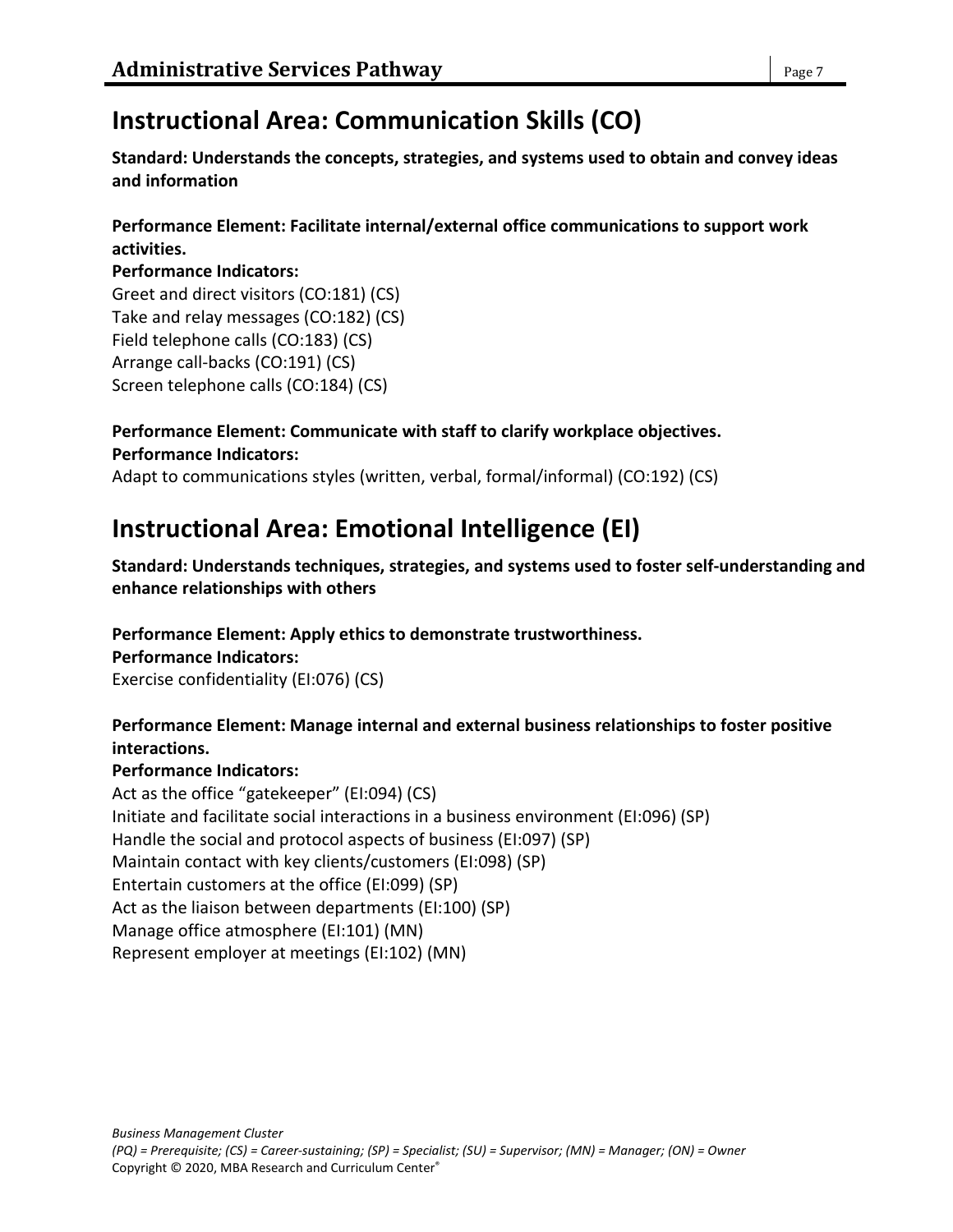# **Instructional Area: Communication Skills (CO)**

**Standard: Understands the concepts, strategies, and systems used to obtain and convey ideas and information**

### **Performance Element: Facilitate internal/external office communications to support work activities.**

### **Performance Indicators:**

Greet and direct visitors (CO:181) (CS) Take and relay messages (CO:182) (CS) Field telephone calls (CO:183) (CS) Arrange call-backs (CO:191) (CS) Screen telephone calls (CO:184) (CS)

#### **Performance Element: Communicate with staff to clarify workplace objectives. Performance Indicators:**

Adapt to communications styles (written, verbal, formal/informal) (CO:192) (CS)

# **Instructional Area: Emotional Intelligence (EI)**

**Standard: Understands techniques, strategies, and systems used to foster self-understanding and enhance relationships with others**

### **Performance Element: Apply ethics to demonstrate trustworthiness.**

### **Performance Indicators:**

Exercise confidentiality (EI:076) (CS)

### **Performance Element: Manage internal and external business relationships to foster positive interactions.**

### **Performance Indicators:**

Act as the office "gatekeeper" (EI:094) (CS) Initiate and facilitate social interactions in a business environment (EI:096) (SP) Handle the social and protocol aspects of business (EI:097) (SP) Maintain contact with key clients/customers (EI:098) (SP) Entertain customers at the office (EI:099) (SP) Act as the liaison between departments (EI:100) (SP) Manage office atmosphere (EI:101) (MN) Represent employer at meetings (EI:102) (MN)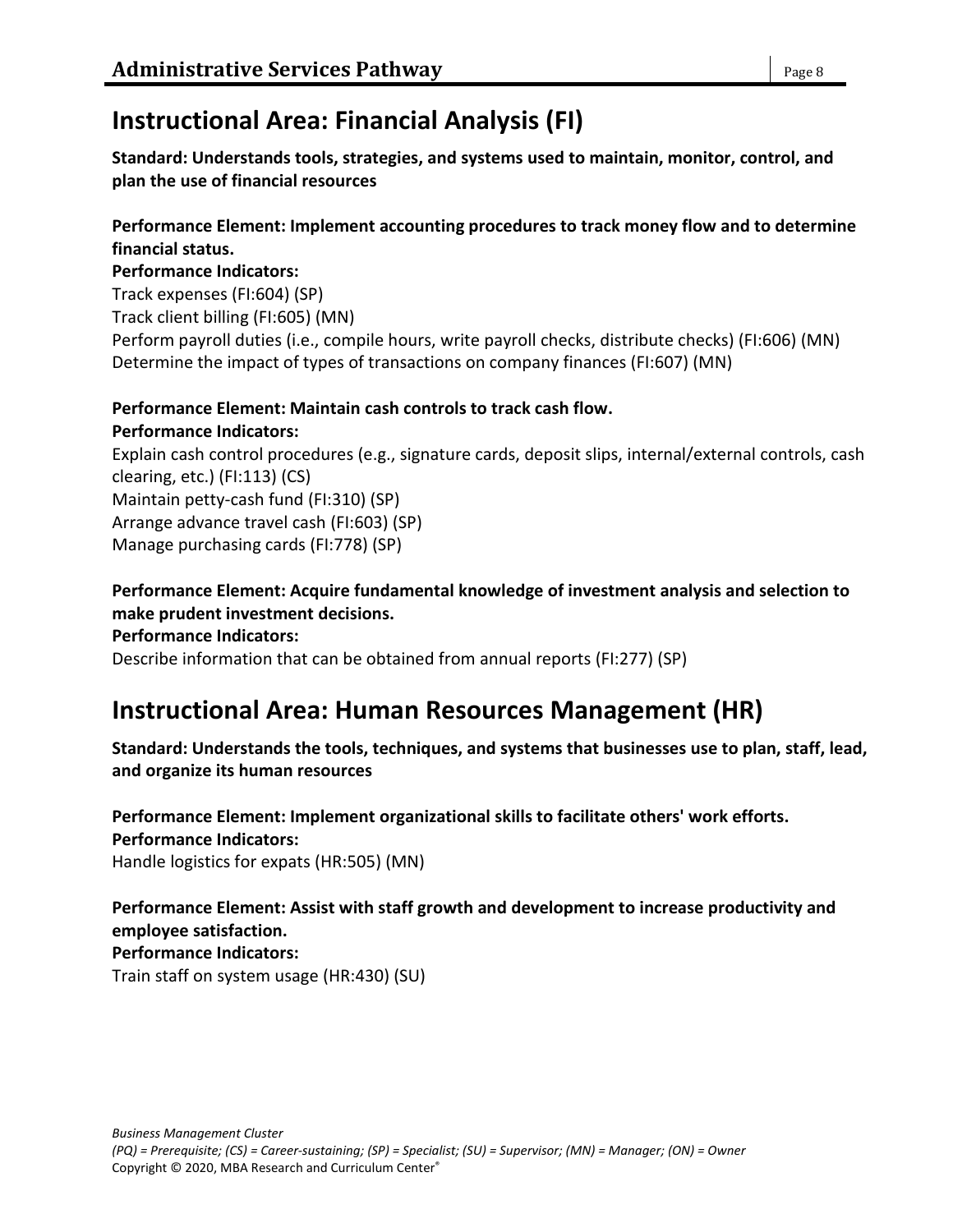# **Instructional Area: Financial Analysis (FI)**

**Standard: Understands tools, strategies, and systems used to maintain, monitor, control, and plan the use of financial resources**

#### **Performance Element: Implement accounting procedures to track money flow and to determine financial status.**

#### **Performance Indicators:**

Track expenses (FI:604) (SP) Track client billing (FI:605) (MN) Perform payroll duties (i.e., compile hours, write payroll checks, distribute checks) (FI:606) (MN) Determine the impact of types of transactions on company finances (FI:607) (MN)

#### **Performance Element: Maintain cash controls to track cash flow.**

**Performance Indicators:** Explain cash control procedures (e.g., signature cards, deposit slips, internal/external controls, cash clearing, etc.) (FI:113) (CS) Maintain petty-cash fund (FI:310) (SP) Arrange advance travel cash (FI:603) (SP) Manage purchasing cards (FI:778) (SP)

**Performance Element: Acquire fundamental knowledge of investment analysis and selection to make prudent investment decisions. Performance Indicators:**

Describe information that can be obtained from annual reports (FI:277) (SP)

# **Instructional Area: Human Resources Management (HR)**

**Standard: Understands the tools, techniques, and systems that businesses use to plan, staff, lead, and organize its human resources**

#### **Performance Element: Implement organizational skills to facilitate others' work efforts. Performance Indicators:** Handle logistics for expats (HR:505) (MN)

**Performance Element: Assist with staff growth and development to increase productivity and employee satisfaction. Performance Indicators:** Train staff on system usage (HR:430) (SU)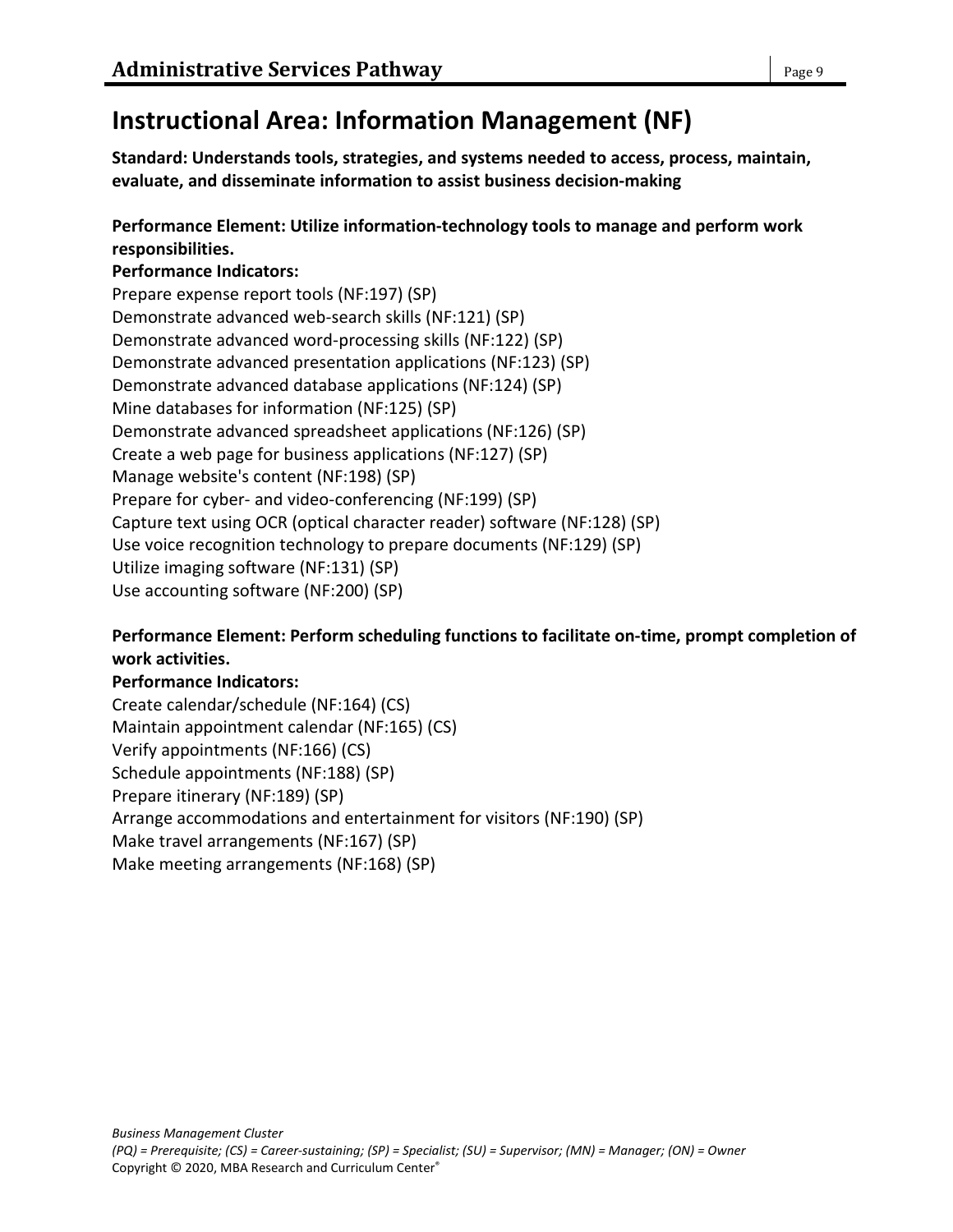# **Instructional Area: Information Management (NF)**

**Standard: Understands tools, strategies, and systems needed to access, process, maintain, evaluate, and disseminate information to assist business decision-making**

### **Performance Element: Utilize information-technology tools to manage and perform work responsibilities.**

### **Performance Indicators:**

Prepare expense report tools (NF:197) (SP) Demonstrate advanced web-search skills (NF:121) (SP) Demonstrate advanced word-processing skills (NF:122) (SP) Demonstrate advanced presentation applications (NF:123) (SP) Demonstrate advanced database applications (NF:124) (SP) Mine databases for information (NF:125) (SP) Demonstrate advanced spreadsheet applications (NF:126) (SP) Create a web page for business applications (NF:127) (SP) Manage website's content (NF:198) (SP) Prepare for cyber- and video-conferencing (NF:199) (SP) Capture text using OCR (optical character reader) software (NF:128) (SP) Use voice recognition technology to prepare documents (NF:129) (SP) Utilize imaging software (NF:131) (SP) Use accounting software (NF:200) (SP)

### **Performance Element: Perform scheduling functions to facilitate on-time, prompt completion of work activities.**

### **Performance Indicators:**

Create calendar/schedule (NF:164) (CS) Maintain appointment calendar (NF:165) (CS) Verify appointments (NF:166) (CS) Schedule appointments (NF:188) (SP) Prepare itinerary (NF:189) (SP) Arrange accommodations and entertainment for visitors (NF:190) (SP) Make travel arrangements (NF:167) (SP) Make meeting arrangements (NF:168) (SP)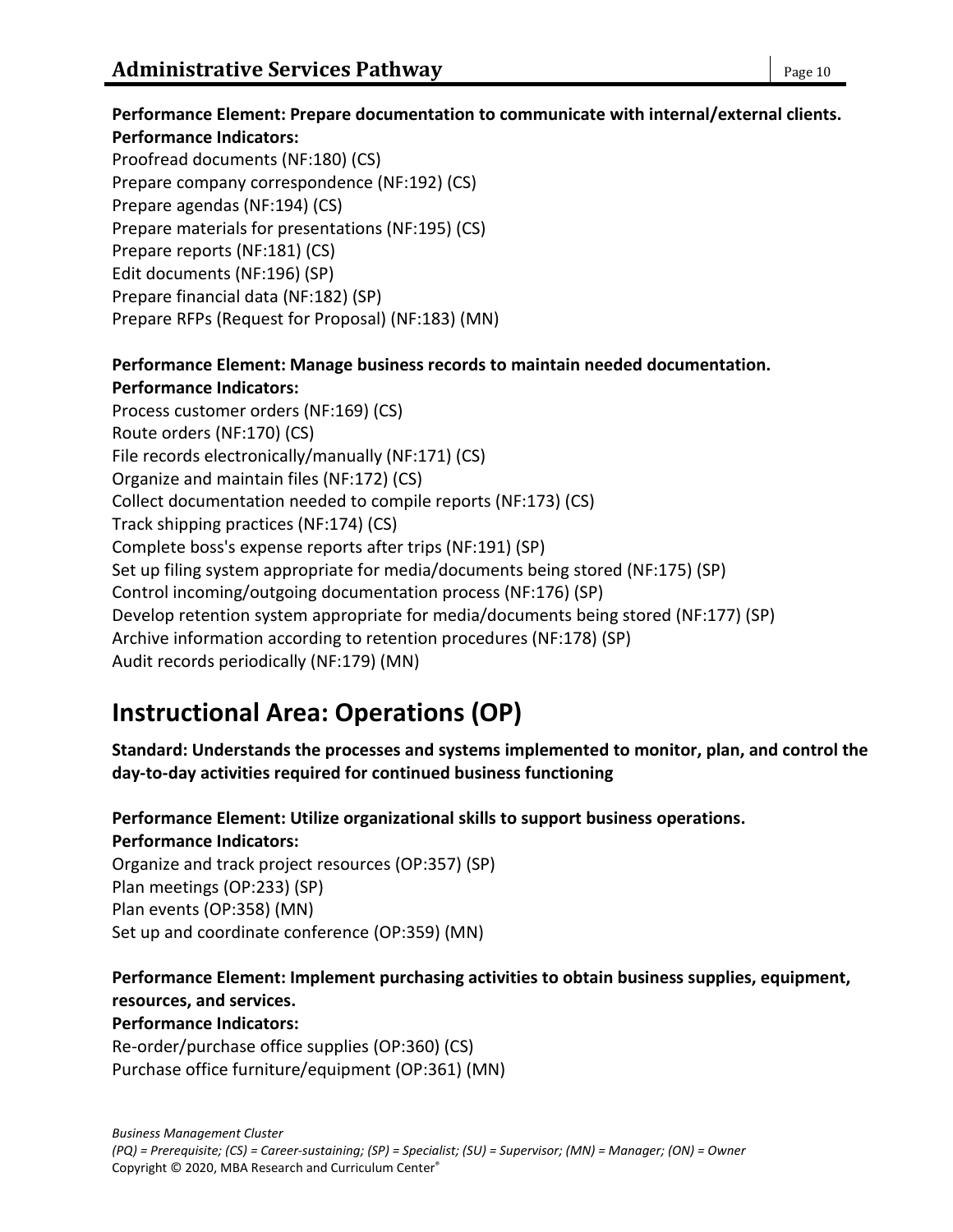#### **Performance Element: Prepare documentation to communicate with internal/external clients. Performance Indicators:**

Proofread documents (NF:180) (CS) Prepare company correspondence (NF:192) (CS) Prepare agendas (NF:194) (CS) Prepare materials for presentations (NF:195) (CS) Prepare reports (NF:181) (CS) Edit documents (NF:196) (SP) Prepare financial data (NF:182) (SP) Prepare RFPs (Request for Proposal) (NF:183) (MN)

#### **Performance Element: Manage business records to maintain needed documentation. Performance Indicators:**

Process customer orders (NF:169) (CS) Route orders (NF:170) (CS) File records electronically/manually (NF:171) (CS) Organize and maintain files (NF:172) (CS) Collect documentation needed to compile reports (NF:173) (CS) Track shipping practices (NF:174) (CS) Complete boss's expense reports after trips (NF:191) (SP) Set up filing system appropriate for media/documents being stored (NF:175) (SP) Control incoming/outgoing documentation process (NF:176) (SP) Develop retention system appropriate for media/documents being stored (NF:177) (SP) Archive information according to retention procedures (NF:178) (SP) Audit records periodically (NF:179) (MN)

# **Instructional Area: Operations (OP)**

**Standard: Understands the processes and systems implemented to monitor, plan, and control the day-to-day activities required for continued business functioning**

# **Performance Element: Utilize organizational skills to support business operations. Performance Indicators:**

Organize and track project resources (OP:357) (SP) Plan meetings (OP:233) (SP) Plan events (OP:358) (MN) Set up and coordinate conference (OP:359) (MN)

#### **Performance Element: Implement purchasing activities to obtain business supplies, equipment, resources, and services. Performance Indicators:**

Re-order/purchase office supplies (OP:360) (CS) Purchase office furniture/equipment (OP:361) (MN)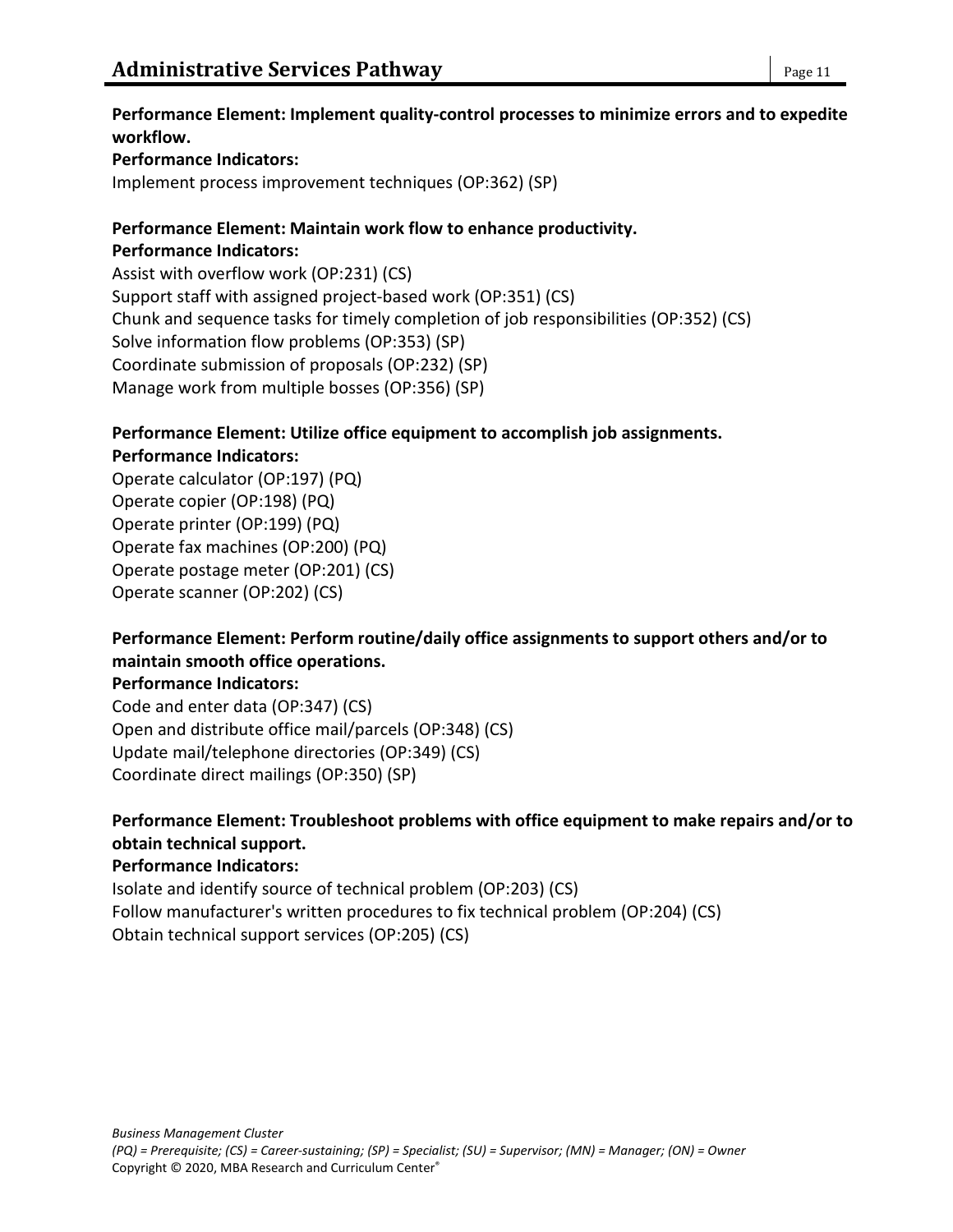#### **Performance Element: Implement quality-control processes to minimize errors and to expedite workflow.**

#### **Performance Indicators:**

Implement process improvement techniques (OP:362) (SP)

#### **Performance Element: Maintain work flow to enhance productivity. Performance Indicators:**

Assist with overflow work (OP:231) (CS) Support staff with assigned project-based work (OP:351) (CS) Chunk and sequence tasks for timely completion of job responsibilities (OP:352) (CS) Solve information flow problems (OP:353) (SP) Coordinate submission of proposals (OP:232) (SP) Manage work from multiple bosses (OP:356) (SP)

#### **Performance Element: Utilize office equipment to accomplish job assignments. Performance Indicators:**

Operate calculator (OP:197) (PQ) Operate copier (OP:198) (PQ) Operate printer (OP:199) (PQ) Operate fax machines (OP:200) (PQ) Operate postage meter (OP:201) (CS) Operate scanner (OP:202) (CS)

### **Performance Element: Perform routine/daily office assignments to support others and/or to maintain smooth office operations.**

**Performance Indicators:**

Code and enter data (OP:347) (CS) Open and distribute office mail/parcels (OP:348) (CS) Update mail/telephone directories (OP:349) (CS) Coordinate direct mailings (OP:350) (SP)

### **Performance Element: Troubleshoot problems with office equipment to make repairs and/or to obtain technical support.**

#### **Performance Indicators:**

Isolate and identify source of technical problem (OP:203) (CS) Follow manufacturer's written procedures to fix technical problem (OP:204) (CS) Obtain technical support services (OP:205) (CS)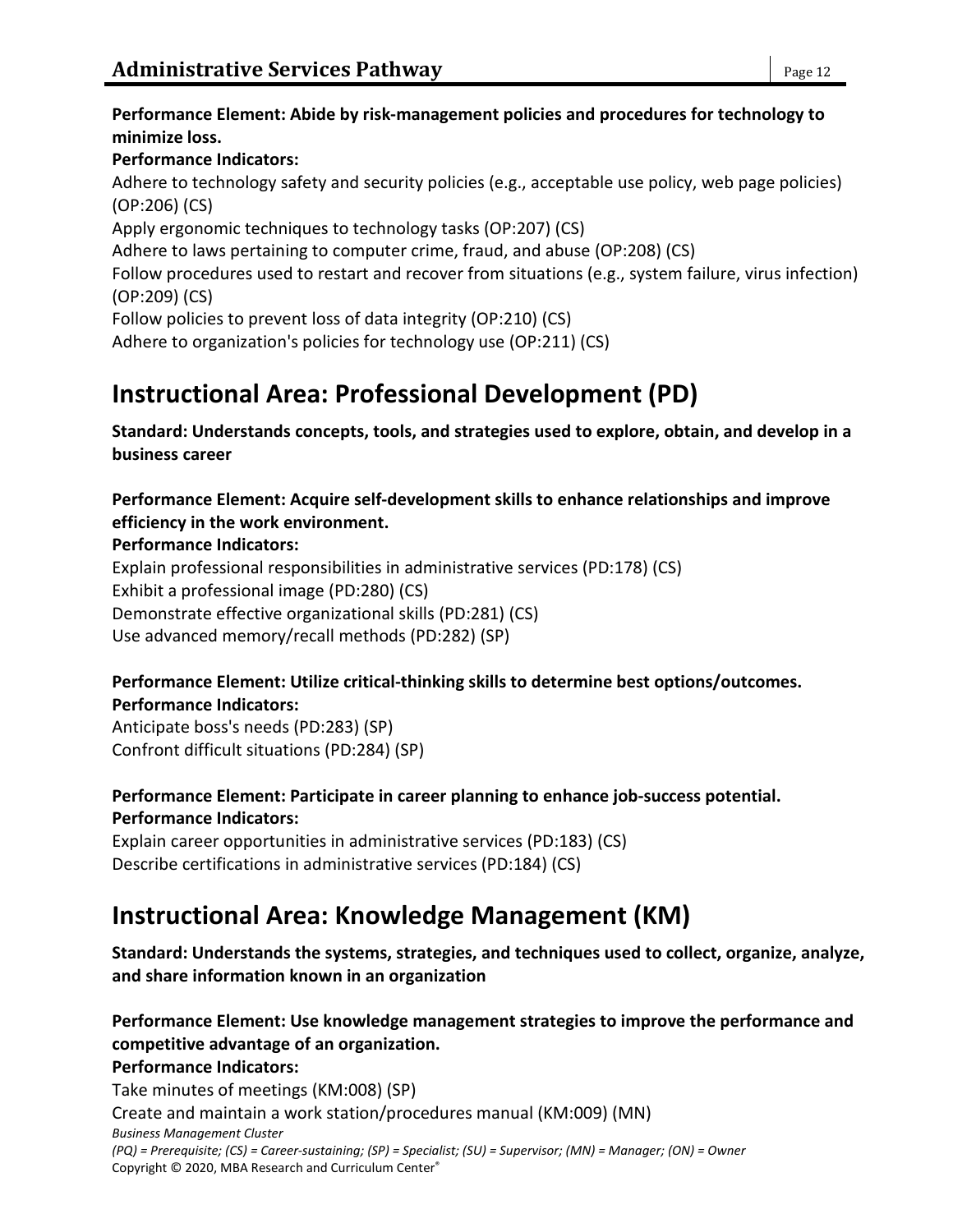#### **Performance Element: Abide by risk-management policies and procedures for technology to minimize loss.**

### **Performance Indicators:**

Adhere to technology safety and security policies (e.g., acceptable use policy, web page policies) (OP:206) (CS)

Apply ergonomic techniques to technology tasks (OP:207) (CS)

Adhere to laws pertaining to computer crime, fraud, and abuse (OP:208) (CS)

Follow procedures used to restart and recover from situations (e.g., system failure, virus infection) (OP:209) (CS)

Follow policies to prevent loss of data integrity (OP:210) (CS)

Adhere to organization's policies for technology use (OP:211) (CS)

# **Instructional Area: Professional Development (PD)**

**Standard: Understands concepts, tools, and strategies used to explore, obtain, and develop in a business career**

**Performance Element: Acquire self-development skills to enhance relationships and improve efficiency in the work environment.**

### **Performance Indicators:**

Explain professional responsibilities in administrative services (PD:178) (CS) Exhibit a professional image (PD:280) (CS)

Demonstrate effective organizational skills (PD:281) (CS)

Use advanced memory/recall methods (PD:282) (SP)

#### **Performance Element: Utilize critical-thinking skills to determine best options/outcomes. Performance Indicators:**

Anticipate boss's needs (PD:283) (SP) Confront difficult situations (PD:284) (SP)

### **Performance Element: Participate in career planning to enhance job-success potential. Performance Indicators:**

Explain career opportunities in administrative services (PD:183) (CS) Describe certifications in administrative services (PD:184) (CS)

# **Instructional Area: Knowledge Management (KM)**

**Standard: Understands the systems, strategies, and techniques used to collect, organize, analyze, and share information known in an organization**

# **Performance Element: Use knowledge management strategies to improve the performance and competitive advantage of an organization.**

### **Performance Indicators:**

*Business Management Cluster (PQ) = Prerequisite; (CS) = Career-sustaining; (SP) = Specialist; (SU) = Supervisor; (MN) = Manager; (ON) = Owner* Copyright © 2020, MBA Research and Curriculum Center® Take minutes of meetings (KM:008) (SP) Create and maintain a work station/procedures manual (KM:009) (MN)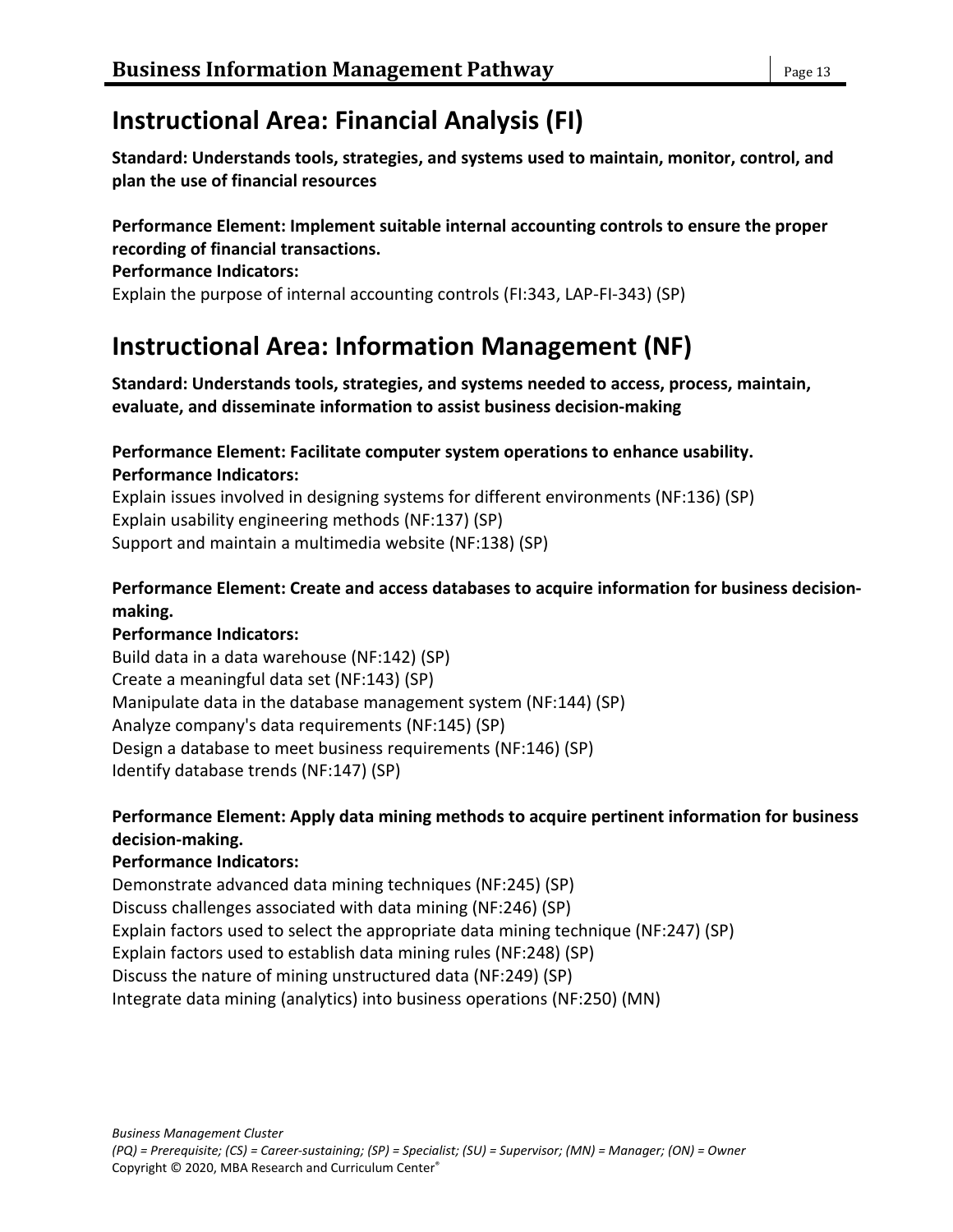# **Instructional Area: Financial Analysis (FI)**

**Standard: Understands tools, strategies, and systems used to maintain, monitor, control, and plan the use of financial resources**

#### **Performance Element: Implement suitable internal accounting controls to ensure the proper recording of financial transactions.**

#### **Performance Indicators:**

Explain the purpose of internal accounting controls (FI:343, LAP-FI-343) (SP)

# **Instructional Area: Information Management (NF)**

**Standard: Understands tools, strategies, and systems needed to access, process, maintain, evaluate, and disseminate information to assist business decision-making**

#### **Performance Element: Facilitate computer system operations to enhance usability. Performance Indicators:**

Explain issues involved in designing systems for different environments (NF:136) (SP) Explain usability engineering methods (NF:137) (SP) Support and maintain a multimedia website (NF:138) (SP)

### **Performance Element: Create and access databases to acquire information for business decisionmaking.**

### **Performance Indicators:**

Build data in a data warehouse (NF:142) (SP) Create a meaningful data set (NF:143) (SP) Manipulate data in the database management system (NF:144) (SP) Analyze company's data requirements (NF:145) (SP) Design a database to meet business requirements (NF:146) (SP) Identify database trends (NF:147) (SP)

### **Performance Element: Apply data mining methods to acquire pertinent information for business decision-making.**

### **Performance Indicators:**

Demonstrate advanced data mining techniques (NF:245) (SP) Discuss challenges associated with data mining (NF:246) (SP) Explain factors used to select the appropriate data mining technique (NF:247) (SP) Explain factors used to establish data mining rules (NF:248) (SP) Discuss the nature of mining unstructured data (NF:249) (SP) Integrate data mining (analytics) into business operations (NF:250) (MN)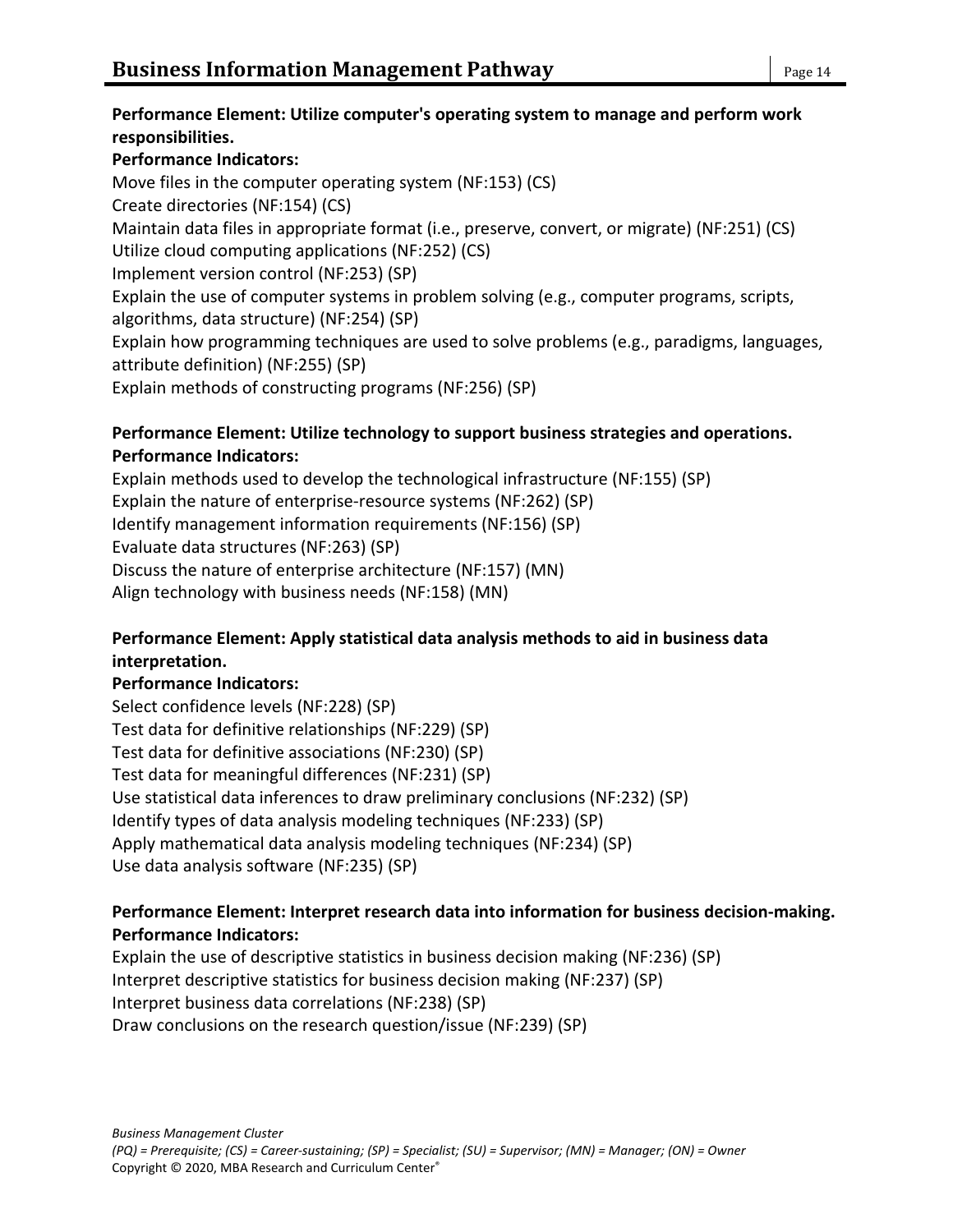#### **Performance Element: Utilize computer's operating system to manage and perform work responsibilities.**

### **Performance Indicators:**

Move files in the computer operating system (NF:153) (CS) Create directories (NF:154) (CS) Maintain data files in appropriate format (i.e., preserve, convert, or migrate) (NF:251) (CS) Utilize cloud computing applications (NF:252) (CS) Implement version control (NF:253) (SP) Explain the use of computer systems in problem solving (e.g., computer programs, scripts, algorithms, data structure) (NF:254) (SP) Explain how programming techniques are used to solve problems (e.g., paradigms, languages, attribute definition) (NF:255) (SP) Explain methods of constructing programs (NF:256) (SP)

### **Performance Element: Utilize technology to support business strategies and operations. Performance Indicators:**

Explain methods used to develop the technological infrastructure (NF:155) (SP) Explain the nature of enterprise-resource systems (NF:262) (SP) Identify management information requirements (NF:156) (SP) Evaluate data structures (NF:263) (SP) Discuss the nature of enterprise architecture (NF:157) (MN) Align technology with business needs (NF:158) (MN)

### **Performance Element: Apply statistical data analysis methods to aid in business data interpretation.**

### **Performance Indicators:**

Select confidence levels (NF:228) (SP) Test data for definitive relationships (NF:229) (SP) Test data for definitive associations (NF:230) (SP) Test data for meaningful differences (NF:231) (SP) Use statistical data inferences to draw preliminary conclusions (NF:232) (SP) Identify types of data analysis modeling techniques (NF:233) (SP) Apply mathematical data analysis modeling techniques (NF:234) (SP) Use data analysis software (NF:235) (SP)

### **Performance Element: Interpret research data into information for business decision-making. Performance Indicators:**

Explain the use of descriptive statistics in business decision making (NF:236) (SP) Interpret descriptive statistics for business decision making (NF:237) (SP) Interpret business data correlations (NF:238) (SP) Draw conclusions on the research question/issue (NF:239) (SP)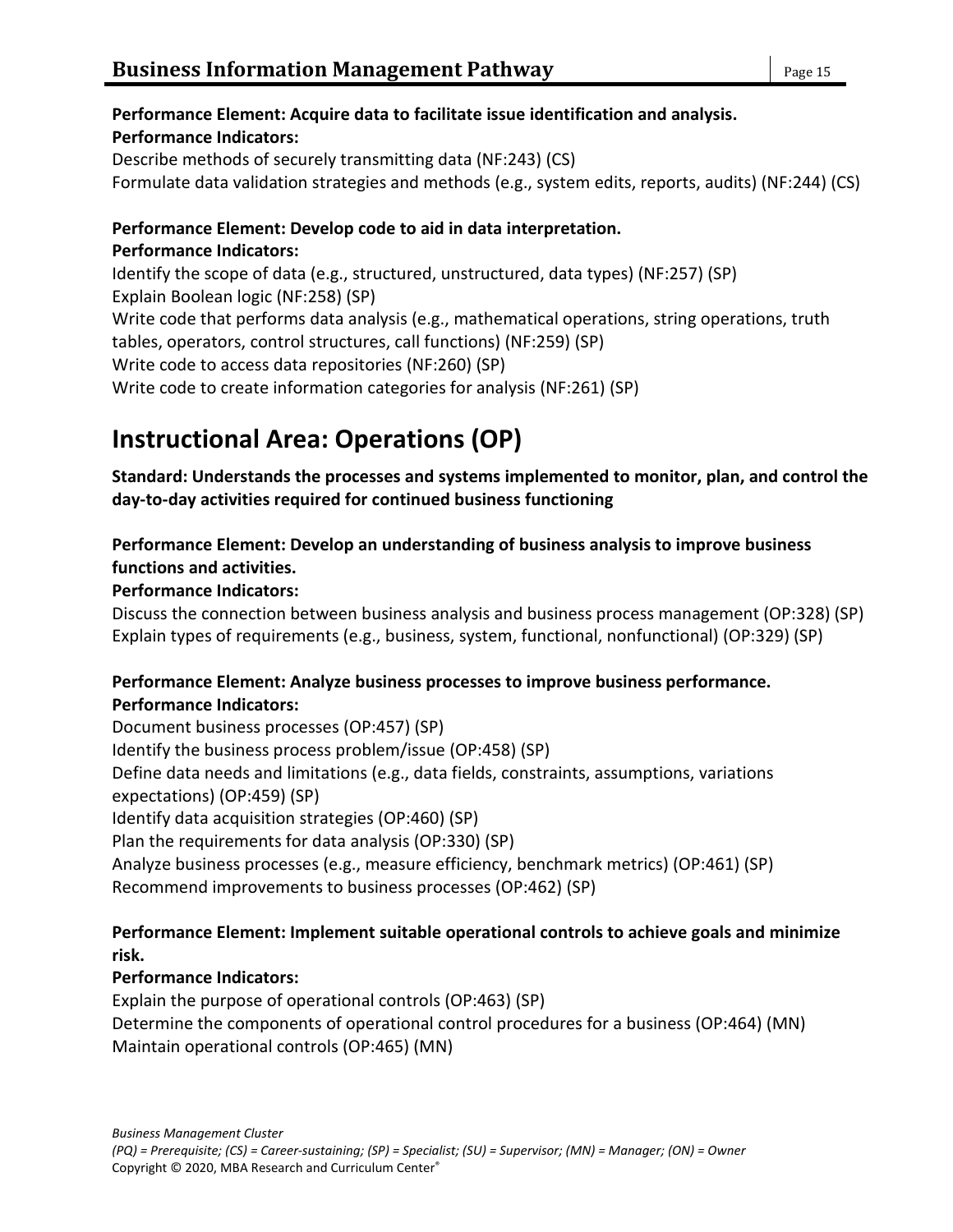### **Performance Element: Acquire data to facilitate issue identification and analysis. Performance Indicators:**

Describe methods of securely transmitting data (NF:243) (CS) Formulate data validation strategies and methods (e.g., system edits, reports, audits) (NF:244) (CS)

#### **Performance Element: Develop code to aid in data interpretation. Performance Indicators:**

Identify the scope of data (e.g., structured, unstructured, data types) (NF:257) (SP) Explain Boolean logic (NF:258) (SP) Write code that performs data analysis (e.g., mathematical operations, string operations, truth tables, operators, control structures, call functions) (NF:259) (SP) Write code to access data repositories (NF:260) (SP) Write code to create information categories for analysis (NF:261) (SP)

# **Instructional Area: Operations (OP)**

**Standard: Understands the processes and systems implemented to monitor, plan, and control the day-to-day activities required for continued business functioning**

### **Performance Element: Develop an understanding of business analysis to improve business functions and activities.**

### **Performance Indicators:**

Discuss the connection between business analysis and business process management (OP:328) (SP) Explain types of requirements (e.g., business, system, functional, nonfunctional) (OP:329) (SP)

### **Performance Element: Analyze business processes to improve business performance. Performance Indicators:**

Document business processes (OP:457) (SP) Identify the business process problem/issue (OP:458) (SP) Define data needs and limitations (e.g., data fields, constraints, assumptions, variations expectations) (OP:459) (SP) Identify data acquisition strategies (OP:460) (SP) Plan the requirements for data analysis (OP:330) (SP) Analyze business processes (e.g., measure efficiency, benchmark metrics) (OP:461) (SP) Recommend improvements to business processes (OP:462) (SP)

### **Performance Element: Implement suitable operational controls to achieve goals and minimize risk.**

### **Performance Indicators:**

Explain the purpose of operational controls (OP:463) (SP) Determine the components of operational control procedures for a business (OP:464) (MN) Maintain operational controls (OP:465) (MN)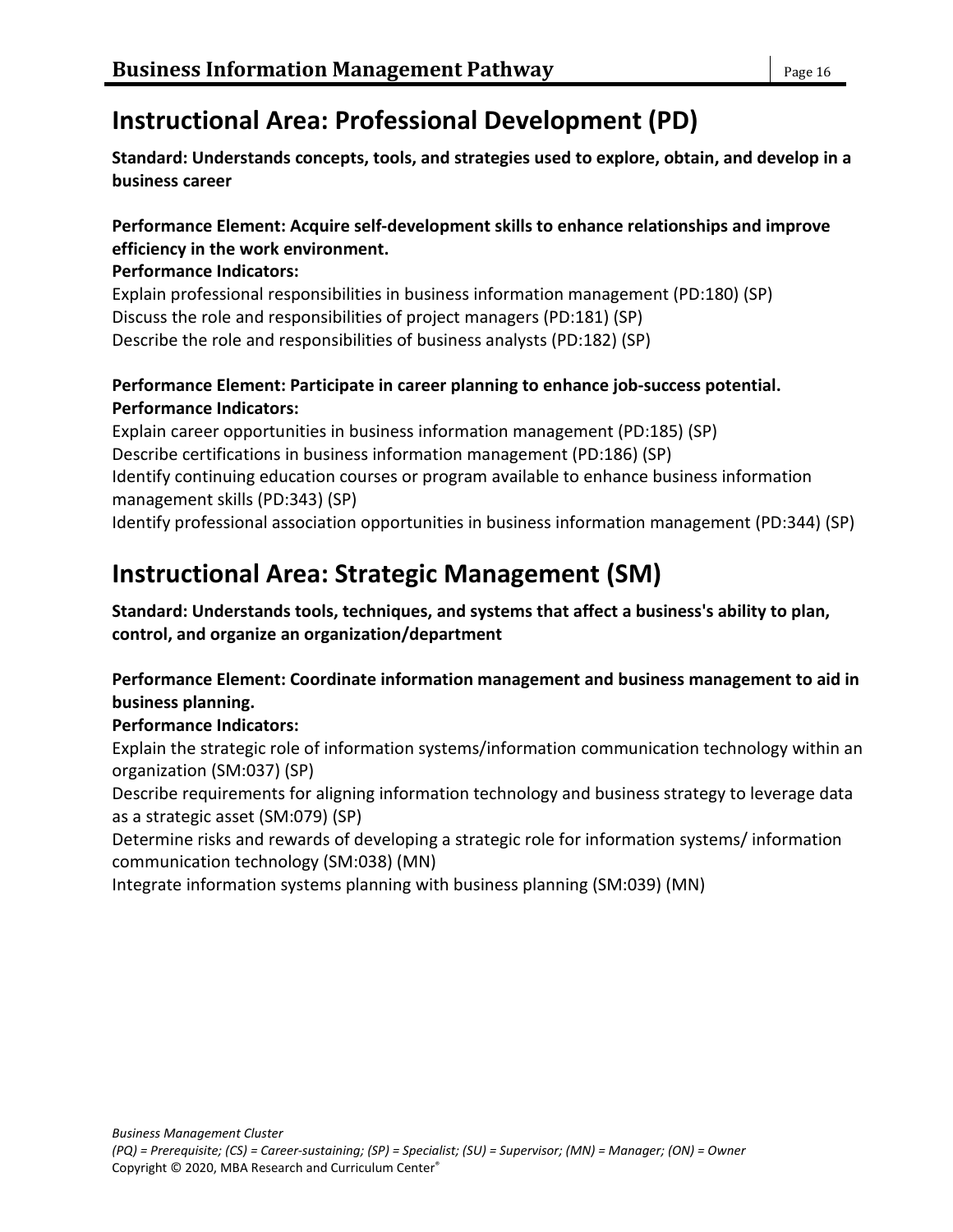# **Instructional Area: Professional Development (PD)**

**Standard: Understands concepts, tools, and strategies used to explore, obtain, and develop in a business career**

### **Performance Element: Acquire self-development skills to enhance relationships and improve efficiency in the work environment.**

**Performance Indicators:**

Explain professional responsibilities in business information management (PD:180) (SP) Discuss the role and responsibilities of project managers (PD:181) (SP) Describe the role and responsibilities of business analysts (PD:182) (SP)

### **Performance Element: Participate in career planning to enhance job-success potential. Performance Indicators:**

Explain career opportunities in business information management (PD:185) (SP) Describe certifications in business information management (PD:186) (SP) Identify continuing education courses or program available to enhance business information management skills (PD:343) (SP) Identify professional association opportunities in business information management (PD:344) (SP)

# **Instructional Area: Strategic Management (SM)**

**Standard: Understands tools, techniques, and systems that affect a business's ability to plan, control, and organize an organization/department**

**Performance Element: Coordinate information management and business management to aid in business planning.**

### **Performance Indicators:**

Explain the strategic role of information systems/information communication technology within an organization (SM:037) (SP)

Describe requirements for aligning information technology and business strategy to leverage data as a strategic asset (SM:079) (SP)

Determine risks and rewards of developing a strategic role for information systems/ information communication technology (SM:038) (MN)

Integrate information systems planning with business planning (SM:039) (MN)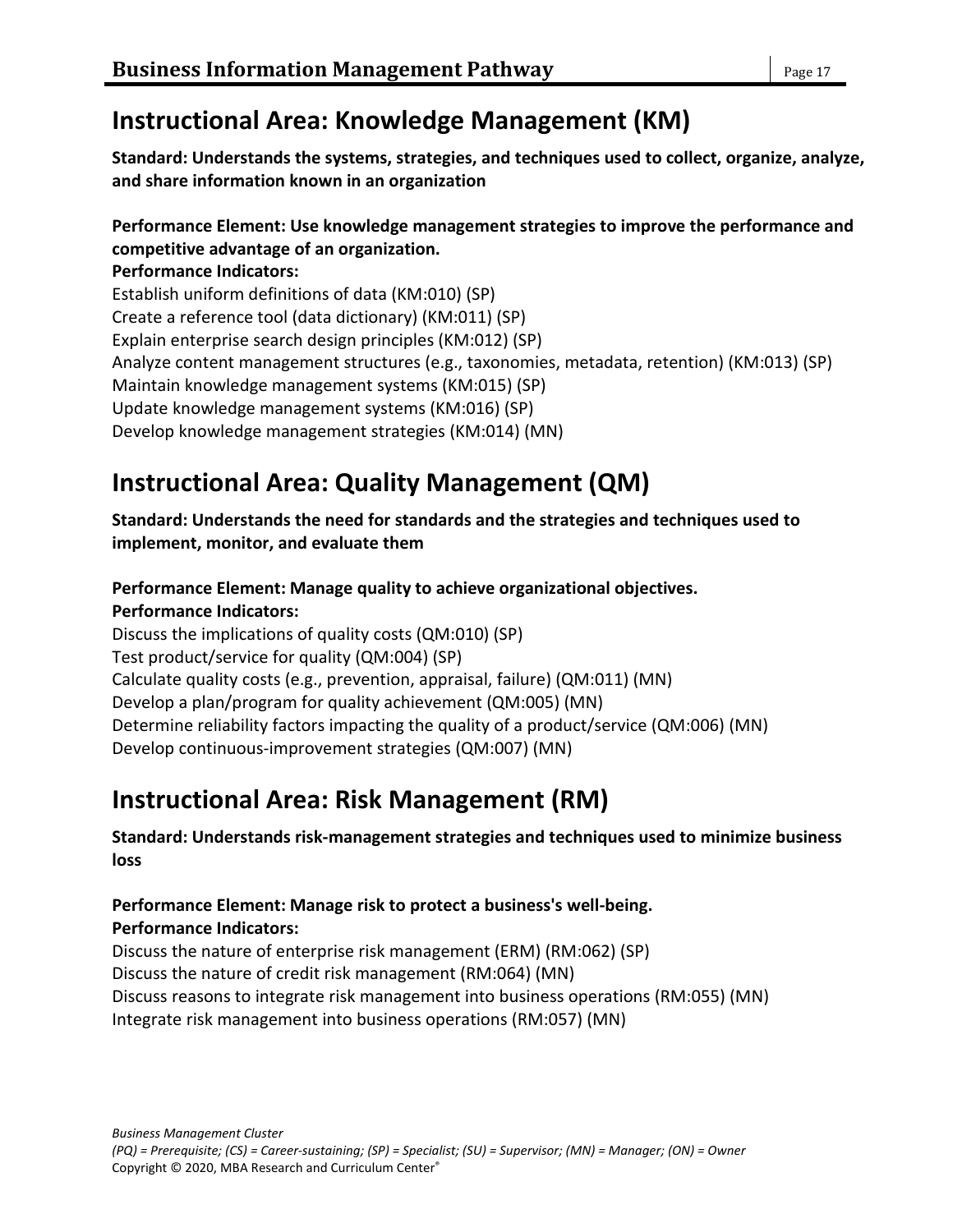# **Instructional Area: Knowledge Management (KM)**

**Standard: Understands the systems, strategies, and techniques used to collect, organize, analyze, and share information known in an organization**

### **Performance Element: Use knowledge management strategies to improve the performance and competitive advantage of an organization.**

**Performance Indicators:** Establish uniform definitions of data (KM:010) (SP) Create a reference tool (data dictionary) (KM:011) (SP) Explain enterprise search design principles (KM:012) (SP) Analyze content management structures (e.g., taxonomies, metadata, retention) (KM:013) (SP) Maintain knowledge management systems (KM:015) (SP) Update knowledge management systems (KM:016) (SP) Develop knowledge management strategies (KM:014) (MN)

# **Instructional Area: Quality Management (QM)**

**Standard: Understands the need for standards and the strategies and techniques used to implement, monitor, and evaluate them**

### **Performance Element: Manage quality to achieve organizational objectives. Performance Indicators:**

Discuss the implications of quality costs (QM:010) (SP) Test product/service for quality (QM:004) (SP) Calculate quality costs (e.g., prevention, appraisal, failure) (QM:011) (MN) Develop a plan/program for quality achievement (QM:005) (MN) Determine reliability factors impacting the quality of a product/service (QM:006) (MN) Develop continuous-improvement strategies (QM:007) (MN)

# **Instructional Area: Risk Management (RM)**

**Standard: Understands risk-management strategies and techniques used to minimize business loss**

### **Performance Element: Manage risk to protect a business's well-being. Performance Indicators:**

Discuss the nature of enterprise risk management (ERM) (RM:062) (SP) Discuss the nature of credit risk management (RM:064) (MN) Discuss reasons to integrate risk management into business operations (RM:055) (MN) Integrate risk management into business operations (RM:057) (MN)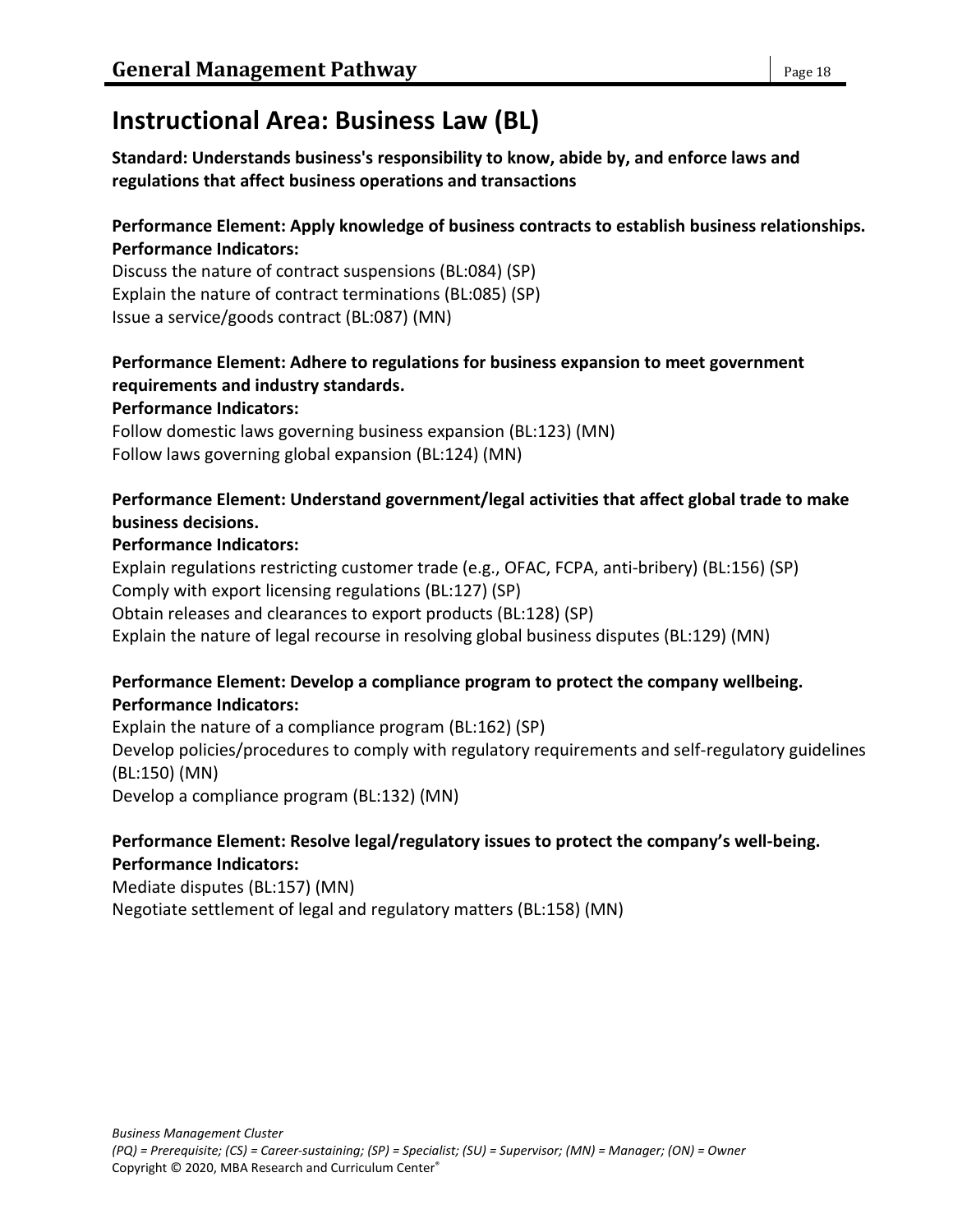# **Instructional Area: Business Law (BL)**

**Standard: Understands business's responsibility to know, abide by, and enforce laws and regulations that affect business operations and transactions**

#### **Performance Element: Apply knowledge of business contracts to establish business relationships. Performance Indicators:**

Discuss the nature of contract suspensions (BL:084) (SP) Explain the nature of contract terminations (BL:085) (SP) Issue a service/goods contract (BL:087) (MN)

# **Performance Element: Adhere to regulations for business expansion to meet government requirements and industry standards.**

#### **Performance Indicators:**

Follow domestic laws governing business expansion (BL:123) (MN) Follow laws governing global expansion (BL:124) (MN)

### **Performance Element: Understand government/legal activities that affect global trade to make business decisions.**

### **Performance Indicators:**

Explain regulations restricting customer trade (e.g., OFAC, FCPA, anti-bribery) (BL:156) (SP) Comply with export licensing regulations (BL:127) (SP) Obtain releases and clearances to export products (BL:128) (SP) Explain the nature of legal recourse in resolving global business disputes (BL:129) (MN)

### **Performance Element: Develop a compliance program to protect the company wellbeing. Performance Indicators:**

Explain the nature of a compliance program (BL:162) (SP) Develop policies/procedures to comply with regulatory requirements and self-regulatory guidelines (BL:150) (MN) Develop a compliance program (BL:132) (MN)

### **Performance Element: Resolve legal/regulatory issues to protect the company's well-being. Performance Indicators:**

Mediate disputes (BL:157) (MN) Negotiate settlement of legal and regulatory matters (BL:158) (MN)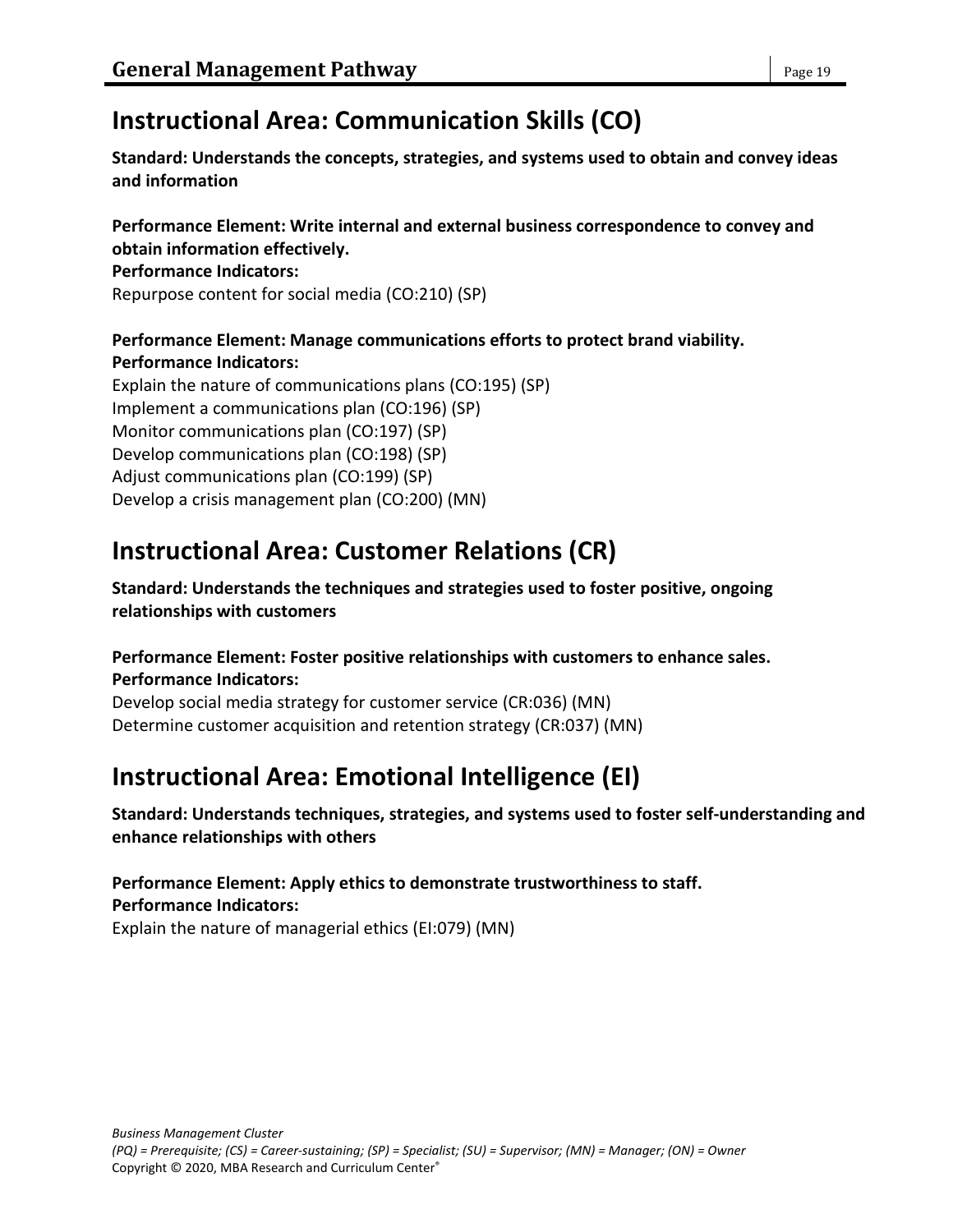# **Instructional Area: Communication Skills (CO)**

**Standard: Understands the concepts, strategies, and systems used to obtain and convey ideas and information**

**Performance Element: Write internal and external business correspondence to convey and obtain information effectively.**

#### **Performance Indicators:**

Repurpose content for social media (CO:210) (SP)

#### **Performance Element: Manage communications efforts to protect brand viability. Performance Indicators:**

Explain the nature of communications plans (CO:195) (SP) Implement a communications plan (CO:196) (SP) Monitor communications plan (CO:197) (SP) Develop communications plan (CO:198) (SP) Adjust communications plan (CO:199) (SP) Develop a crisis management plan (CO:200) (MN)

# **Instructional Area: Customer Relations (CR)**

**Standard: Understands the techniques and strategies used to foster positive, ongoing relationships with customers**

### **Performance Element: Foster positive relationships with customers to enhance sales. Performance Indicators:**

Develop social media strategy for customer service (CR:036) (MN) Determine customer acquisition and retention strategy (CR:037) (MN)

# **Instructional Area: Emotional Intelligence (EI)**

**Standard: Understands techniques, strategies, and systems used to foster self-understanding and enhance relationships with others**

**Performance Element: Apply ethics to demonstrate trustworthiness to staff. Performance Indicators:** Explain the nature of managerial ethics (EI:079) (MN)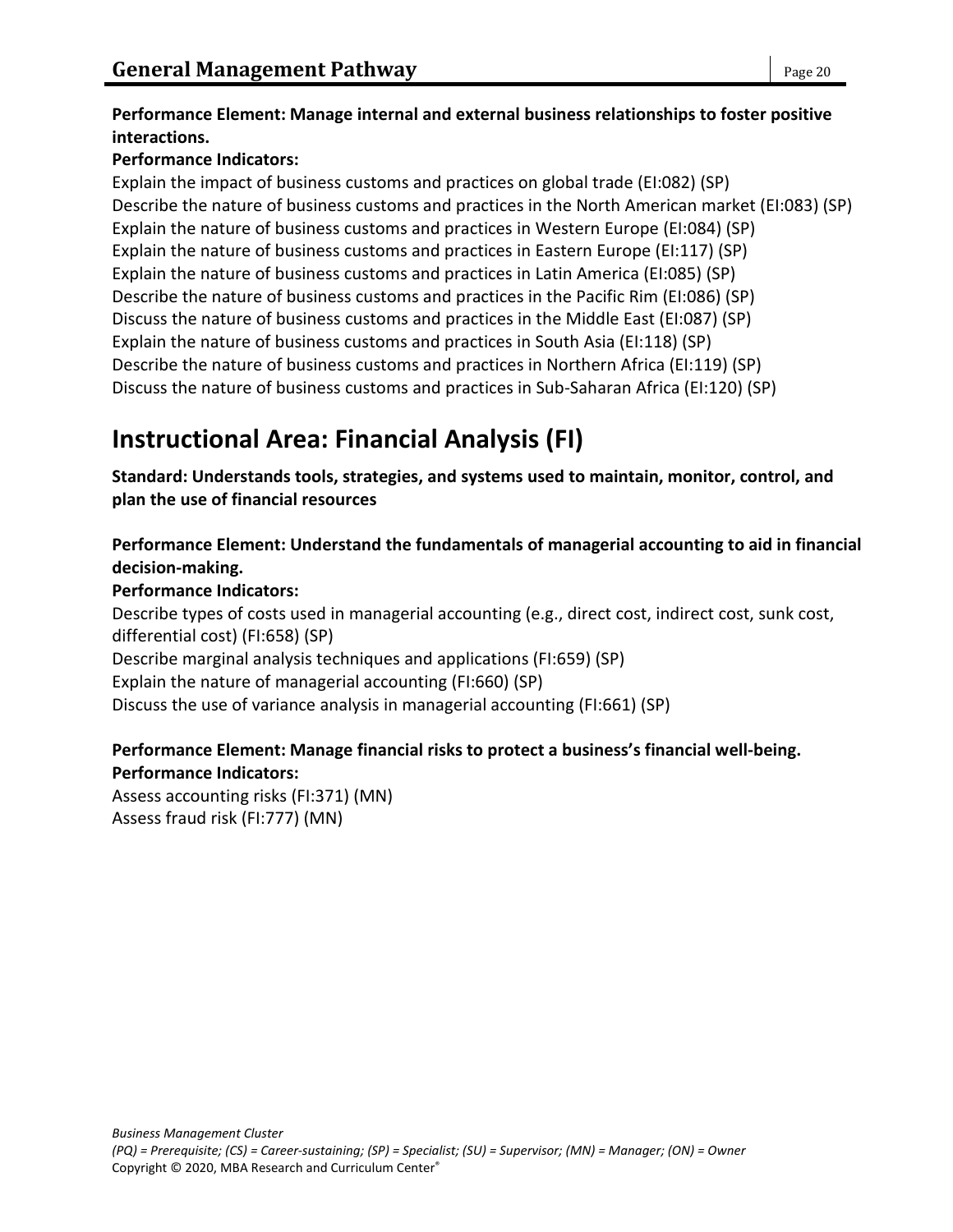### **Performance Element: Manage internal and external business relationships to foster positive interactions.**

### **Performance Indicators:**

Explain the impact of business customs and practices on global trade (EI:082) (SP) Describe the nature of business customs and practices in the North American market (EI:083) (SP) Explain the nature of business customs and practices in Western Europe (EI:084) (SP) Explain the nature of business customs and practices in Eastern Europe (EI:117) (SP) Explain the nature of business customs and practices in Latin America (EI:085) (SP) Describe the nature of business customs and practices in the Pacific Rim (EI:086) (SP) Discuss the nature of business customs and practices in the Middle East (EI:087) (SP) Explain the nature of business customs and practices in South Asia (EI:118) (SP) Describe the nature of business customs and practices in Northern Africa (EI:119) (SP) Discuss the nature of business customs and practices in Sub-Saharan Africa (EI:120) (SP)

# **Instructional Area: Financial Analysis (FI)**

**Standard: Understands tools, strategies, and systems used to maintain, monitor, control, and plan the use of financial resources**

**Performance Element: Understand the fundamentals of managerial accounting to aid in financial decision-making.**

### **Performance Indicators:**

Describe types of costs used in managerial accounting (e.g., direct cost, indirect cost, sunk cost, differential cost) (FI:658) (SP) Describe marginal analysis techniques and applications (FI:659) (SP)

Explain the nature of managerial accounting (FI:660) (SP)

Discuss the use of variance analysis in managerial accounting (FI:661) (SP)

### **Performance Element: Manage financial risks to protect a business's financial well-being. Performance Indicators:**

Assess accounting risks (FI:371) (MN) Assess fraud risk (FI:777) (MN)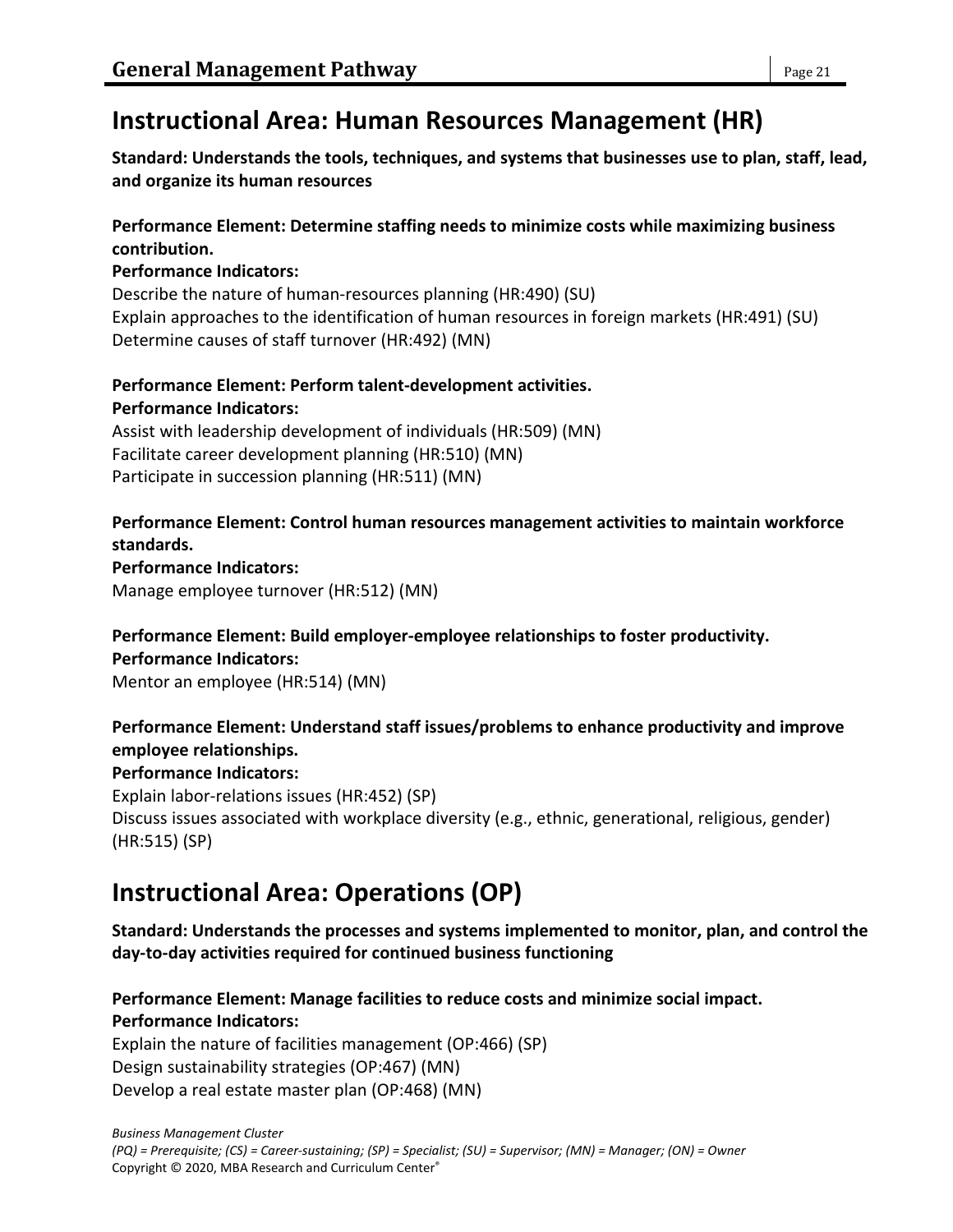# **Instructional Area: Human Resources Management (HR)**

**Standard: Understands the tools, techniques, and systems that businesses use to plan, staff, lead, and organize its human resources**

### **Performance Element: Determine staffing needs to minimize costs while maximizing business contribution.**

### **Performance Indicators:**

Describe the nature of human-resources planning (HR:490) (SU) Explain approaches to the identification of human resources in foreign markets (HR:491) (SU) Determine causes of staff turnover (HR:492) (MN)

### **Performance Element: Perform talent-development activities. Performance Indicators:**

Assist with leadership development of individuals (HR:509) (MN) Facilitate career development planning (HR:510) (MN) Participate in succession planning (HR:511) (MN)

#### **Performance Element: Control human resources management activities to maintain workforce standards.**

**Performance Indicators:**

Manage employee turnover (HR:512) (MN)

### **Performance Element: Build employer-employee relationships to foster productivity.**

#### **Performance Indicators:**

Mentor an employee (HR:514) (MN)

### **Performance Element: Understand staff issues/problems to enhance productivity and improve employee relationships.**

### **Performance Indicators:**

Explain labor-relations issues (HR:452) (SP) Discuss issues associated with workplace diversity (e.g., ethnic, generational, religious, gender) (HR:515) (SP)

# **Instructional Area: Operations (OP)**

**Standard: Understands the processes and systems implemented to monitor, plan, and control the day-to-day activities required for continued business functioning**

#### **Performance Element: Manage facilities to reduce costs and minimize social impact. Performance Indicators:**

Explain the nature of facilities management (OP:466) (SP) Design sustainability strategies (OP:467) (MN) Develop a real estate master plan (OP:468) (MN)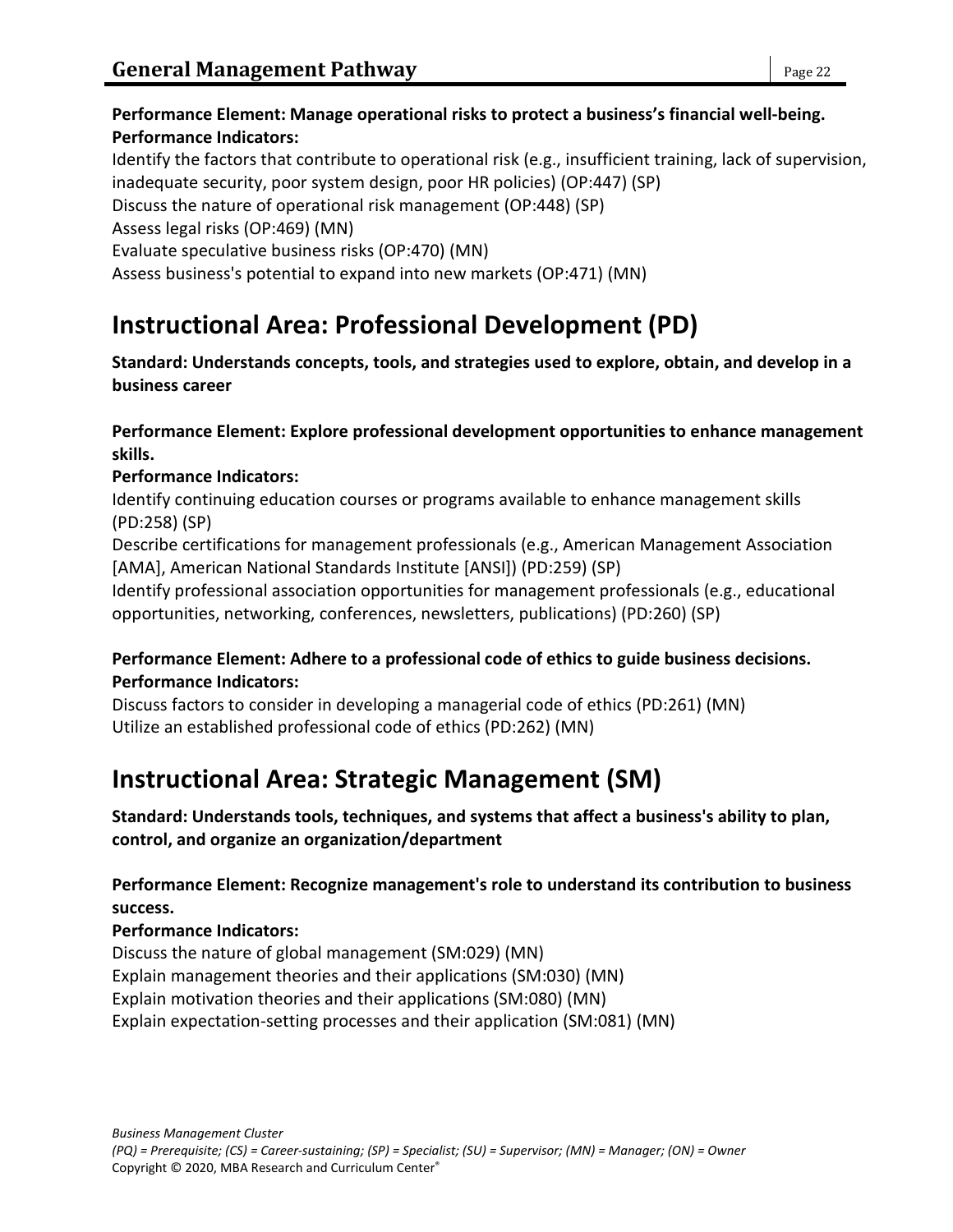Identify the factors that contribute to operational risk (e.g., insufficient training, lack of supervision, inadequate security, poor system design, poor HR policies) (OP:447) (SP) Discuss the nature of operational risk management (OP:448) (SP) Assess legal risks (OP:469) (MN) Evaluate speculative business risks (OP:470) (MN) Assess business's potential to expand into new markets (OP:471) (MN)

# **Instructional Area: Professional Development (PD)**

**Standard: Understands concepts, tools, and strategies used to explore, obtain, and develop in a business career**

**Performance Element: Explore professional development opportunities to enhance management skills.**

### **Performance Indicators:**

Identify continuing education courses or programs available to enhance management skills (PD:258) (SP)

Describe certifications for management professionals (e.g., American Management Association [AMA], American National Standards Institute [ANSI]) (PD:259) (SP)

Identify professional association opportunities for management professionals (e.g., educational opportunities, networking, conferences, newsletters, publications) (PD:260) (SP)

### **Performance Element: Adhere to a professional code of ethics to guide business decisions. Performance Indicators:**

Discuss factors to consider in developing a managerial code of ethics (PD:261) (MN) Utilize an established professional code of ethics (PD:262) (MN)

# **Instructional Area: Strategic Management (SM)**

**Standard: Understands tools, techniques, and systems that affect a business's ability to plan, control, and organize an organization/department**

**Performance Element: Recognize management's role to understand its contribution to business success.**

### **Performance Indicators:**

Discuss the nature of global management (SM:029) (MN) Explain management theories and their applications (SM:030) (MN) Explain motivation theories and their applications (SM:080) (MN) Explain expectation-setting processes and their application (SM:081) (MN)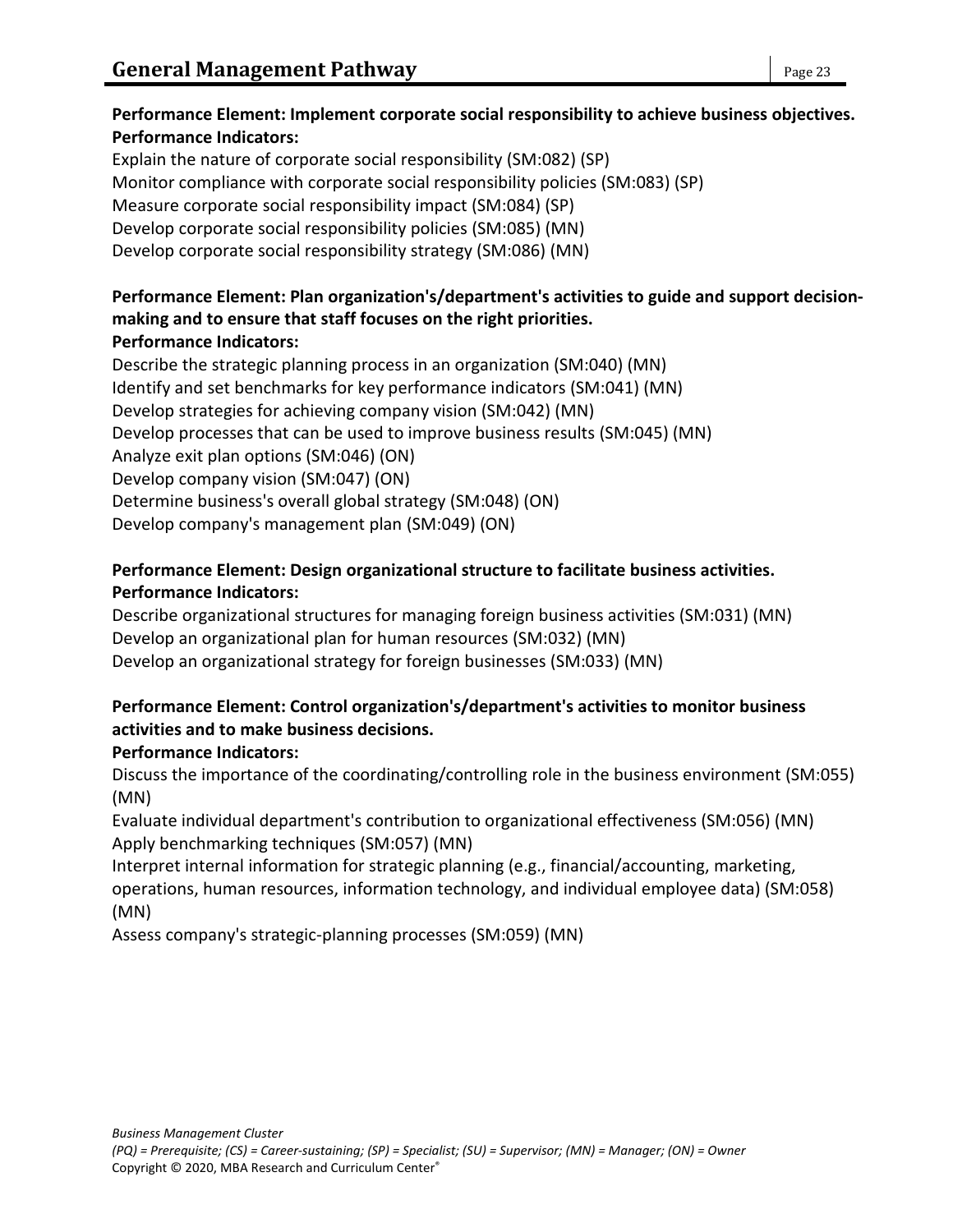### **Performance Element: Implement corporate social responsibility to achieve business objectives. Performance Indicators:**

Explain the nature of corporate social responsibility (SM:082) (SP) Monitor compliance with corporate social responsibility policies (SM:083) (SP) Measure corporate social responsibility impact (SM:084) (SP) Develop corporate social responsibility policies (SM:085) (MN) Develop corporate social responsibility strategy (SM:086) (MN)

### **Performance Element: Plan organization's/department's activities to guide and support decisionmaking and to ensure that staff focuses on the right priorities. Performance Indicators:**

Describe the strategic planning process in an organization (SM:040) (MN) Identify and set benchmarks for key performance indicators (SM:041) (MN) Develop strategies for achieving company vision (SM:042) (MN) Develop processes that can be used to improve business results (SM:045) (MN) Analyze exit plan options (SM:046) (ON) Develop company vision (SM:047) (ON) Determine business's overall global strategy (SM:048) (ON) Develop company's management plan (SM:049) (ON)

### **Performance Element: Design organizational structure to facilitate business activities. Performance Indicators:**

Describe organizational structures for managing foreign business activities (SM:031) (MN) Develop an organizational plan for human resources (SM:032) (MN) Develop an organizational strategy for foreign businesses (SM:033) (MN)

### **Performance Element: Control organization's/department's activities to monitor business activities and to make business decisions.**

# **Performance Indicators:**

Discuss the importance of the coordinating/controlling role in the business environment (SM:055) (MN)

Evaluate individual department's contribution to organizational effectiveness (SM:056) (MN) Apply benchmarking techniques (SM:057) (MN)

Interpret internal information for strategic planning (e.g., financial/accounting, marketing, operations, human resources, information technology, and individual employee data) (SM:058) (MN)

Assess company's strategic-planning processes (SM:059) (MN)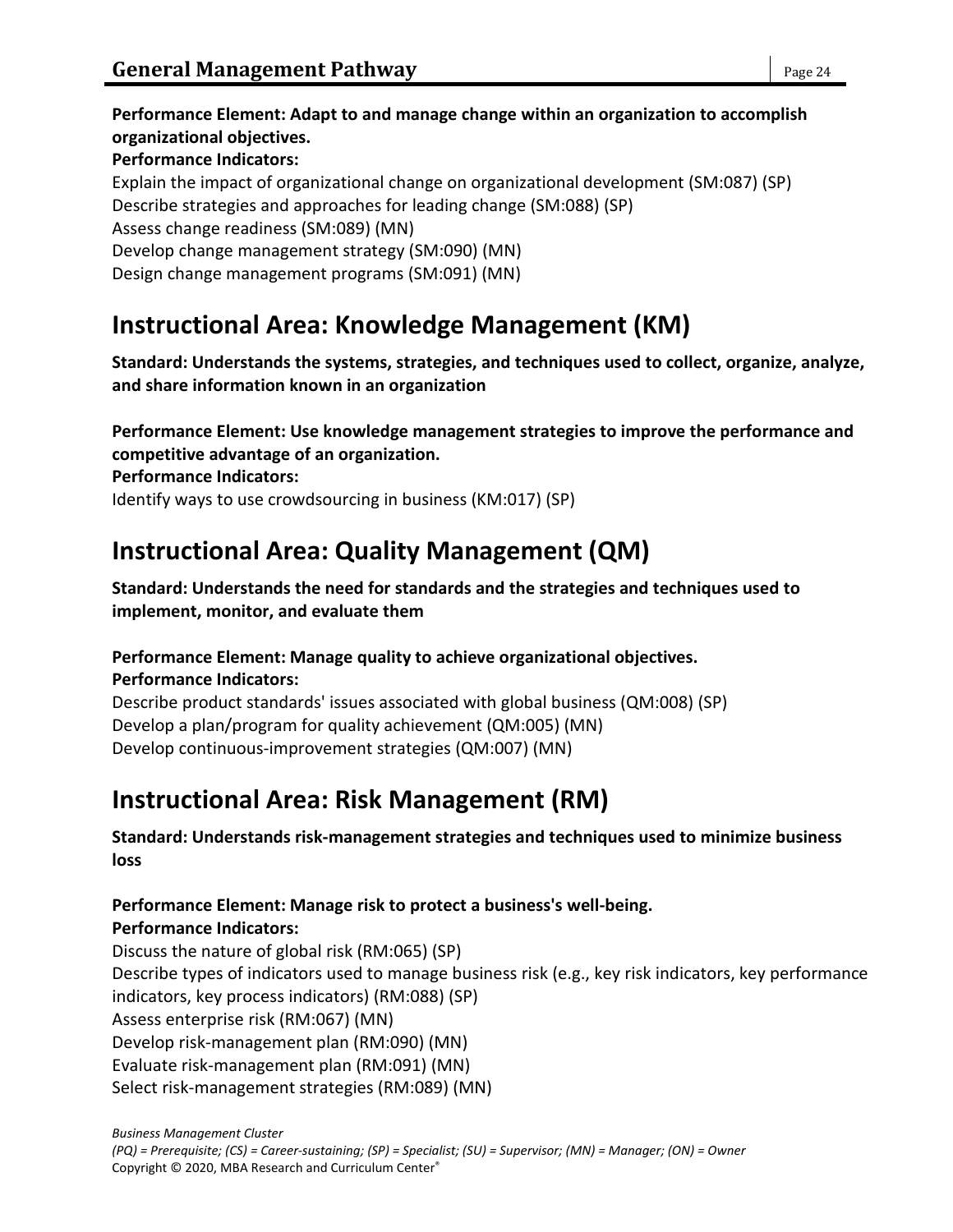**Performance Element: Adapt to and manage change within an organization to accomplish organizational objectives. Performance Indicators:** Explain the impact of organizational change on organizational development (SM:087) (SP) Describe strategies and approaches for leading change (SM:088) (SP) Assess change readiness (SM:089) (MN) Develop change management strategy (SM:090) (MN) Design change management programs (SM:091) (MN)

# **Instructional Area: Knowledge Management (KM)**

**Standard: Understands the systems, strategies, and techniques used to collect, organize, analyze, and share information known in an organization**

**Performance Element: Use knowledge management strategies to improve the performance and competitive advantage of an organization.**

**Performance Indicators:**

Identify ways to use crowdsourcing in business (KM:017) (SP)

# **Instructional Area: Quality Management (QM)**

**Standard: Understands the need for standards and the strategies and techniques used to implement, monitor, and evaluate them**

### **Performance Element: Manage quality to achieve organizational objectives.**

**Performance Indicators:**

Describe product standards' issues associated with global business (QM:008) (SP) Develop a plan/program for quality achievement (QM:005) (MN) Develop continuous-improvement strategies (QM:007) (MN)

# **Instructional Area: Risk Management (RM)**

**Standard: Understands risk-management strategies and techniques used to minimize business loss**

#### **Performance Element: Manage risk to protect a business's well-being. Performance Indicators:**

Discuss the nature of global risk (RM:065) (SP) Describe types of indicators used to manage business risk (e.g., key risk indicators, key performance indicators, key process indicators) (RM:088) (SP) Assess enterprise risk (RM:067) (MN) Develop risk-management plan (RM:090) (MN) Evaluate risk-management plan (RM:091) (MN) Select risk-management strategies (RM:089) (MN)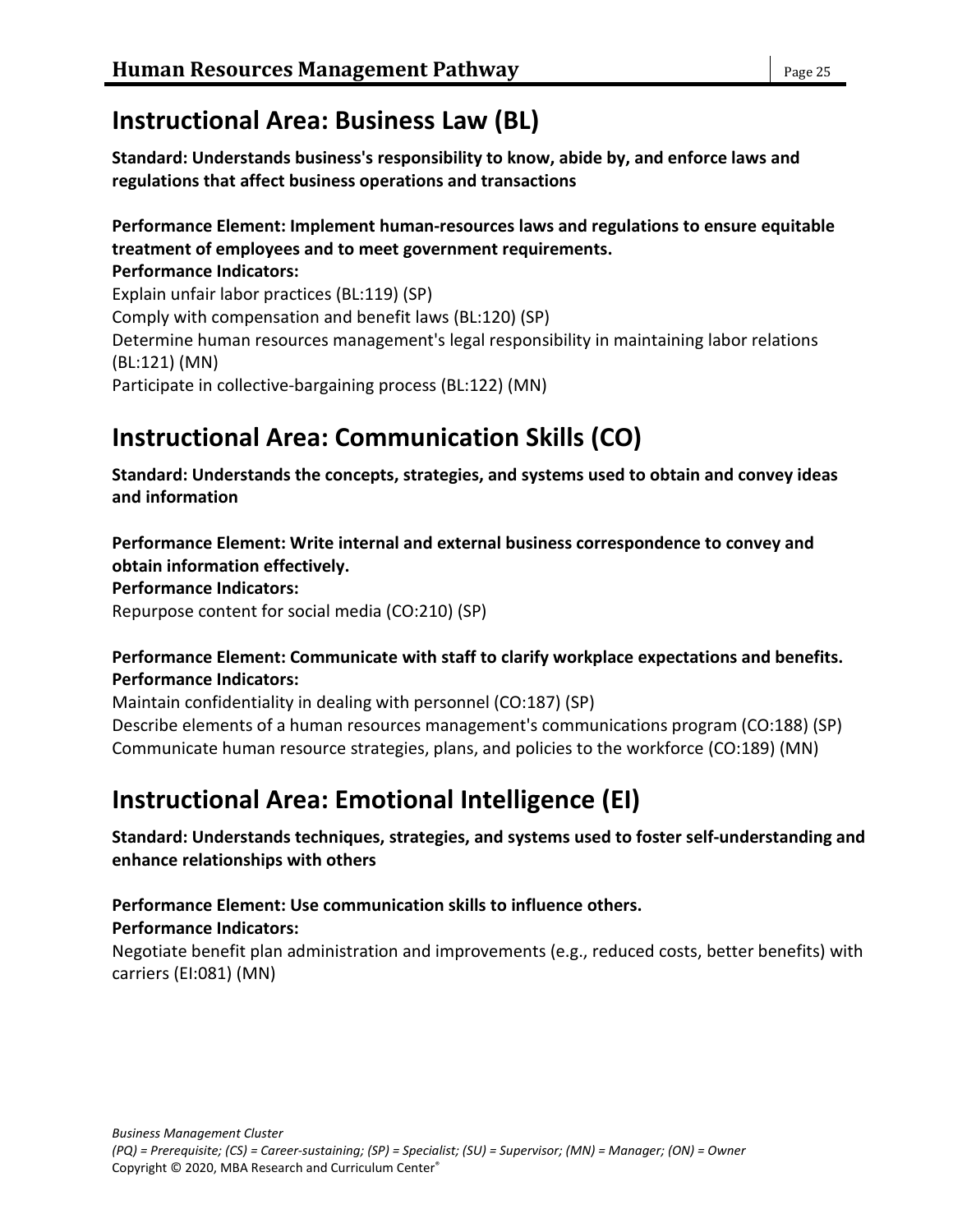# **Instructional Area: Business Law (BL)**

**Standard: Understands business's responsibility to know, abide by, and enforce laws and regulations that affect business operations and transactions**

### **Performance Element: Implement human-resources laws and regulations to ensure equitable treatment of employees and to meet government requirements.**

**Performance Indicators:** Explain unfair labor practices (BL:119) (SP) Comply with compensation and benefit laws (BL:120) (SP) Determine human resources management's legal responsibility in maintaining labor relations (BL:121) (MN) Participate in collective-bargaining process (BL:122) (MN)

# **Instructional Area: Communication Skills (CO)**

**Standard: Understands the concepts, strategies, and systems used to obtain and convey ideas and information**

**Performance Element: Write internal and external business correspondence to convey and obtain information effectively.**

**Performance Indicators:**

Repurpose content for social media (CO:210) (SP)

#### **Performance Element: Communicate with staff to clarify workplace expectations and benefits. Performance Indicators:**

Maintain confidentiality in dealing with personnel (CO:187) (SP)

Describe elements of a human resources management's communications program (CO:188) (SP) Communicate human resource strategies, plans, and policies to the workforce (CO:189) (MN)

# **Instructional Area: Emotional Intelligence (EI)**

**Standard: Understands techniques, strategies, and systems used to foster self-understanding and enhance relationships with others**

**Performance Element: Use communication skills to influence others.**

### **Performance Indicators:**

Negotiate benefit plan administration and improvements (e.g., reduced costs, better benefits) with carriers (EI:081) (MN)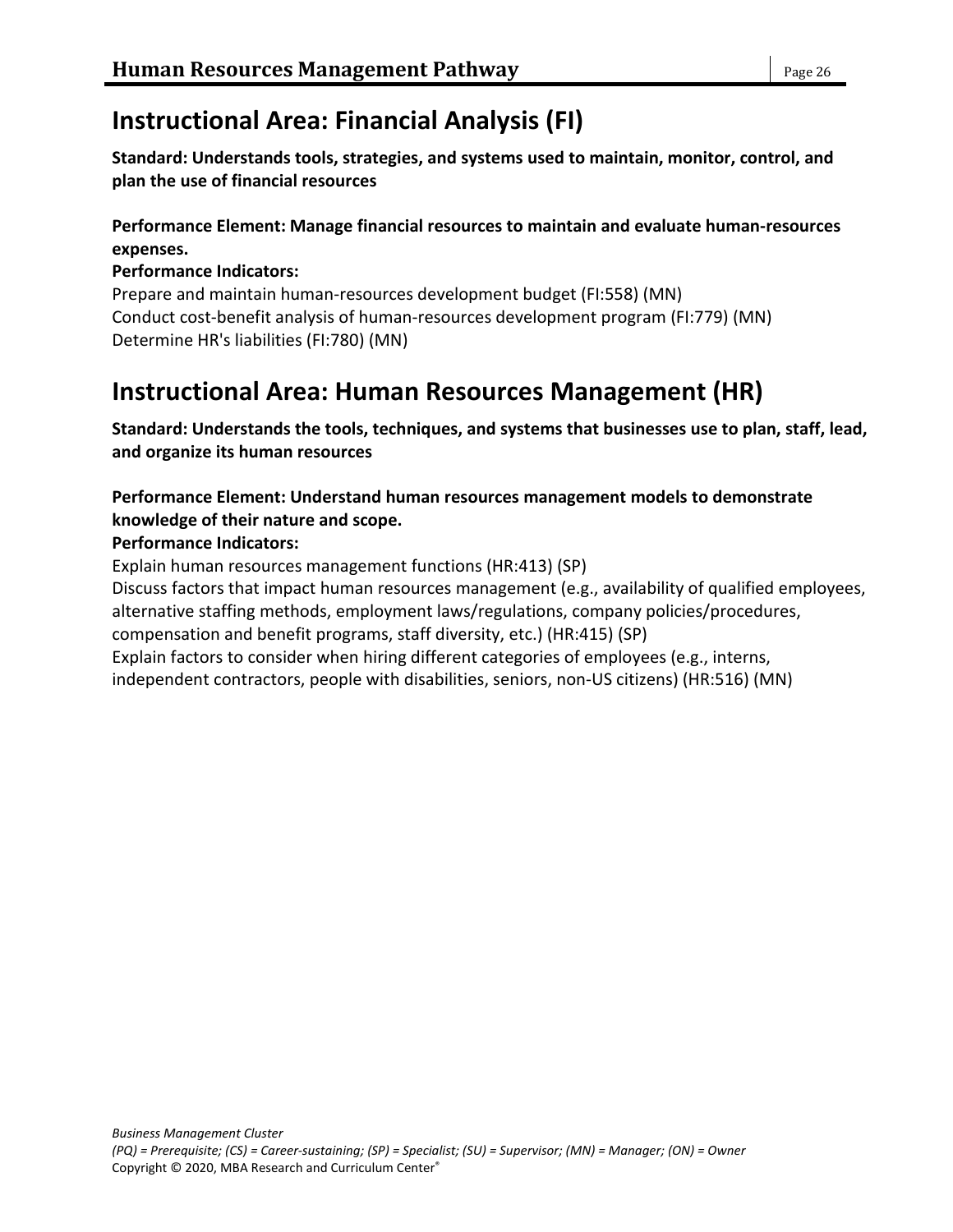# **Instructional Area: Financial Analysis (FI)**

**Standard: Understands tools, strategies, and systems used to maintain, monitor, control, and plan the use of financial resources**

### **Performance Element: Manage financial resources to maintain and evaluate human-resources expenses.**

### **Performance Indicators:**

Prepare and maintain human-resources development budget (FI:558) (MN) Conduct cost-benefit analysis of human-resources development program (FI:779) (MN) Determine HR's liabilities (FI:780) (MN)

# **Instructional Area: Human Resources Management (HR)**

**Standard: Understands the tools, techniques, and systems that businesses use to plan, staff, lead, and organize its human resources**

### **Performance Element: Understand human resources management models to demonstrate knowledge of their nature and scope.**

### **Performance Indicators:**

Explain human resources management functions (HR:413) (SP) Discuss factors that impact human resources management (e.g., availability of qualified employees, alternative staffing methods, employment laws/regulations, company policies/procedures, compensation and benefit programs, staff diversity, etc.) (HR:415) (SP) Explain factors to consider when hiring different categories of employees (e.g., interns, independent contractors, people with disabilities, seniors, non-US citizens) (HR:516) (MN)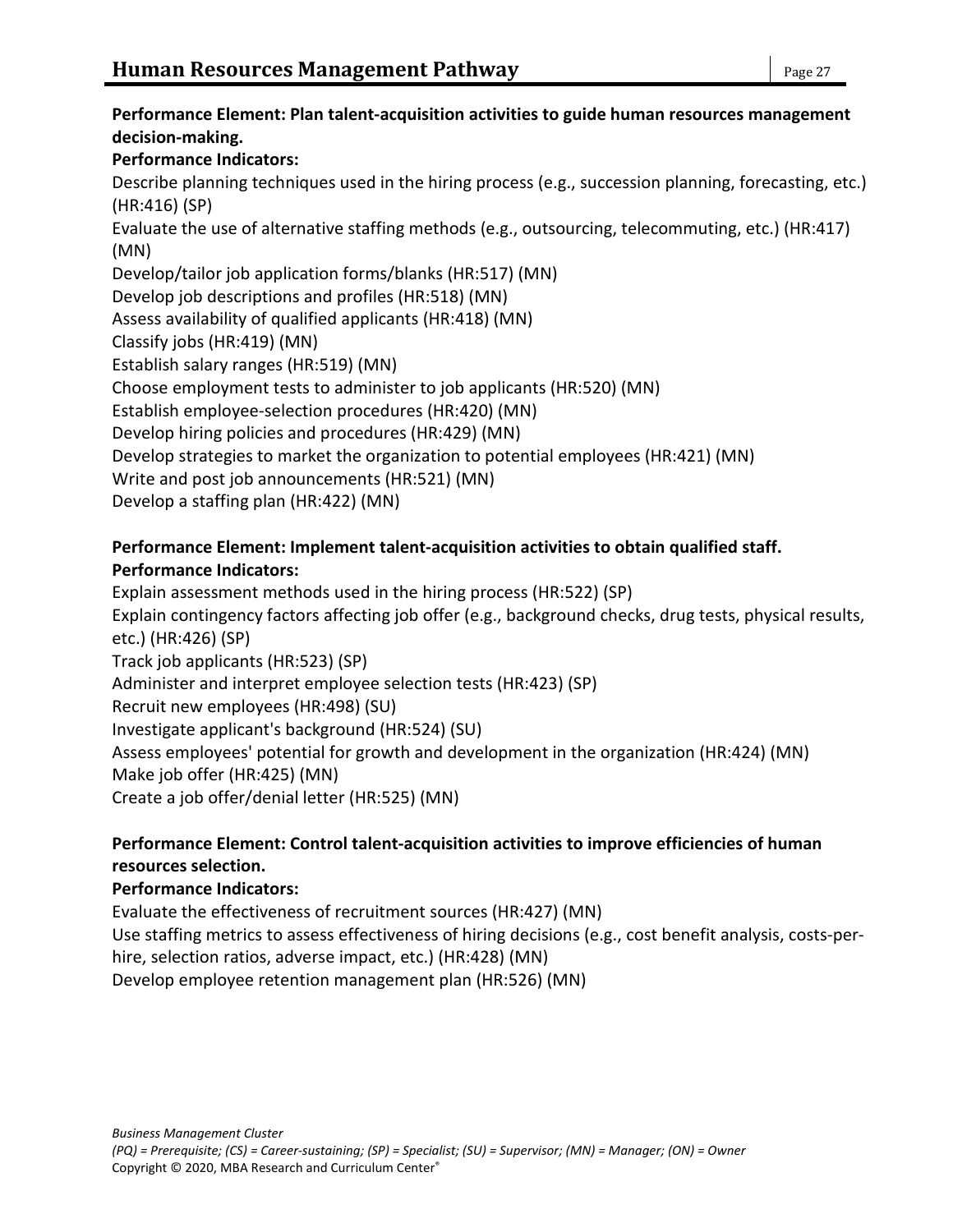### **Performance Element: Plan talent-acquisition activities to guide human resources management decision-making.**

### **Performance Indicators:**

Describe planning techniques used in the hiring process (e.g., succession planning, forecasting, etc.) (HR:416) (SP)

Evaluate the use of alternative staffing methods (e.g., outsourcing, telecommuting, etc.) (HR:417) (MN)

Develop/tailor job application forms/blanks (HR:517) (MN)

Develop job descriptions and profiles (HR:518) (MN)

Assess availability of qualified applicants (HR:418) (MN)

Classify jobs (HR:419) (MN)

Establish salary ranges (HR:519) (MN)

Choose employment tests to administer to job applicants (HR:520) (MN)

Establish employee-selection procedures (HR:420) (MN)

Develop hiring policies and procedures (HR:429) (MN)

Develop strategies to market the organization to potential employees (HR:421) (MN)

Write and post job announcements (HR:521) (MN)

Develop a staffing plan (HR:422) (MN)

### **Performance Element: Implement talent-acquisition activities to obtain qualified staff.**

### **Performance Indicators:**

Explain assessment methods used in the hiring process (HR:522) (SP) Explain contingency factors affecting job offer (e.g., background checks, drug tests, physical results, etc.) (HR:426) (SP) Track job applicants (HR:523) (SP) Administer and interpret employee selection tests (HR:423) (SP) Recruit new employees (HR:498) (SU) Investigate applicant's background (HR:524) (SU) Assess employees' potential for growth and development in the organization (HR:424) (MN) Make job offer (HR:425) (MN) Create a job offer/denial letter (HR:525) (MN)

### **Performance Element: Control talent-acquisition activities to improve efficiencies of human resources selection.**

### **Performance Indicators:**

Evaluate the effectiveness of recruitment sources (HR:427) (MN) Use staffing metrics to assess effectiveness of hiring decisions (e.g., cost benefit analysis, costs-perhire, selection ratios, adverse impact, etc.) (HR:428) (MN) Develop employee retention management plan (HR:526) (MN)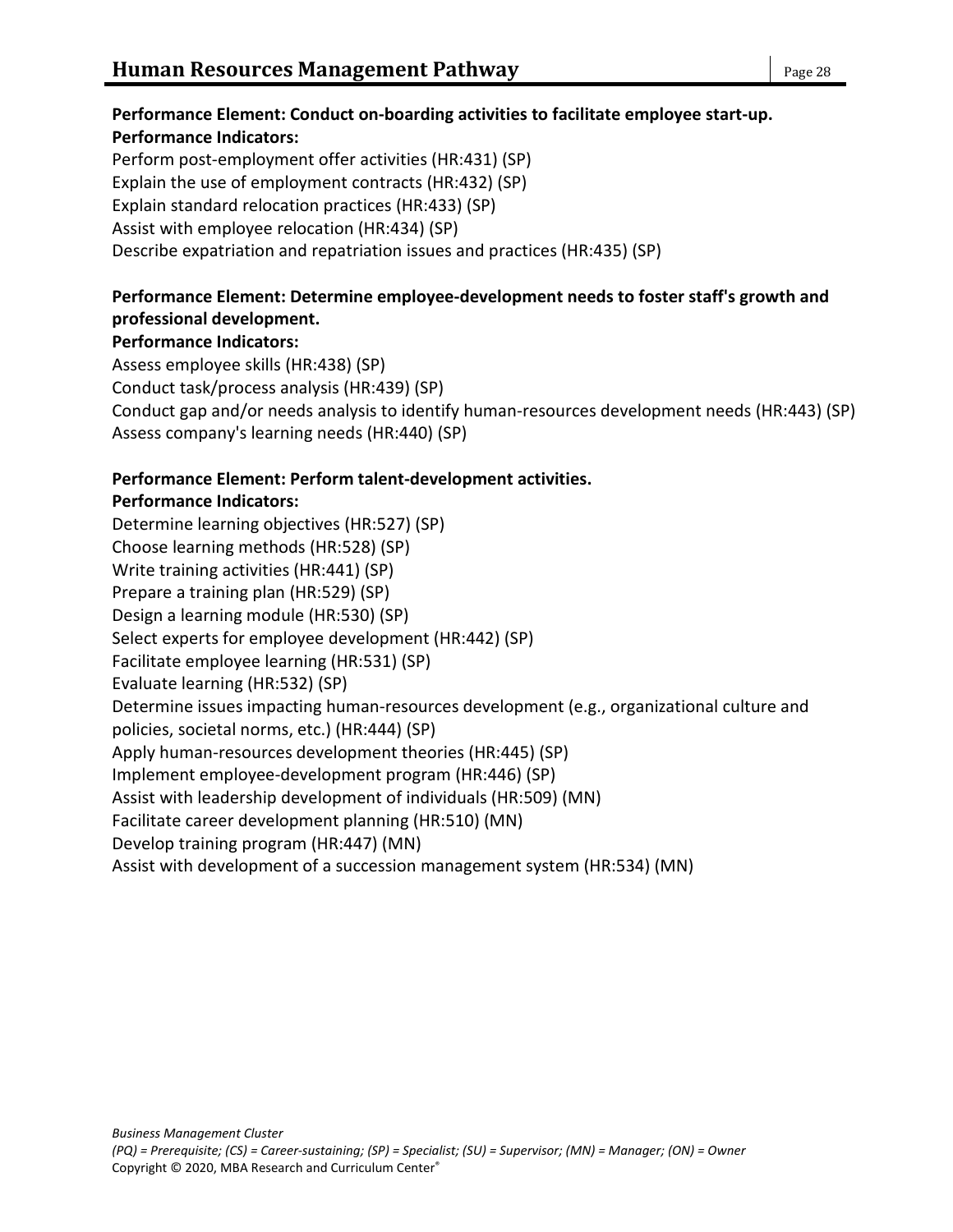# **Performance Element: Conduct on-boarding activities to facilitate employee start-up. Performance Indicators:**

Perform post-employment offer activities (HR:431) (SP) Explain the use of employment contracts (HR:432) (SP) Explain standard relocation practices (HR:433) (SP) Assist with employee relocation (HR:434) (SP) Describe expatriation and repatriation issues and practices (HR:435) (SP)

# **Performance Element: Determine employee-development needs to foster staff's growth and professional development.**

# **Performance Indicators:**

Assess employee skills (HR:438) (SP) Conduct task/process analysis (HR:439) (SP) Conduct gap and/or needs analysis to identify human-resources development needs (HR:443) (SP) Assess company's learning needs (HR:440) (SP)

# **Performance Element: Perform talent-development activities.**

# **Performance Indicators:**

Determine learning objectives (HR:527) (SP) Choose learning methods (HR:528) (SP) Write training activities (HR:441) (SP) Prepare a training plan (HR:529) (SP) Design a learning module (HR:530) (SP) Select experts for employee development (HR:442) (SP) Facilitate employee learning (HR:531) (SP) Evaluate learning (HR:532) (SP) Determine issues impacting human-resources development (e.g., organizational culture and policies, societal norms, etc.) (HR:444) (SP) Apply human-resources development theories (HR:445) (SP) Implement employee-development program (HR:446) (SP) Assist with leadership development of individuals (HR:509) (MN) Facilitate career development planning (HR:510) (MN) Develop training program (HR:447) (MN) Assist with development of a succession management system (HR:534) (MN)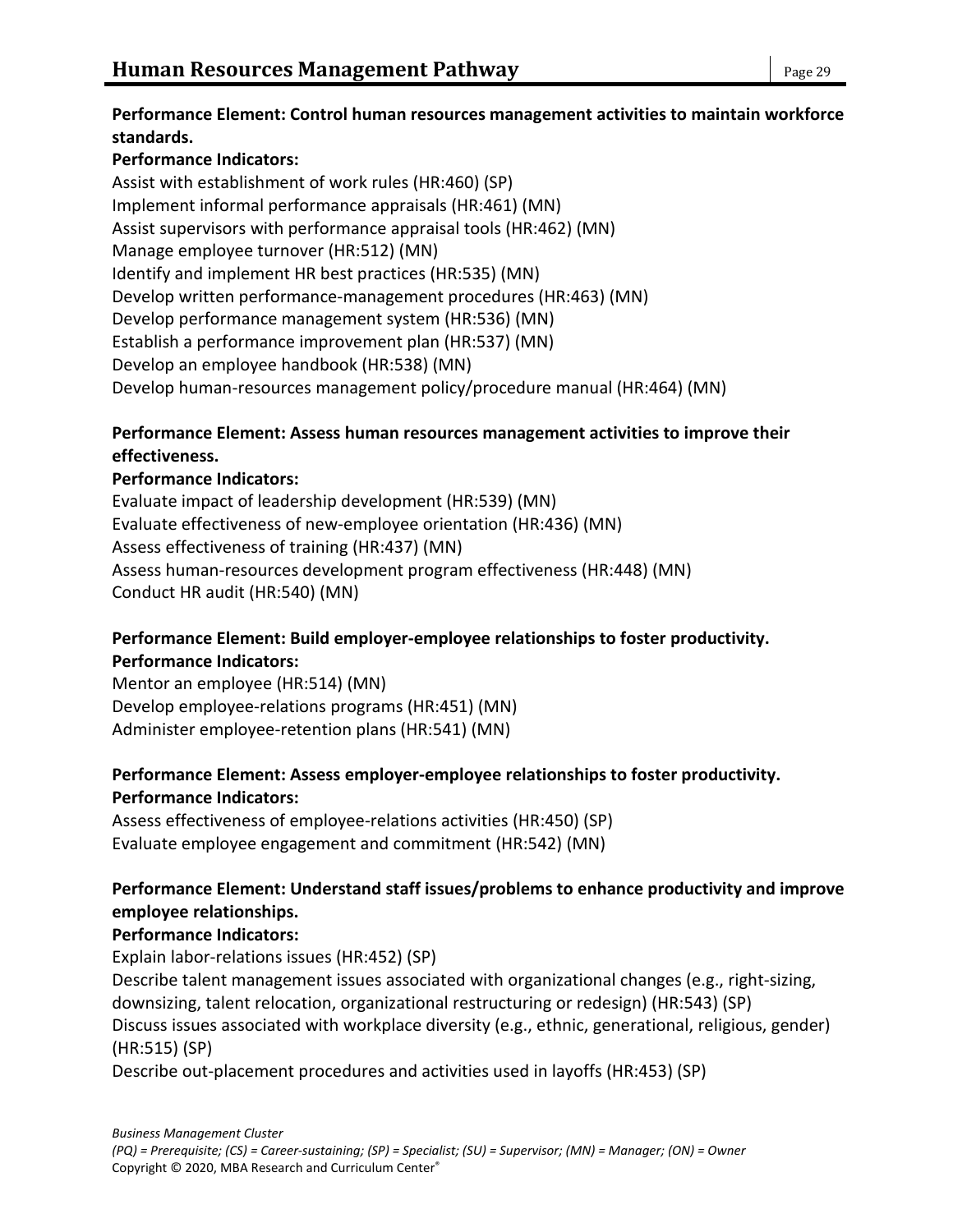### **Performance Element: Control human resources management activities to maintain workforce standards.**

# **Performance Indicators:**

Assist with establishment of work rules (HR:460) (SP) Implement informal performance appraisals (HR:461) (MN) Assist supervisors with performance appraisal tools (HR:462) (MN) Manage employee turnover (HR:512) (MN) Identify and implement HR best practices (HR:535) (MN) Develop written performance-management procedures (HR:463) (MN) Develop performance management system (HR:536) (MN) Establish a performance improvement plan (HR:537) (MN) Develop an employee handbook (HR:538) (MN) Develop human-resources management policy/procedure manual (HR:464) (MN)

### **Performance Element: Assess human resources management activities to improve their effectiveness.**

### **Performance Indicators:**

Evaluate impact of leadership development (HR:539) (MN) Evaluate effectiveness of new-employee orientation (HR:436) (MN) Assess effectiveness of training (HR:437) (MN) Assess human-resources development program effectiveness (HR:448) (MN) Conduct HR audit (HR:540) (MN)

### **Performance Element: Build employer-employee relationships to foster productivity. Performance Indicators:**

Mentor an employee (HR:514) (MN) Develop employee-relations programs (HR:451) (MN) Administer employee-retention plans (HR:541) (MN)

### **Performance Element: Assess employer-employee relationships to foster productivity. Performance Indicators:**

Assess effectiveness of employee-relations activities (HR:450) (SP) Evaluate employee engagement and commitment (HR:542) (MN)

### **Performance Element: Understand staff issues/problems to enhance productivity and improve employee relationships.**

### **Performance Indicators:**

Explain labor-relations issues (HR:452) (SP) Describe talent management issues associated with organizational changes (e.g., right-sizing, downsizing, talent relocation, organizational restructuring or redesign) (HR:543) (SP) Discuss issues associated with workplace diversity (e.g., ethnic, generational, religious, gender) (HR:515) (SP)

Describe out-placement procedures and activities used in layoffs (HR:453) (SP)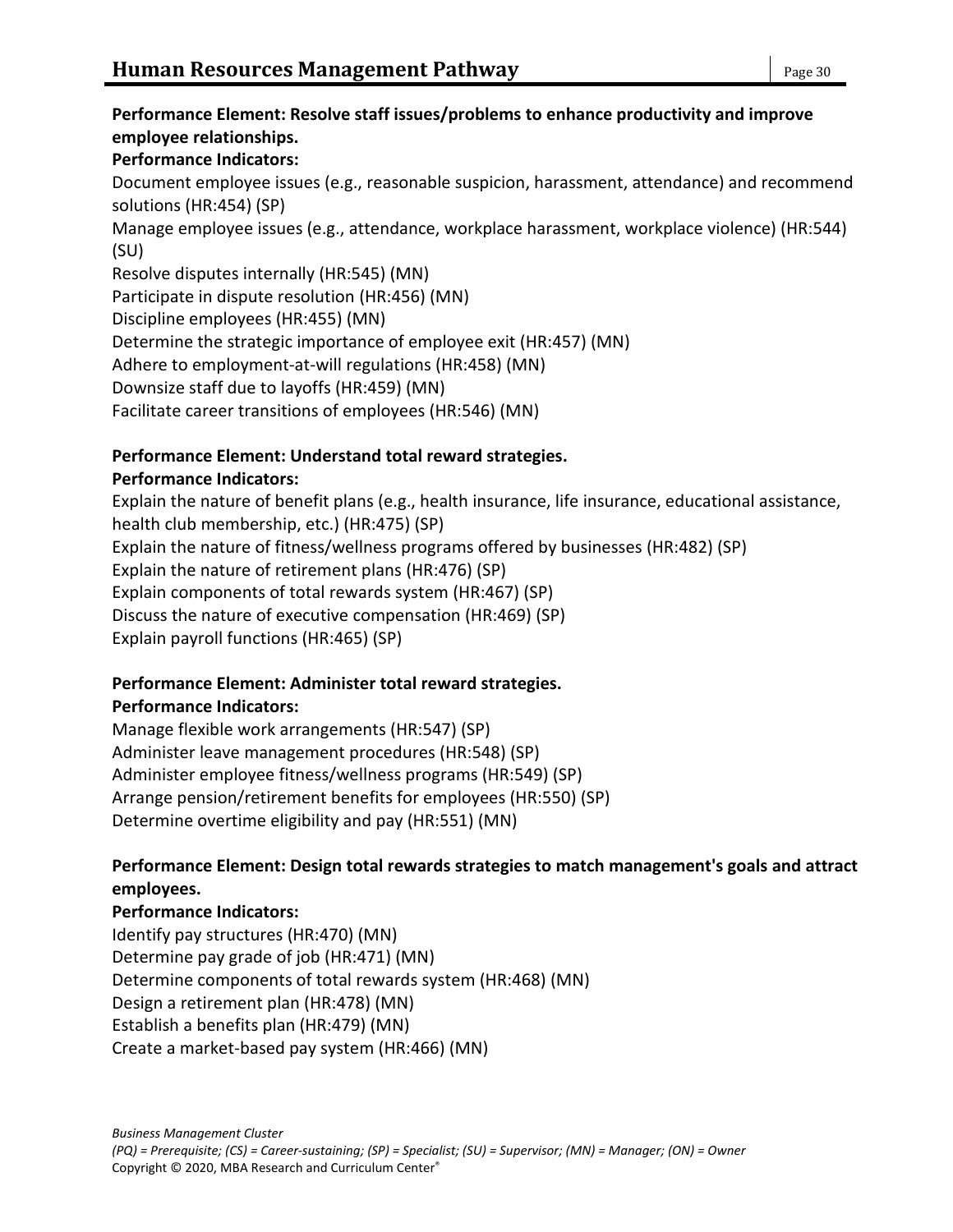### **Performance Element: Resolve staff issues/problems to enhance productivity and improve employee relationships.**

### **Performance Indicators:**

Document employee issues (e.g., reasonable suspicion, harassment, attendance) and recommend solutions (HR:454) (SP)

Manage employee issues (e.g., attendance, workplace harassment, workplace violence) (HR:544) (SU)

Resolve disputes internally (HR:545) (MN)

Participate in dispute resolution (HR:456) (MN)

Discipline employees (HR:455) (MN)

Determine the strategic importance of employee exit (HR:457) (MN)

Adhere to employment-at-will regulations (HR:458) (MN)

Downsize staff due to layoffs (HR:459) (MN)

Facilitate career transitions of employees (HR:546) (MN)

### **Performance Element: Understand total reward strategies.**

### **Performance Indicators:**

Explain the nature of benefit plans (e.g., health insurance, life insurance, educational assistance, health club membership, etc.) (HR:475) (SP) Explain the nature of fitness/wellness programs offered by businesses (HR:482) (SP) Explain the nature of retirement plans (HR:476) (SP) Explain components of total rewards system (HR:467) (SP) Discuss the nature of executive compensation (HR:469) (SP) Explain payroll functions (HR:465) (SP)

# **Performance Element: Administer total reward strategies.**

### **Performance Indicators:**

Manage flexible work arrangements (HR:547) (SP) Administer leave management procedures (HR:548) (SP) Administer employee fitness/wellness programs (HR:549) (SP) Arrange pension/retirement benefits for employees (HR:550) (SP) Determine overtime eligibility and pay (HR:551) (MN)

### **Performance Element: Design total rewards strategies to match management's goals and attract employees.**

**Performance Indicators:** Identify pay structures (HR:470) (MN) Determine pay grade of job (HR:471) (MN) Determine components of total rewards system (HR:468) (MN) Design a retirement plan (HR:478) (MN) Establish a benefits plan (HR:479) (MN) Create a market-based pay system (HR:466) (MN)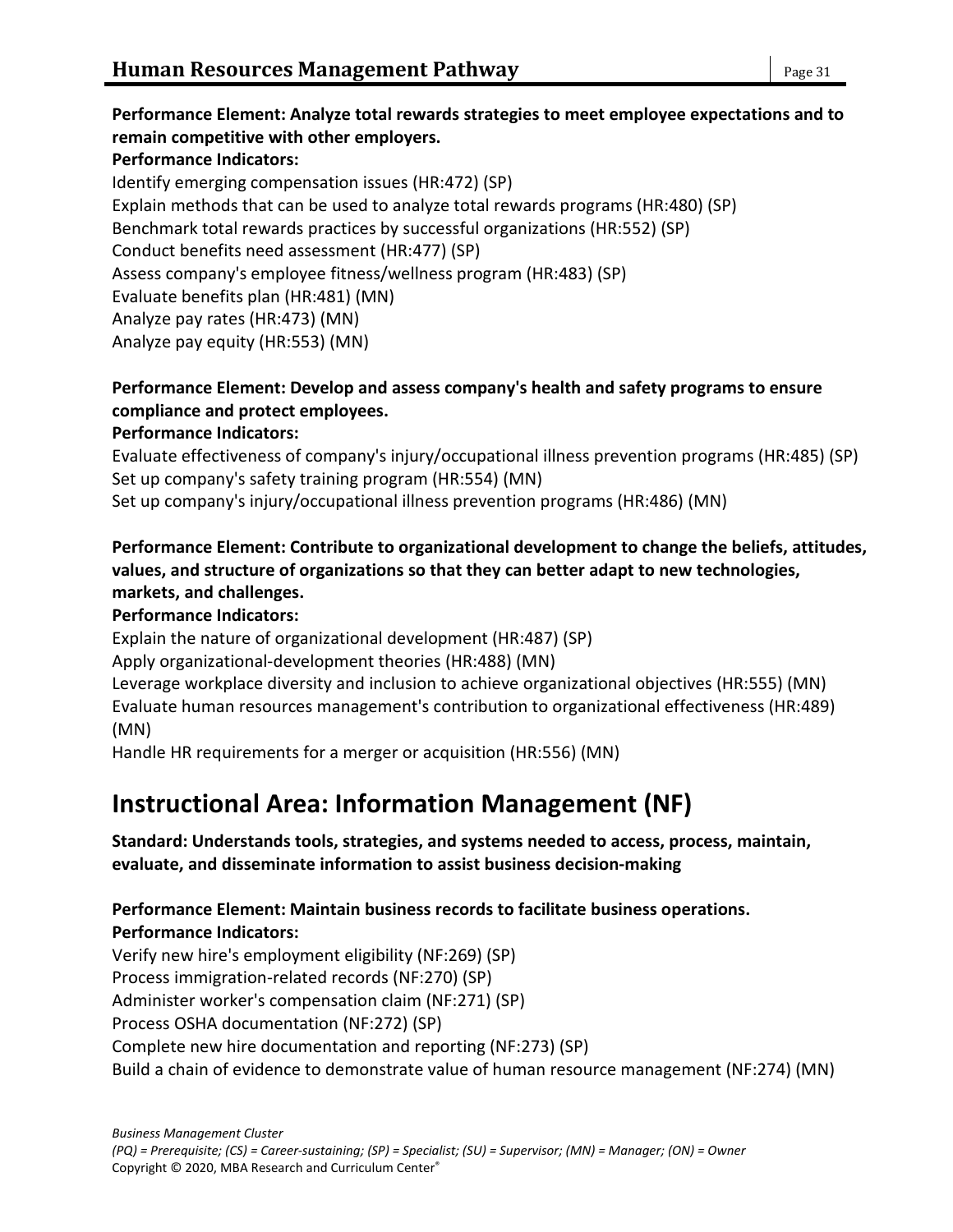### **Performance Element: Analyze total rewards strategies to meet employee expectations and to remain competitive with other employers. Performance Indicators:** Identify emerging compensation issues (HR:472) (SP) Explain methods that can be used to analyze total rewards programs (HR:480) (SP) Benchmark total rewards practices by successful organizations (HR:552) (SP) Conduct benefits need assessment (HR:477) (SP) Assess company's employee fitness/wellness program (HR:483) (SP) Evaluate benefits plan (HR:481) (MN) Analyze pay rates (HR:473) (MN)

Analyze pay equity (HR:553) (MN)

### **Performance Element: Develop and assess company's health and safety programs to ensure compliance and protect employees.**

### **Performance Indicators:**

Evaluate effectiveness of company's injury/occupational illness prevention programs (HR:485) (SP) Set up company's safety training program (HR:554) (MN) Set up company's injury/occupational illness prevention programs (HR:486) (MN)

### **Performance Element: Contribute to organizational development to change the beliefs, attitudes, values, and structure of organizations so that they can better adapt to new technologies, markets, and challenges.**

### **Performance Indicators:**

Explain the nature of organizational development (HR:487) (SP)

Apply organizational-development theories (HR:488) (MN)

Leverage workplace diversity and inclusion to achieve organizational objectives (HR:555) (MN) Evaluate human resources management's contribution to organizational effectiveness (HR:489) (MN)

Handle HR requirements for a merger or acquisition (HR:556) (MN)

# **Instructional Area: Information Management (NF)**

### **Standard: Understands tools, strategies, and systems needed to access, process, maintain, evaluate, and disseminate information to assist business decision-making**

### **Performance Element: Maintain business records to facilitate business operations. Performance Indicators:**

Verify new hire's employment eligibility (NF:269) (SP) Process immigration-related records (NF:270) (SP) Administer worker's compensation claim (NF:271) (SP) Process OSHA documentation (NF:272) (SP) Complete new hire documentation and reporting (NF:273) (SP) Build a chain of evidence to demonstrate value of human resource management (NF:274) (MN)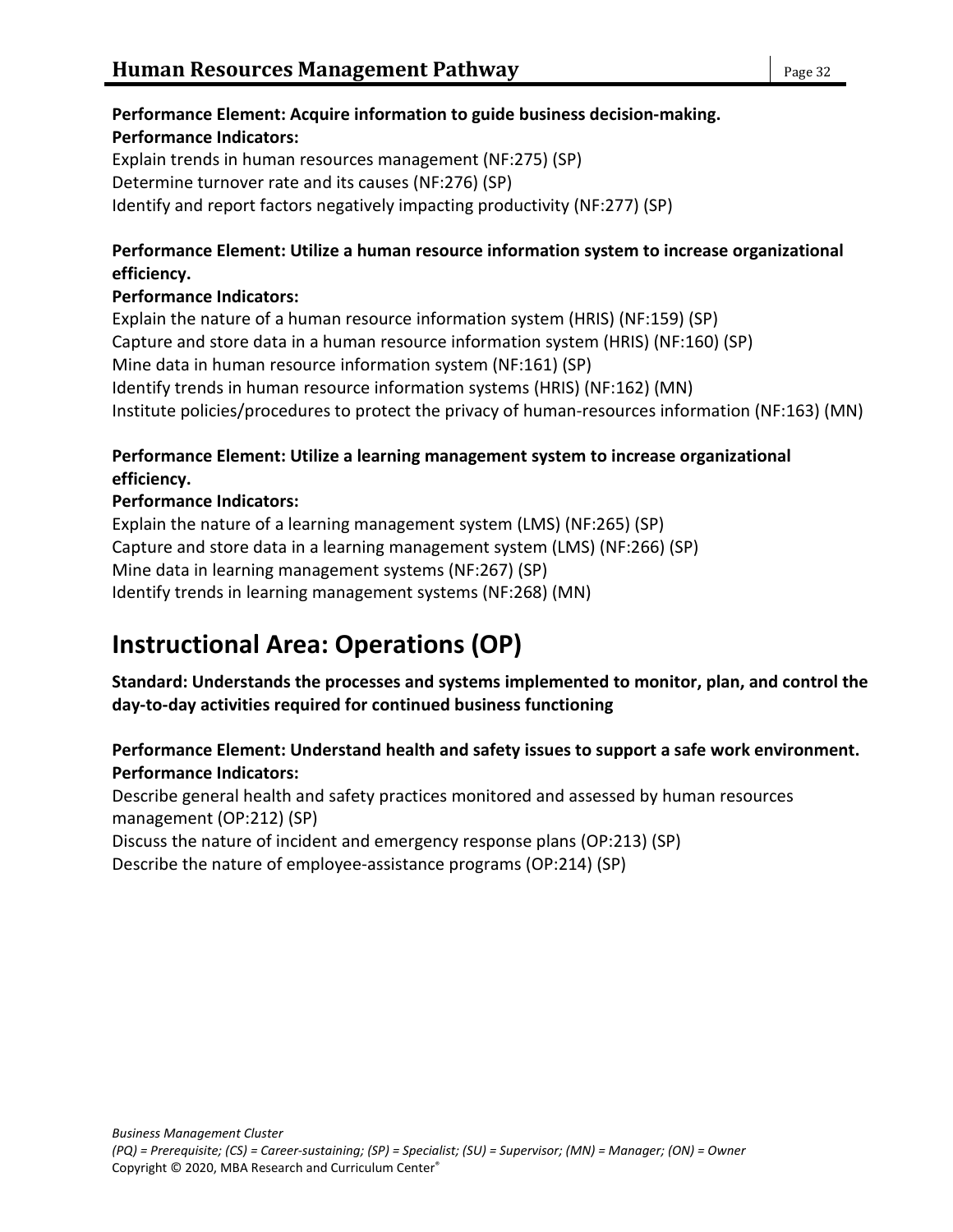### **Performance Element: Acquire information to guide business decision-making. Performance Indicators:**

Explain trends in human resources management (NF:275) (SP) Determine turnover rate and its causes (NF:276) (SP) Identify and report factors negatively impacting productivity (NF:277) (SP)

### **Performance Element: Utilize a human resource information system to increase organizational efficiency.**

### **Performance Indicators:**

Explain the nature of a human resource information system (HRIS) (NF:159) (SP) Capture and store data in a human resource information system (HRIS) (NF:160) (SP) Mine data in human resource information system (NF:161) (SP) Identify trends in human resource information systems (HRIS) (NF:162) (MN) Institute policies/procedures to protect the privacy of human-resources information (NF:163) (MN)

### **Performance Element: Utilize a learning management system to increase organizational efficiency.**

### **Performance Indicators:**

Explain the nature of a learning management system (LMS) (NF:265) (SP) Capture and store data in a learning management system (LMS) (NF:266) (SP) Mine data in learning management systems (NF:267) (SP) Identify trends in learning management systems (NF:268) (MN)

# **Instructional Area: Operations (OP)**

### **Standard: Understands the processes and systems implemented to monitor, plan, and control the day-to-day activities required for continued business functioning**

### **Performance Element: Understand health and safety issues to support a safe work environment. Performance Indicators:**

Describe general health and safety practices monitored and assessed by human resources management (OP:212) (SP)

Discuss the nature of incident and emergency response plans (OP:213) (SP)

Describe the nature of employee-assistance programs (OP:214) (SP)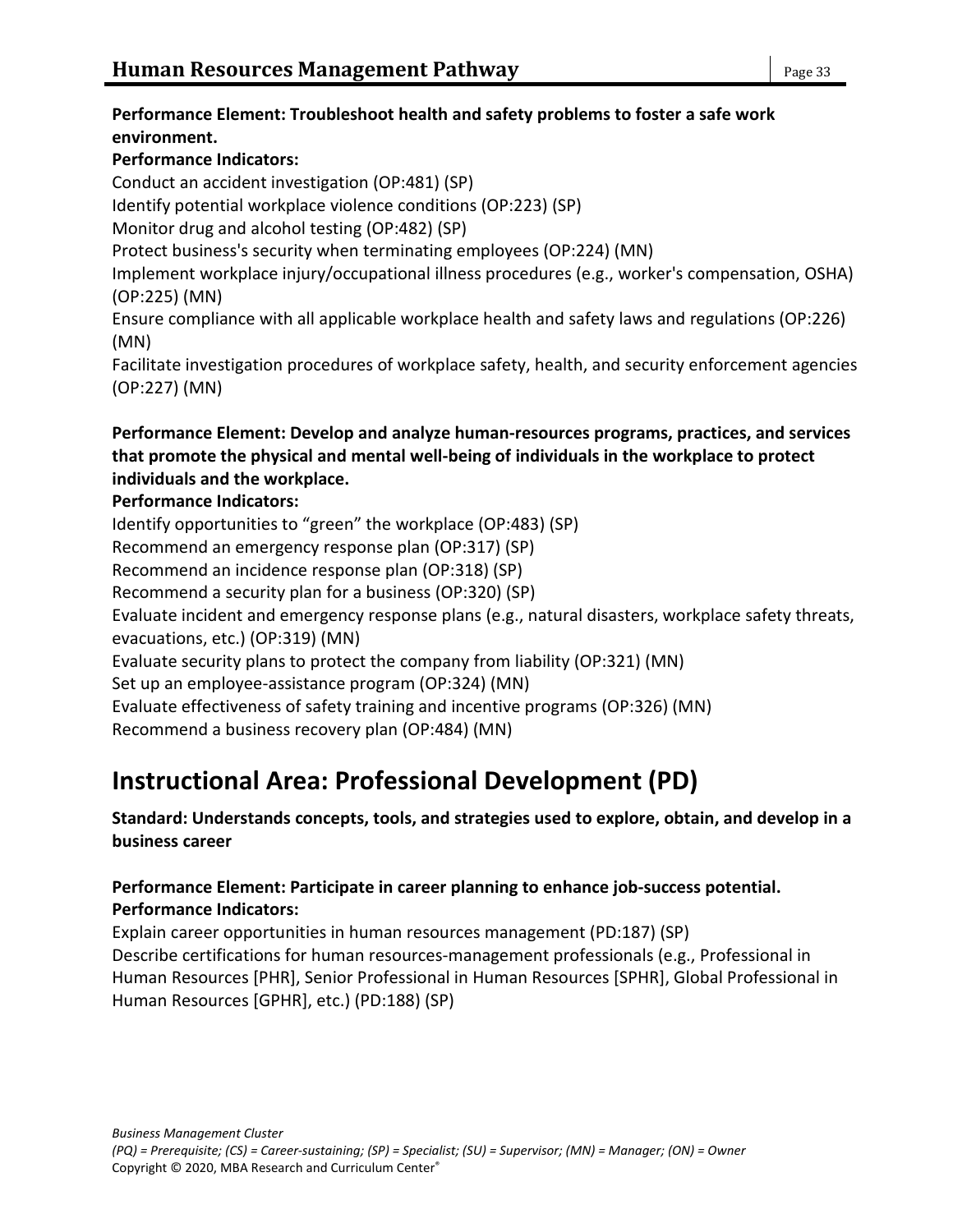### **Performance Element: Troubleshoot health and safety problems to foster a safe work environment.**

### **Performance Indicators:**

Conduct an accident investigation (OP:481) (SP) Identify potential workplace violence conditions (OP:223) (SP) Monitor drug and alcohol testing (OP:482) (SP) Protect business's security when terminating employees (OP:224) (MN) Implement workplace injury/occupational illness procedures (e.g., worker's compensation, OSHA) (OP:225) (MN) Ensure compliance with all applicable workplace health and safety laws and regulations (OP:226) (MN) Facilitate investigation procedures of workplace safety, health, and security enforcement agencies

(OP:227) (MN)

### **Performance Element: Develop and analyze human-resources programs, practices, and services that promote the physical and mental well-being of individuals in the workplace to protect individuals and the workplace.**

### **Performance Indicators:**

Identify opportunities to "green" the workplace (OP:483) (SP) Recommend an emergency response plan (OP:317) (SP) Recommend an incidence response plan (OP:318) (SP) Recommend a security plan for a business (OP:320) (SP) Evaluate incident and emergency response plans (e.g., natural disasters, workplace safety threats, evacuations, etc.) (OP:319) (MN) Evaluate security plans to protect the company from liability (OP:321) (MN) Set up an employee-assistance program (OP:324) (MN) Evaluate effectiveness of safety training and incentive programs (OP:326) (MN) Recommend a business recovery plan (OP:484) (MN)

# **Instructional Area: Professional Development (PD)**

#### **Standard: Understands concepts, tools, and strategies used to explore, obtain, and develop in a business career**

### **Performance Element: Participate in career planning to enhance job-success potential. Performance Indicators:**

Explain career opportunities in human resources management (PD:187) (SP) Describe certifications for human resources-management professionals (e.g., Professional in Human Resources [PHR], Senior Professional in Human Resources [SPHR], Global Professional in Human Resources [GPHR], etc.) (PD:188) (SP)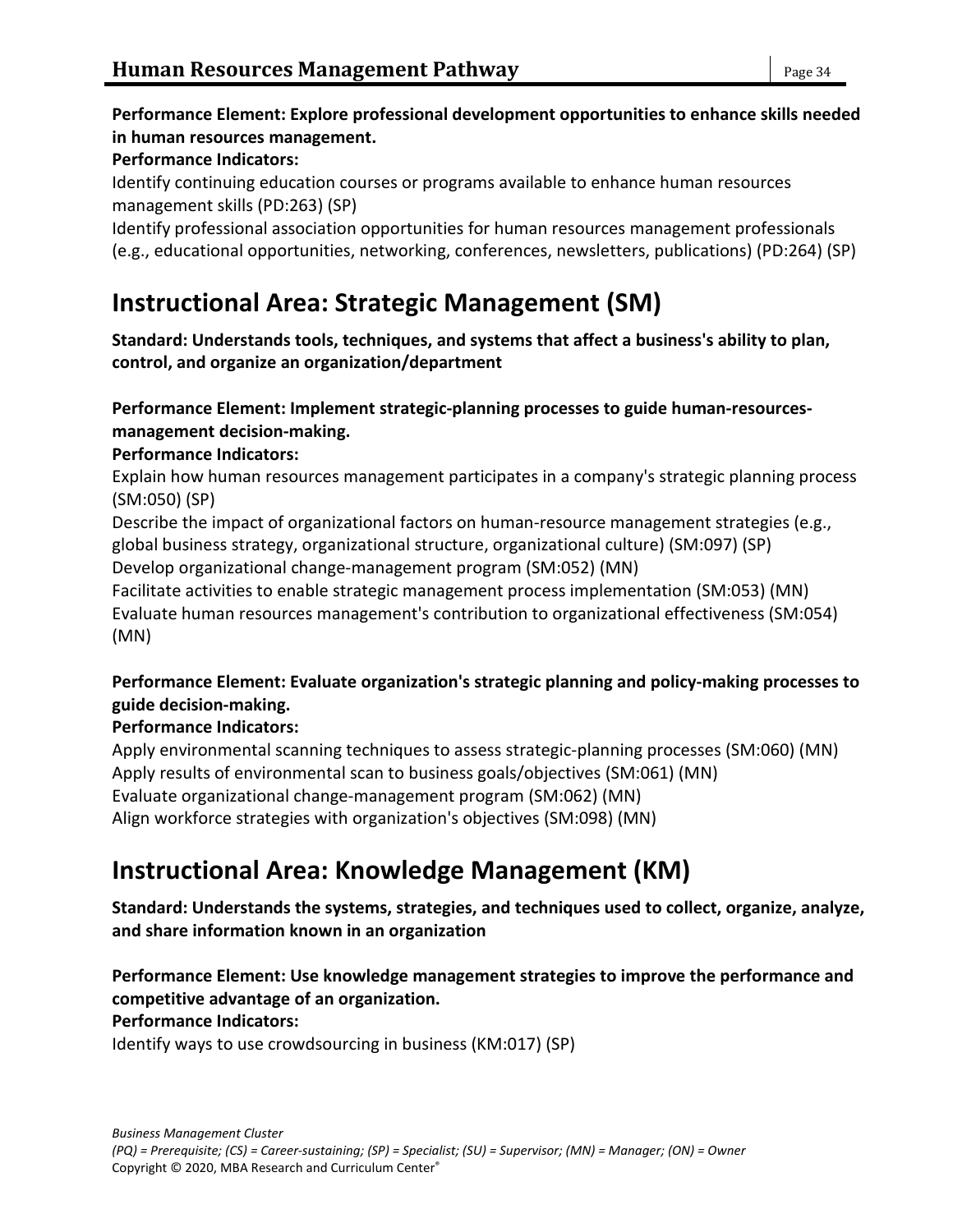#### **Performance Element: Explore professional development opportunities to enhance skills needed in human resources management.**

#### **Performance Indicators:**

Identify continuing education courses or programs available to enhance human resources management skills (PD:263) (SP)

Identify professional association opportunities for human resources management professionals (e.g., educational opportunities, networking, conferences, newsletters, publications) (PD:264) (SP)

# **Instructional Area: Strategic Management (SM)**

**Standard: Understands tools, techniques, and systems that affect a business's ability to plan, control, and organize an organization/department**

### **Performance Element: Implement strategic-planning processes to guide human-resourcesmanagement decision-making.**

### **Performance Indicators:**

Explain how human resources management participates in a company's strategic planning process (SM:050) (SP)

Describe the impact of organizational factors on human-resource management strategies (e.g., global business strategy, organizational structure, organizational culture) (SM:097) (SP)

Develop organizational change-management program (SM:052) (MN)

Facilitate activities to enable strategic management process implementation (SM:053) (MN) Evaluate human resources management's contribution to organizational effectiveness (SM:054) (MN)

### **Performance Element: Evaluate organization's strategic planning and policy-making processes to guide decision-making.**

### **Performance Indicators:**

Apply environmental scanning techniques to assess strategic-planning processes (SM:060) (MN) Apply results of environmental scan to business goals/objectives (SM:061) (MN) Evaluate organizational change-management program (SM:062) (MN) Align workforce strategies with organization's objectives (SM:098) (MN)

# **Instructional Area: Knowledge Management (KM)**

**Standard: Understands the systems, strategies, and techniques used to collect, organize, analyze, and share information known in an organization**

#### **Performance Element: Use knowledge management strategies to improve the performance and competitive advantage of an organization.**

#### **Performance Indicators:**

Identify ways to use crowdsourcing in business (KM:017) (SP)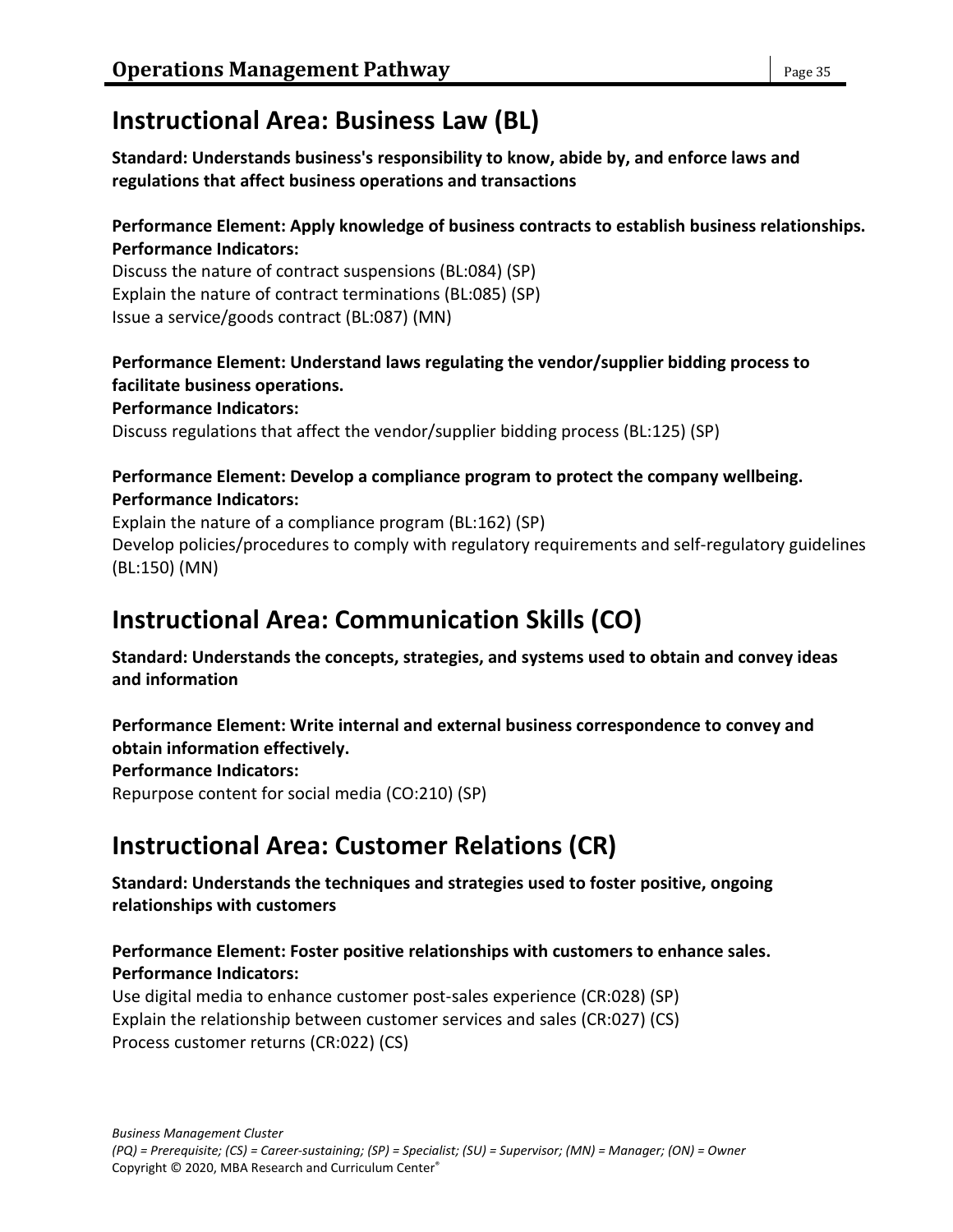# **Instructional Area: Business Law (BL)**

**Standard: Understands business's responsibility to know, abide by, and enforce laws and regulations that affect business operations and transactions**

#### **Performance Element: Apply knowledge of business contracts to establish business relationships. Performance Indicators:**

Discuss the nature of contract suspensions (BL:084) (SP) Explain the nature of contract terminations (BL:085) (SP) Issue a service/goods contract (BL:087) (MN)

### **Performance Element: Understand laws regulating the vendor/supplier bidding process to facilitate business operations.**

**Performance Indicators:**

Discuss regulations that affect the vendor/supplier bidding process (BL:125) (SP)

#### **Performance Element: Develop a compliance program to protect the company wellbeing. Performance Indicators:**

Explain the nature of a compliance program (BL:162) (SP) Develop policies/procedures to comply with regulatory requirements and self-regulatory guidelines (BL:150) (MN)

# **Instructional Area: Communication Skills (CO)**

**Standard: Understands the concepts, strategies, and systems used to obtain and convey ideas and information**

**Performance Element: Write internal and external business correspondence to convey and obtain information effectively.**

**Performance Indicators:**

Repurpose content for social media (CO:210) (SP)

# **Instructional Area: Customer Relations (CR)**

**Standard: Understands the techniques and strategies used to foster positive, ongoing relationships with customers**

### **Performance Element: Foster positive relationships with customers to enhance sales. Performance Indicators:**

Use digital media to enhance customer post-sales experience (CR:028) (SP) Explain the relationship between customer services and sales (CR:027) (CS) Process customer returns (CR:022) (CS)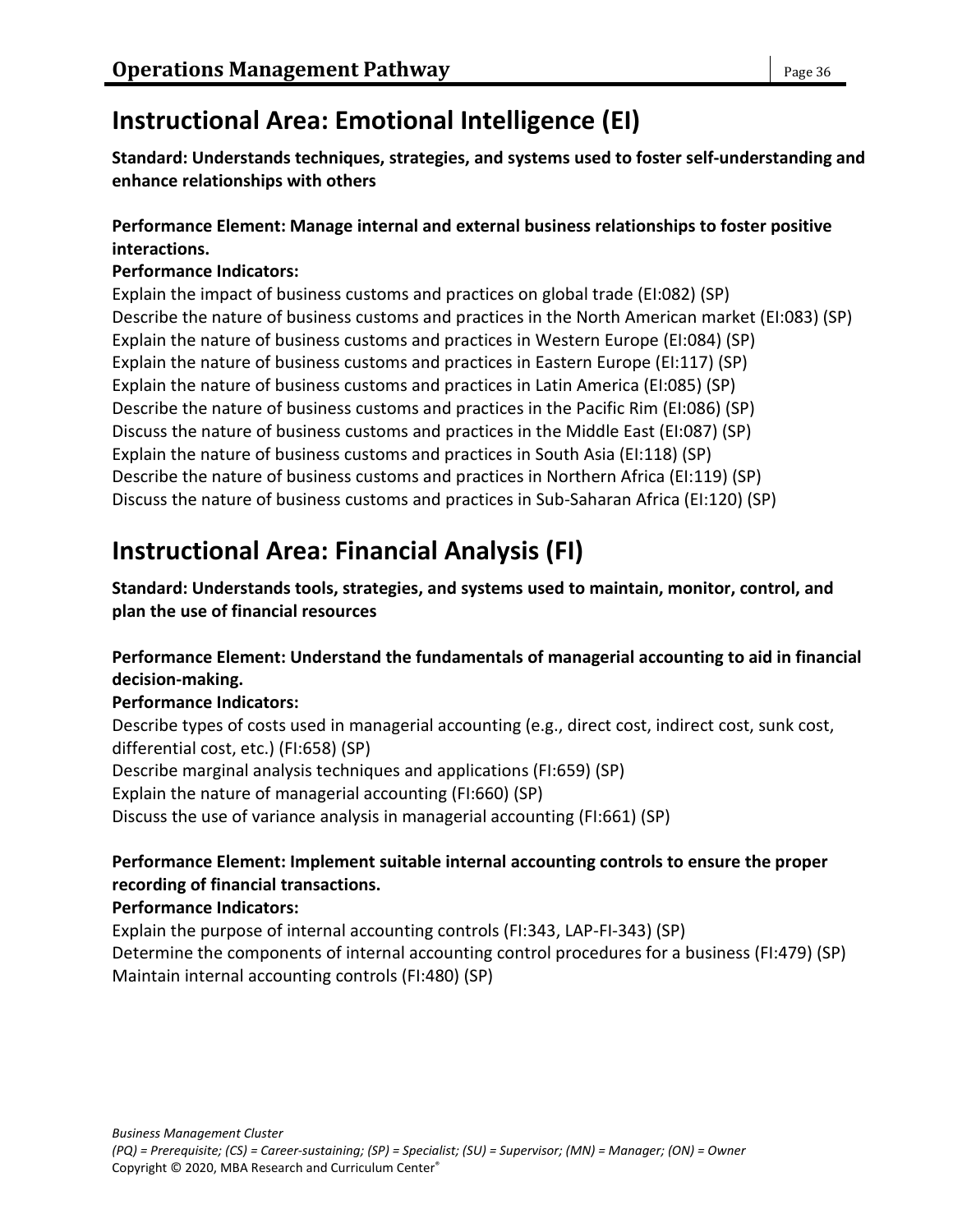# **Instructional Area: Emotional Intelligence (EI)**

**Standard: Understands techniques, strategies, and systems used to foster self-understanding and enhance relationships with others**

### **Performance Element: Manage internal and external business relationships to foster positive interactions.**

### **Performance Indicators:**

Explain the impact of business customs and practices on global trade (EI:082) (SP) Describe the nature of business customs and practices in the North American market (EI:083) (SP) Explain the nature of business customs and practices in Western Europe (EI:084) (SP) Explain the nature of business customs and practices in Eastern Europe (EI:117) (SP) Explain the nature of business customs and practices in Latin America (EI:085) (SP) Describe the nature of business customs and practices in the Pacific Rim (EI:086) (SP) Discuss the nature of business customs and practices in the Middle East (EI:087) (SP) Explain the nature of business customs and practices in South Asia (EI:118) (SP) Describe the nature of business customs and practices in Northern Africa (EI:119) (SP) Discuss the nature of business customs and practices in Sub-Saharan Africa (EI:120) (SP)

# **Instructional Area: Financial Analysis (FI)**

**Standard: Understands tools, strategies, and systems used to maintain, monitor, control, and plan the use of financial resources**

### **Performance Element: Understand the fundamentals of managerial accounting to aid in financial decision-making.**

### **Performance Indicators:**

Describe types of costs used in managerial accounting (e.g., direct cost, indirect cost, sunk cost, differential cost, etc.) (FI:658) (SP) Describe marginal analysis techniques and applications (FI:659) (SP) Explain the nature of managerial accounting (FI:660) (SP) Discuss the use of variance analysis in managerial accounting (FI:661) (SP)

### **Performance Element: Implement suitable internal accounting controls to ensure the proper recording of financial transactions.**

### **Performance Indicators:**

Explain the purpose of internal accounting controls (FI:343, LAP-FI-343) (SP) Determine the components of internal accounting control procedures for a business (FI:479) (SP) Maintain internal accounting controls (FI:480) (SP)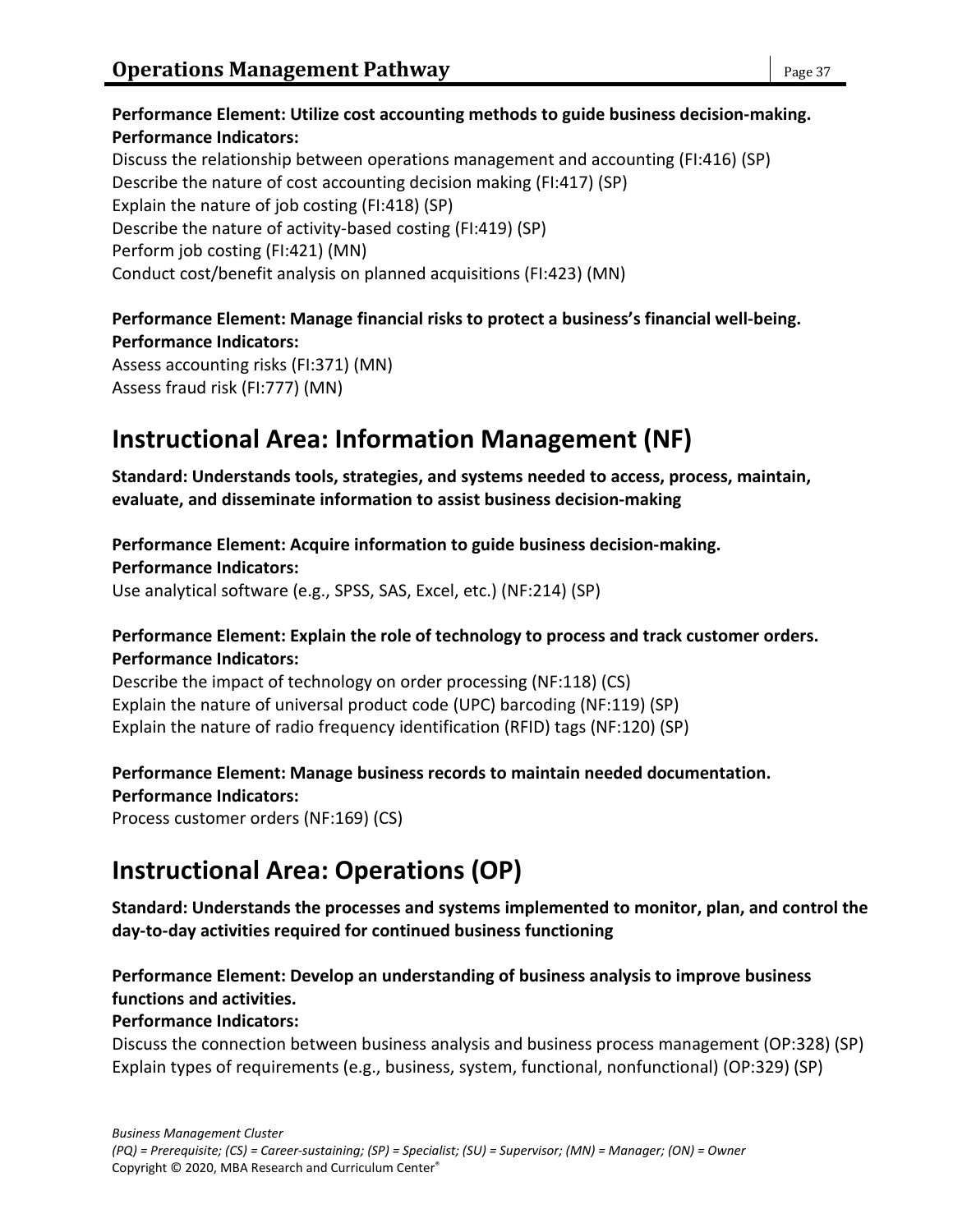### **Performance Element: Utilize cost accounting methods to guide business decision-making. Performance Indicators:** Discuss the relationship between operations management and accounting (FI:416) (SP) Describe the nature of cost accounting decision making (FI:417) (SP) Explain the nature of job costing (FI:418) (SP)

Describe the nature of activity-based costing (FI:419) (SP)

Perform job costing (FI:421) (MN)

Conduct cost/benefit analysis on planned acquisitions (FI:423) (MN)

### **Performance Element: Manage financial risks to protect a business's financial well-being. Performance Indicators:**

Assess accounting risks (FI:371) (MN) Assess fraud risk (FI:777) (MN)

# **Instructional Area: Information Management (NF)**

**Standard: Understands tools, strategies, and systems needed to access, process, maintain, evaluate, and disseminate information to assist business decision-making**

### **Performance Element: Acquire information to guide business decision-making.**

**Performance Indicators:**

Use analytical software (e.g., SPSS, SAS, Excel, etc.) (NF:214) (SP)

### **Performance Element: Explain the role of technology to process and track customer orders. Performance Indicators:**

Describe the impact of technology on order processing (NF:118) (CS) Explain the nature of universal product code (UPC) barcoding (NF:119) (SP) Explain the nature of radio frequency identification (RFID) tags (NF:120) (SP)

#### **Performance Element: Manage business records to maintain needed documentation. Performance Indicators:**

Process customer orders (NF:169) (CS)

# **Instructional Area: Operations (OP)**

**Standard: Understands the processes and systems implemented to monitor, plan, and control the day-to-day activities required for continued business functioning**

### **Performance Element: Develop an understanding of business analysis to improve business functions and activities.**

### **Performance Indicators:**

Discuss the connection between business analysis and business process management (OP:328) (SP) Explain types of requirements (e.g., business, system, functional, nonfunctional) (OP:329) (SP)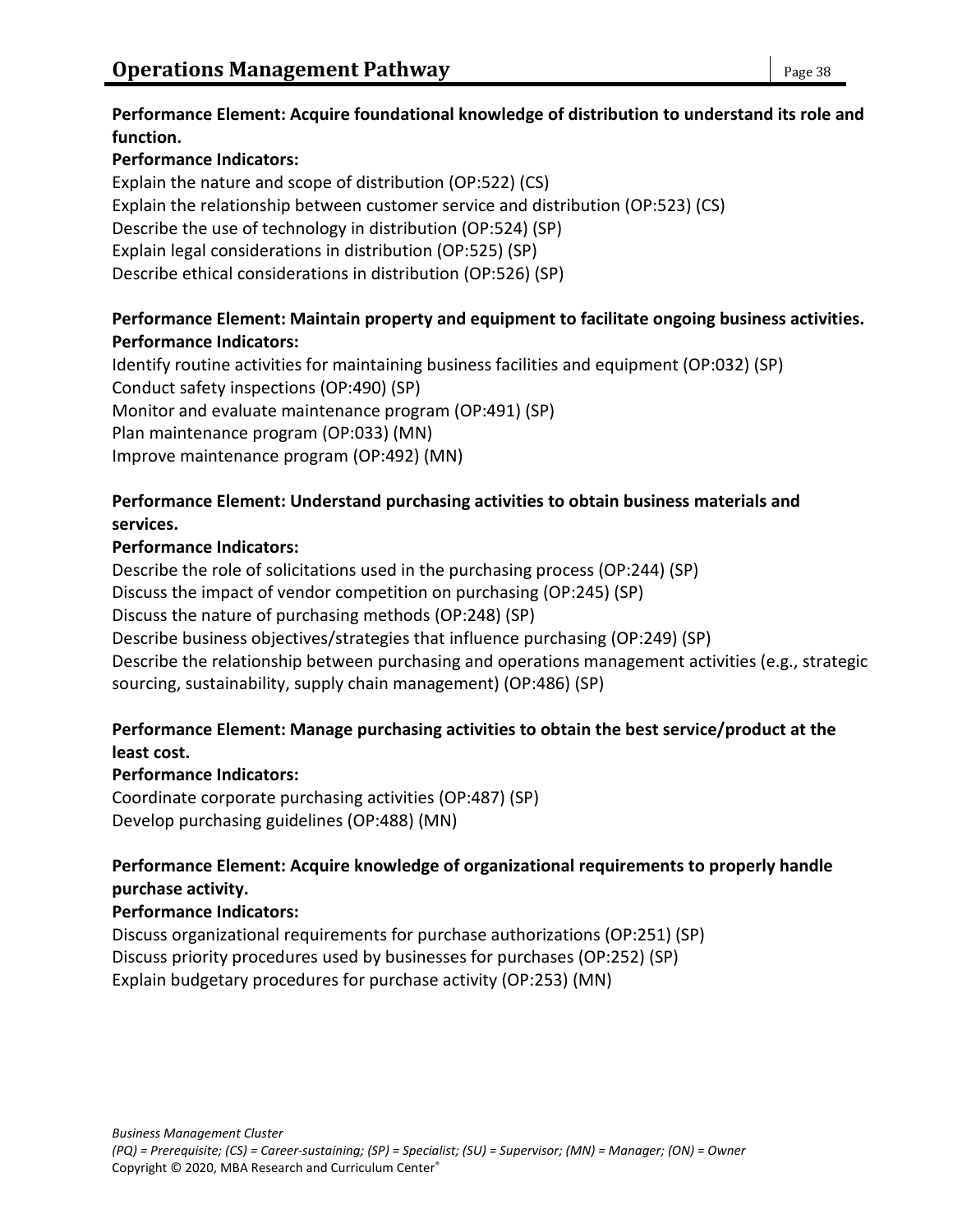### **Performance Element: Acquire foundational knowledge of distribution to understand its role and function.**

### **Performance Indicators:**

Explain the nature and scope of distribution (OP:522) (CS) Explain the relationship between customer service and distribution (OP:523) (CS) Describe the use of technology in distribution (OP:524) (SP) Explain legal considerations in distribution (OP:525) (SP) Describe ethical considerations in distribution (OP:526) (SP)

### **Performance Element: Maintain property and equipment to facilitate ongoing business activities. Performance Indicators:**

Identify routine activities for maintaining business facilities and equipment (OP:032) (SP) Conduct safety inspections (OP:490) (SP) Monitor and evaluate maintenance program (OP:491) (SP) Plan maintenance program (OP:033) (MN) Improve maintenance program (OP:492) (MN)

### **Performance Element: Understand purchasing activities to obtain business materials and services.**

### **Performance Indicators:**

Describe the role of solicitations used in the purchasing process (OP:244) (SP) Discuss the impact of vendor competition on purchasing (OP:245) (SP) Discuss the nature of purchasing methods (OP:248) (SP) Describe business objectives/strategies that influence purchasing (OP:249) (SP) Describe the relationship between purchasing and operations management activities (e.g., strategic sourcing, sustainability, supply chain management) (OP:486) (SP)

### **Performance Element: Manage purchasing activities to obtain the best service/product at the least cost.**

### **Performance Indicators:**

Coordinate corporate purchasing activities (OP:487) (SP) Develop purchasing guidelines (OP:488) (MN)

### **Performance Element: Acquire knowledge of organizational requirements to properly handle purchase activity.**

### **Performance Indicators:**

Discuss organizational requirements for purchase authorizations (OP:251) (SP) Discuss priority procedures used by businesses for purchases (OP:252) (SP) Explain budgetary procedures for purchase activity (OP:253) (MN)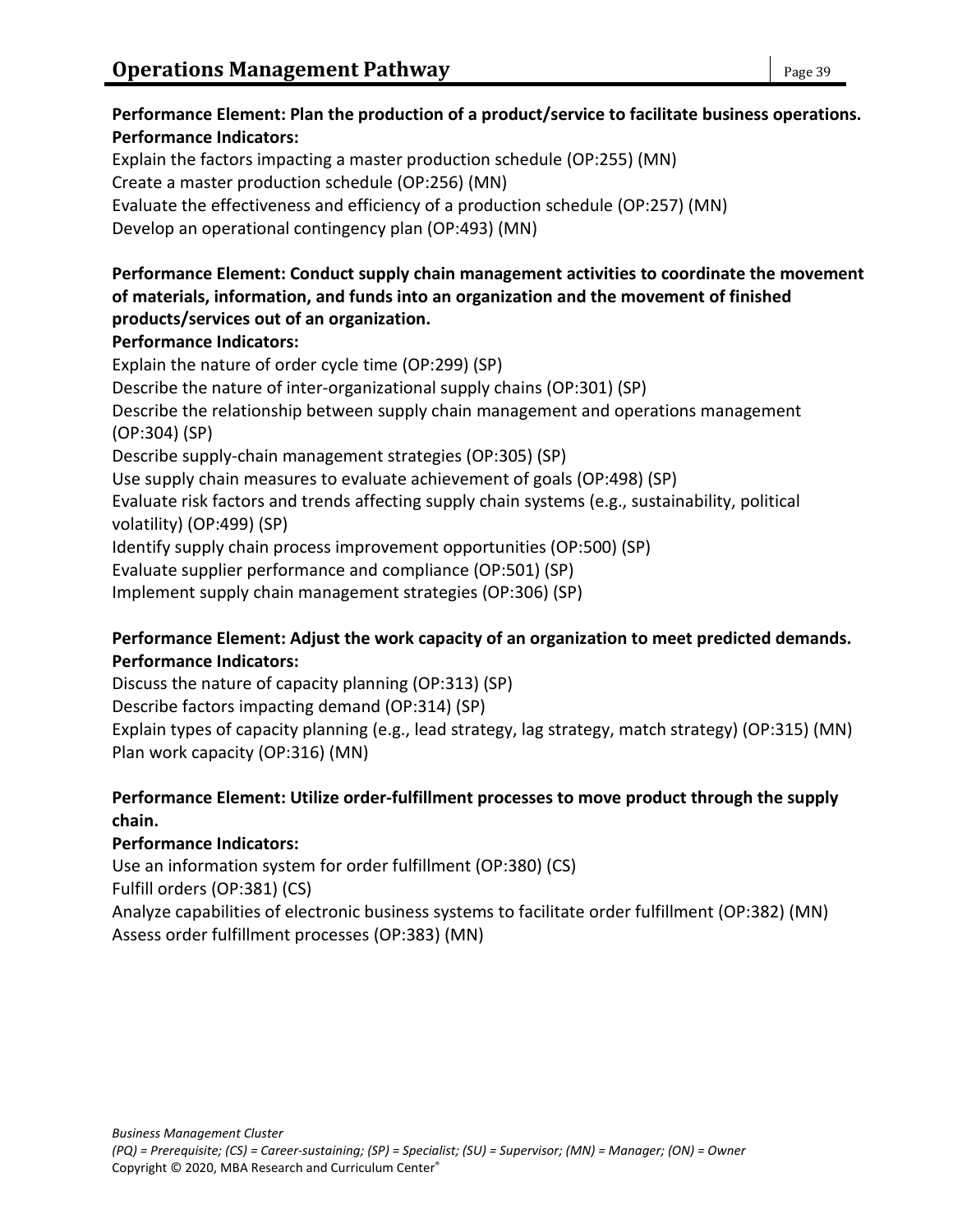# **Performance Indicators:** Explain the factors impacting a master production schedule (OP:255) (MN) Create a master production schedule (OP:256) (MN) Evaluate the effectiveness and efficiency of a production schedule (OP:257) (MN) Develop an operational contingency plan (OP:493) (MN) **Performance Element: Conduct supply chain management activities to coordinate the movement of materials, information, and funds into an organization and the movement of finished products/services out of an organization. Performance Indicators:** Explain the nature of order cycle time (OP:299) (SP) Describe the nature of inter-organizational supply chains (OP:301) (SP) Describe the relationship between supply chain management and operations management (OP:304) (SP)

**Performance Element: Plan the production of a product/service to facilitate business operations.**

Describe supply-chain management strategies (OP:305) (SP) Use supply chain measures to evaluate achievement of goals (OP:498) (SP) Evaluate risk factors and trends affecting supply chain systems (e.g., sustainability, political volatility) (OP:499) (SP) Identify supply chain process improvement opportunities (OP:500) (SP) Evaluate supplier performance and compliance (OP:501) (SP)

Implement supply chain management strategies (OP:306) (SP)

### **Performance Element: Adjust the work capacity of an organization to meet predicted demands. Performance Indicators:**

Discuss the nature of capacity planning (OP:313) (SP) Describe factors impacting demand (OP:314) (SP) Explain types of capacity planning (e.g., lead strategy, lag strategy, match strategy) (OP:315) (MN) Plan work capacity (OP:316) (MN)

### **Performance Element: Utilize order-fulfillment processes to move product through the supply chain.**

### **Performance Indicators:**

Use an information system for order fulfillment (OP:380) (CS)

Fulfill orders (OP:381) (CS)

Analyze capabilities of electronic business systems to facilitate order fulfillment (OP:382) (MN) Assess order fulfillment processes (OP:383) (MN)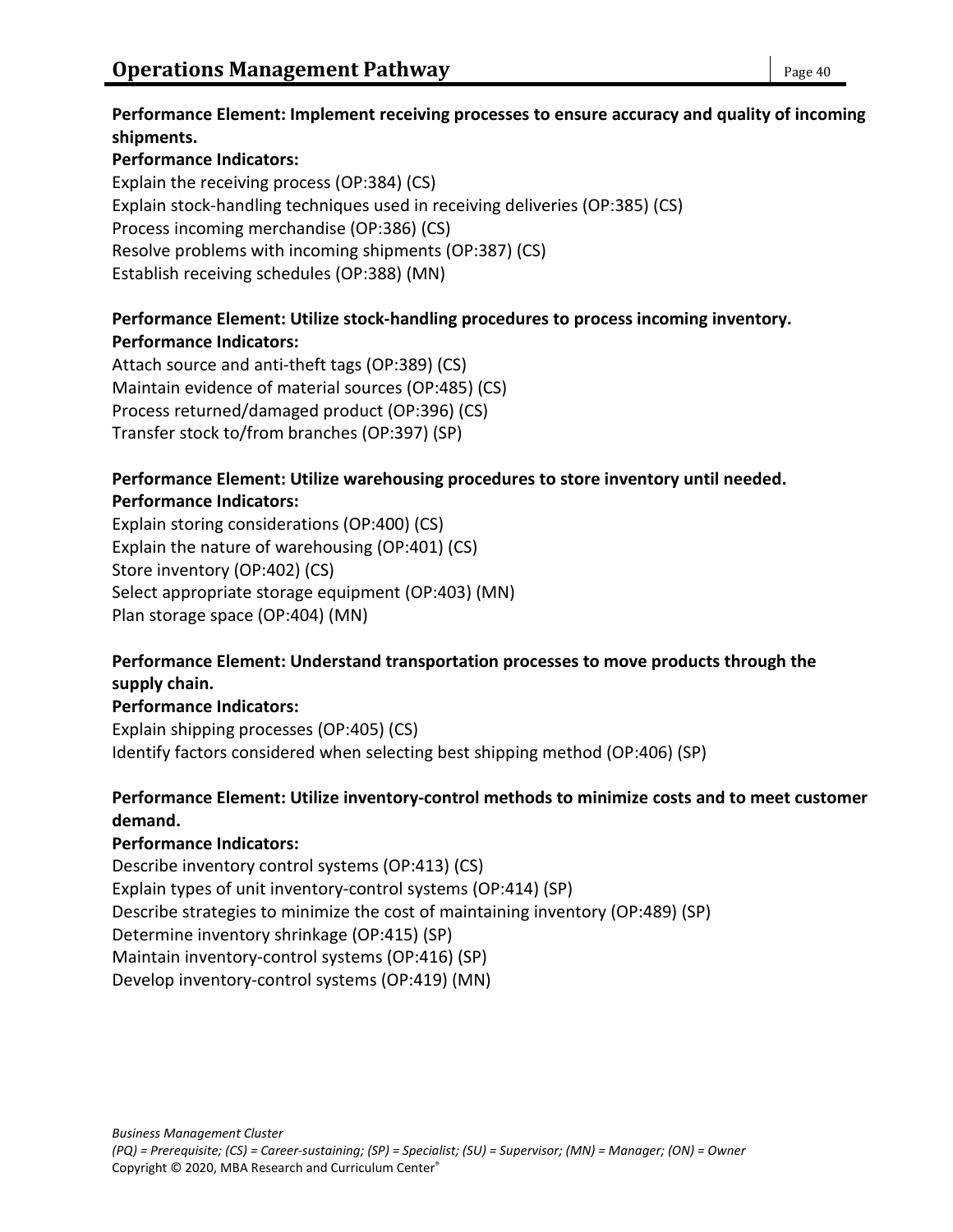### **Performance Element: Implement receiving processes to ensure accuracy and quality of incoming shipments.**

### **Performance Indicators:**

Explain the receiving process (OP:384) (CS) Explain stock-handling techniques used in receiving deliveries (OP:385) (CS) Process incoming merchandise (OP:386) (CS) Resolve problems with incoming shipments (OP:387) (CS) Establish receiving schedules (OP:388) (MN)

### **Performance Element: Utilize stock-handling procedures to process incoming inventory. Performance Indicators:**

Attach source and anti-theft tags (OP:389) (CS) Maintain evidence of material sources (OP:485) (CS) Process returned/damaged product (OP:396) (CS) Transfer stock to/from branches (OP:397) (SP)

### **Performance Element: Utilize warehousing procedures to store inventory until needed. Performance Indicators:**

Explain storing considerations (OP:400) (CS) Explain the nature of warehousing (OP:401) (CS) Store inventory (OP:402) (CS) Select appropriate storage equipment (OP:403) (MN) Plan storage space (OP:404) (MN)

### **Performance Element: Understand transportation processes to move products through the supply chain.**

### **Performance Indicators:**

Explain shipping processes (OP:405) (CS) Identify factors considered when selecting best shipping method (OP:406) (SP)

### **Performance Element: Utilize inventory-control methods to minimize costs and to meet customer demand.**

### **Performance Indicators:**

Describe inventory control systems (OP:413) (CS) Explain types of unit inventory-control systems (OP:414) (SP) Describe strategies to minimize the cost of maintaining inventory (OP:489) (SP) Determine inventory shrinkage (OP:415) (SP) Maintain inventory-control systems (OP:416) (SP) Develop inventory-control systems (OP:419) (MN)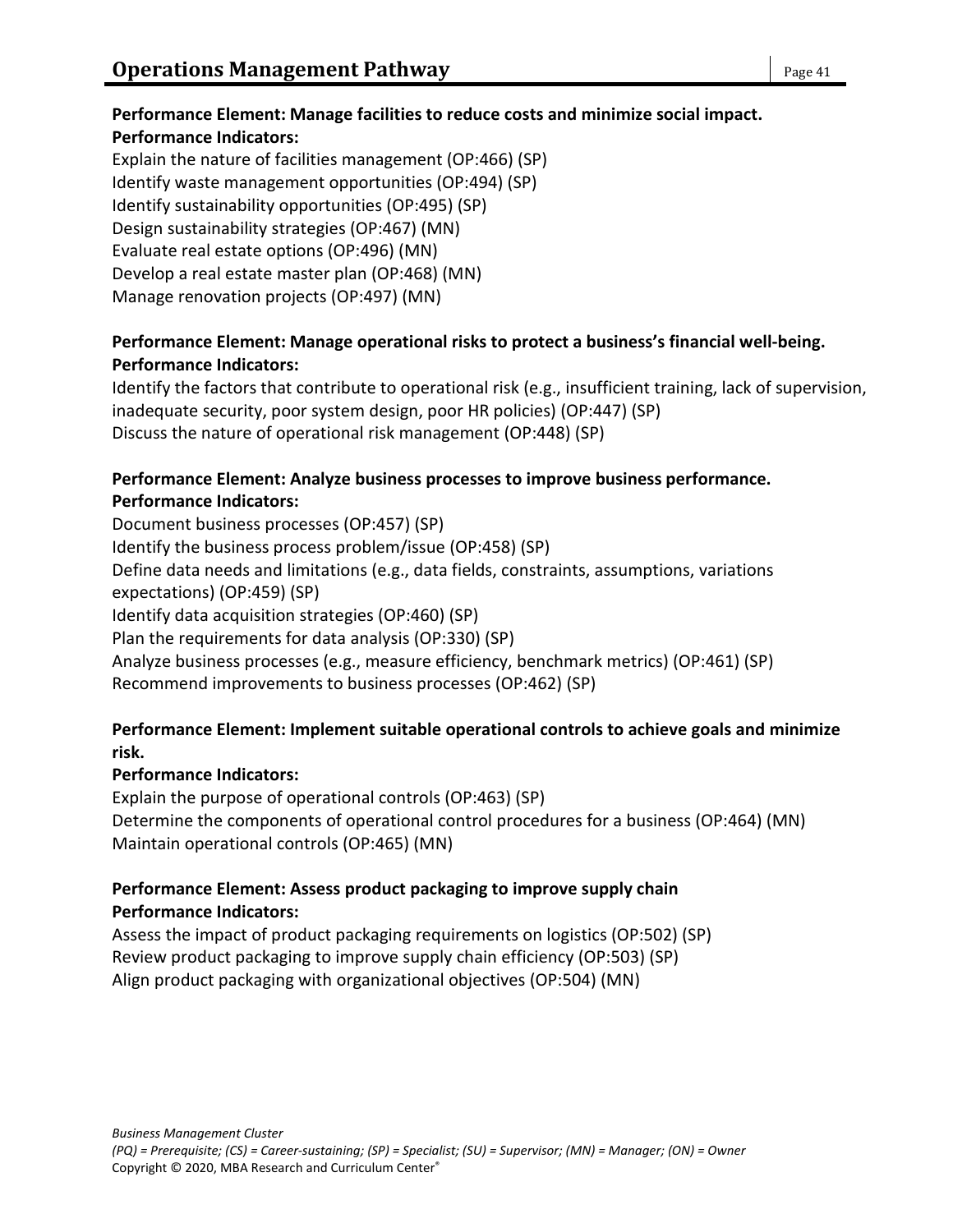#### **Performance Element: Manage facilities to reduce costs and minimize social impact. Performance Indicators:**

Explain the nature of facilities management (OP:466) (SP) Identify waste management opportunities (OP:494) (SP) Identify sustainability opportunities (OP:495) (SP) Design sustainability strategies (OP:467) (MN) Evaluate real estate options (OP:496) (MN) Develop a real estate master plan (OP:468) (MN) Manage renovation projects (OP:497) (MN)

### **Performance Element: Manage operational risks to protect a business's financial well-being. Performance Indicators:**

Identify the factors that contribute to operational risk (e.g., insufficient training, lack of supervision, inadequate security, poor system design, poor HR policies) (OP:447) (SP) Discuss the nature of operational risk management (OP:448) (SP)

### **Performance Element: Analyze business processes to improve business performance. Performance Indicators:**

Document business processes (OP:457) (SP) Identify the business process problem/issue (OP:458) (SP) Define data needs and limitations (e.g., data fields, constraints, assumptions, variations expectations) (OP:459) (SP) Identify data acquisition strategies (OP:460) (SP) Plan the requirements for data analysis (OP:330) (SP) Analyze business processes (e.g., measure efficiency, benchmark metrics) (OP:461) (SP) Recommend improvements to business processes (OP:462) (SP)

### **Performance Element: Implement suitable operational controls to achieve goals and minimize risk.**

### **Performance Indicators:**

Explain the purpose of operational controls (OP:463) (SP) Determine the components of operational control procedures for a business (OP:464) (MN) Maintain operational controls (OP:465) (MN)

### **Performance Element: Assess product packaging to improve supply chain Performance Indicators:**

Assess the impact of product packaging requirements on logistics (OP:502) (SP) Review product packaging to improve supply chain efficiency (OP:503) (SP) Align product packaging with organizational objectives (OP:504) (MN)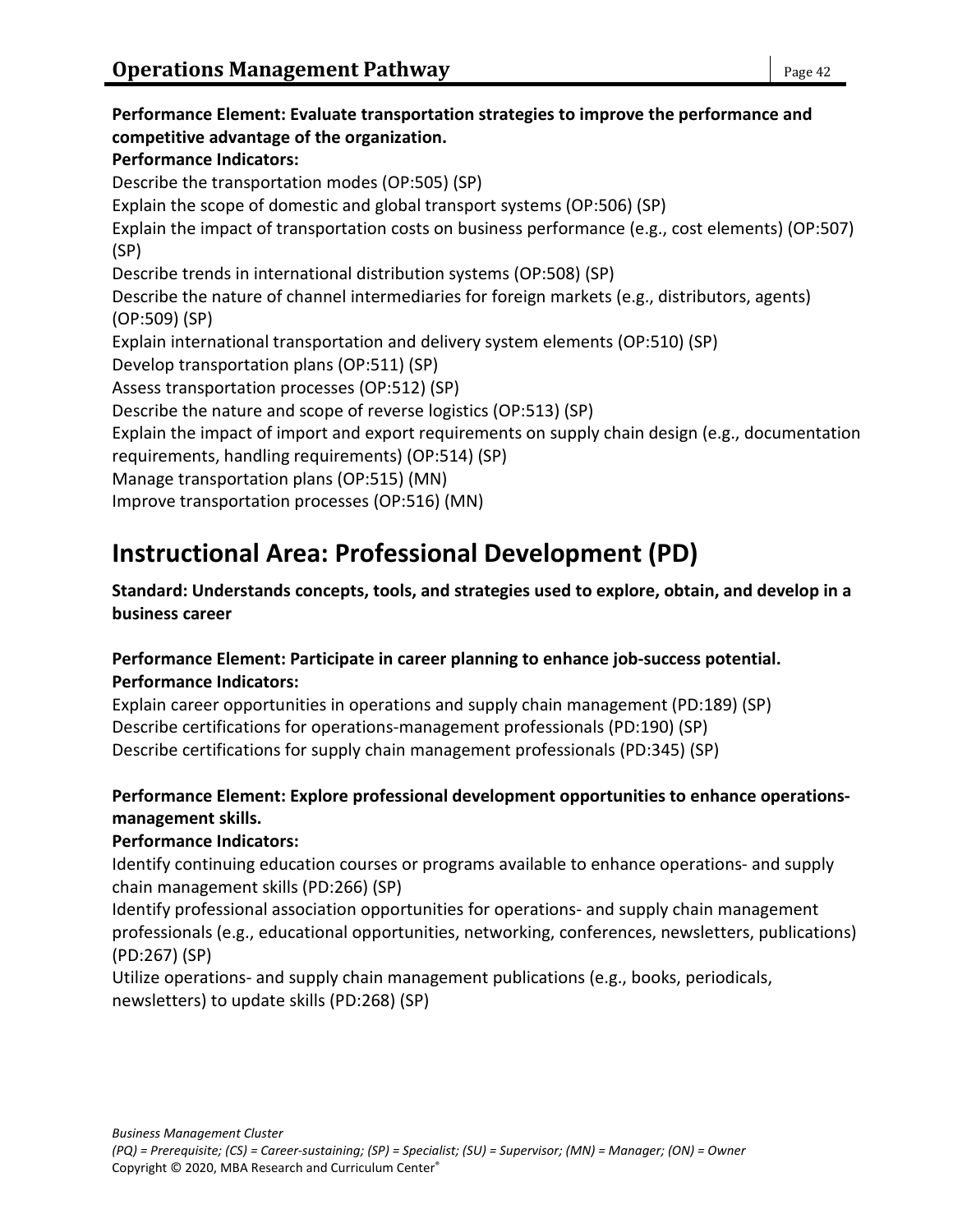**Performance Element: Evaluate transportation strategies to improve the performance and competitive advantage of the organization. Performance Indicators:** Describe the transportation modes (OP:505) (SP) Explain the scope of domestic and global transport systems (OP:506) (SP) Explain the impact of transportation costs on business performance (e.g., cost elements) (OP:507) (SP) Describe trends in international distribution systems (OP:508) (SP) Describe the nature of channel intermediaries for foreign markets (e.g., distributors, agents) (OP:509) (SP) Explain international transportation and delivery system elements (OP:510) (SP) Develop transportation plans (OP:511) (SP) Assess transportation processes (OP:512) (SP) Describe the nature and scope of reverse logistics (OP:513) (SP) Explain the impact of import and export requirements on supply chain design (e.g., documentation requirements, handling requirements) (OP:514) (SP) Manage transportation plans (OP:515) (MN) Improve transportation processes (OP:516) (MN)

# **Instructional Area: Professional Development (PD)**

### **Standard: Understands concepts, tools, and strategies used to explore, obtain, and develop in a business career**

### **Performance Element: Participate in career planning to enhance job-success potential. Performance Indicators:**

Explain career opportunities in operations and supply chain management (PD:189) (SP) Describe certifications for operations-management professionals (PD:190) (SP) Describe certifications for supply chain management professionals (PD:345) (SP)

### **Performance Element: Explore professional development opportunities to enhance operationsmanagement skills.**

### **Performance Indicators:**

Identify continuing education courses or programs available to enhance operations- and supply chain management skills (PD:266) (SP)

Identify professional association opportunities for operations- and supply chain management professionals (e.g., educational opportunities, networking, conferences, newsletters, publications) (PD:267) (SP)

Utilize operations- and supply chain management publications (e.g., books, periodicals, newsletters) to update skills (PD:268) (SP)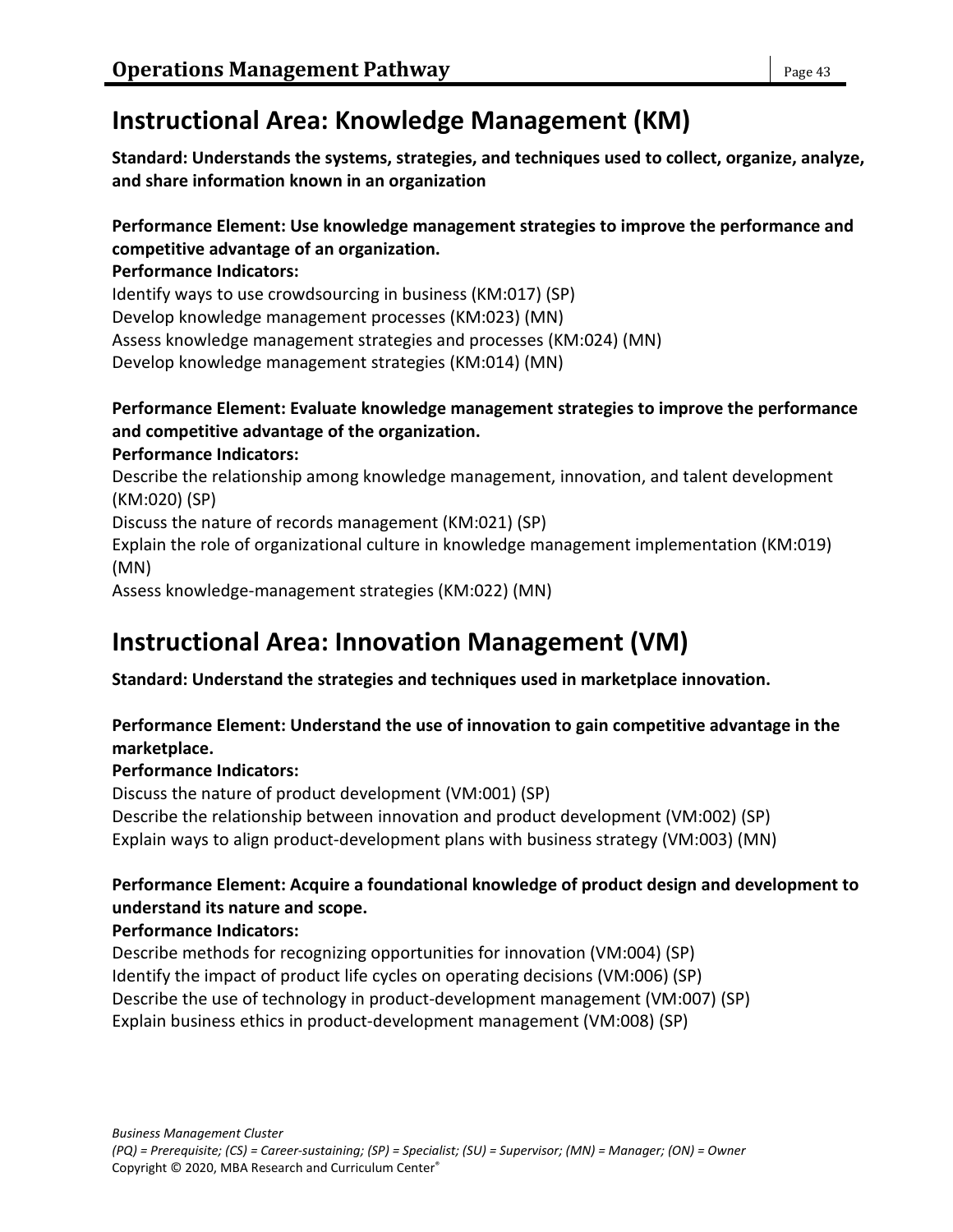# **Instructional Area: Knowledge Management (KM)**

**Standard: Understands the systems, strategies, and techniques used to collect, organize, analyze, and share information known in an organization**

### **Performance Element: Use knowledge management strategies to improve the performance and competitive advantage of an organization.**

**Performance Indicators:**

Identify ways to use crowdsourcing in business (KM:017) (SP) Develop knowledge management processes (KM:023) (MN) Assess knowledge management strategies and processes (KM:024) (MN) Develop knowledge management strategies (KM:014) (MN)

#### **Performance Element: Evaluate knowledge management strategies to improve the performance and competitive advantage of the organization. Performance Indicators:**

Describe the relationship among knowledge management, innovation, and talent development (KM:020) (SP) Discuss the nature of records management (KM:021) (SP) Explain the role of organizational culture in knowledge management implementation (KM:019) (MN)

Assess knowledge-management strategies (KM:022) (MN)

# **Instructional Area: Innovation Management (VM)**

### **Standard: Understand the strategies and techniques used in marketplace innovation.**

### **Performance Element: Understand the use of innovation to gain competitive advantage in the marketplace.**

### **Performance Indicators:**

Discuss the nature of product development (VM:001) (SP) Describe the relationship between innovation and product development (VM:002) (SP) Explain ways to align product-development plans with business strategy (VM:003) (MN)

### **Performance Element: Acquire a foundational knowledge of product design and development to understand its nature and scope.**

### **Performance Indicators:**

Describe methods for recognizing opportunities for innovation (VM:004) (SP) Identify the impact of product life cycles on operating decisions (VM:006) (SP) Describe the use of technology in product-development management (VM:007) (SP) Explain business ethics in product-development management (VM:008) (SP)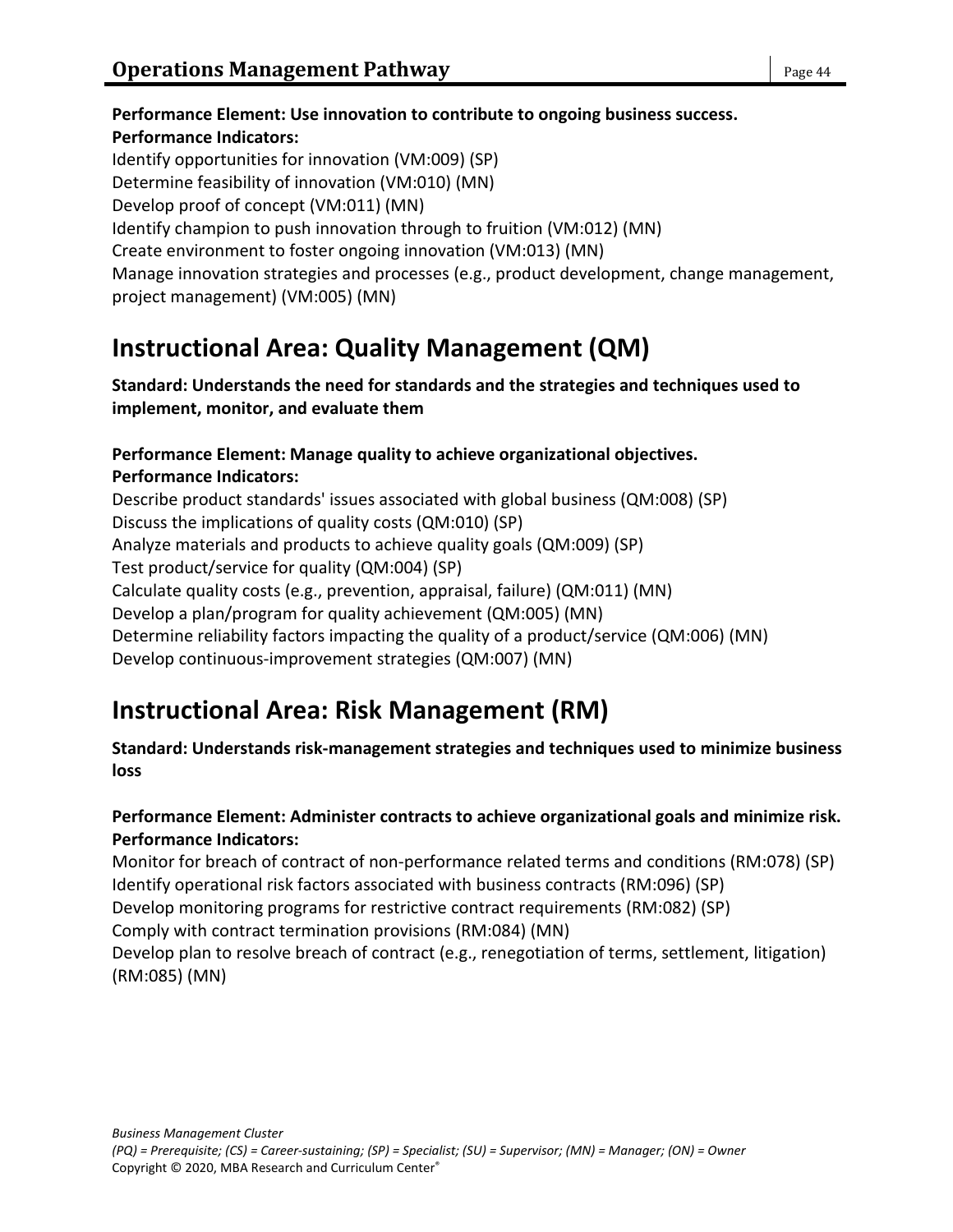**Performance Element: Use innovation to contribute to ongoing business success. Performance Indicators:** Identify opportunities for innovation (VM:009) (SP) Determine feasibility of innovation (VM:010) (MN) Develop proof of concept (VM:011) (MN) Identify champion to push innovation through to fruition (VM:012) (MN) Create environment to foster ongoing innovation (VM:013) (MN) Manage innovation strategies and processes (e.g., product development, change management, project management) (VM:005) (MN)

# **Instructional Area: Quality Management (QM)**

**Standard: Understands the need for standards and the strategies and techniques used to implement, monitor, and evaluate them**

#### **Performance Element: Manage quality to achieve organizational objectives. Performance Indicators:**

Describe product standards' issues associated with global business (QM:008) (SP) Discuss the implications of quality costs (QM:010) (SP) Analyze materials and products to achieve quality goals (QM:009) (SP) Test product/service for quality (QM:004) (SP) Calculate quality costs (e.g., prevention, appraisal, failure) (QM:011) (MN) Develop a plan/program for quality achievement (QM:005) (MN) Determine reliability factors impacting the quality of a product/service (QM:006) (MN) Develop continuous-improvement strategies (QM:007) (MN)

# **Instructional Area: Risk Management (RM)**

### **Standard: Understands risk-management strategies and techniques used to minimize business loss**

### **Performance Element: Administer contracts to achieve organizational goals and minimize risk. Performance Indicators:**

Monitor for breach of contract of non-performance related terms and conditions (RM:078) (SP) Identify operational risk factors associated with business contracts (RM:096) (SP)

Develop monitoring programs for restrictive contract requirements (RM:082) (SP)

Comply with contract termination provisions (RM:084) (MN)

Develop plan to resolve breach of contract (e.g., renegotiation of terms, settlement, litigation) (RM:085) (MN)